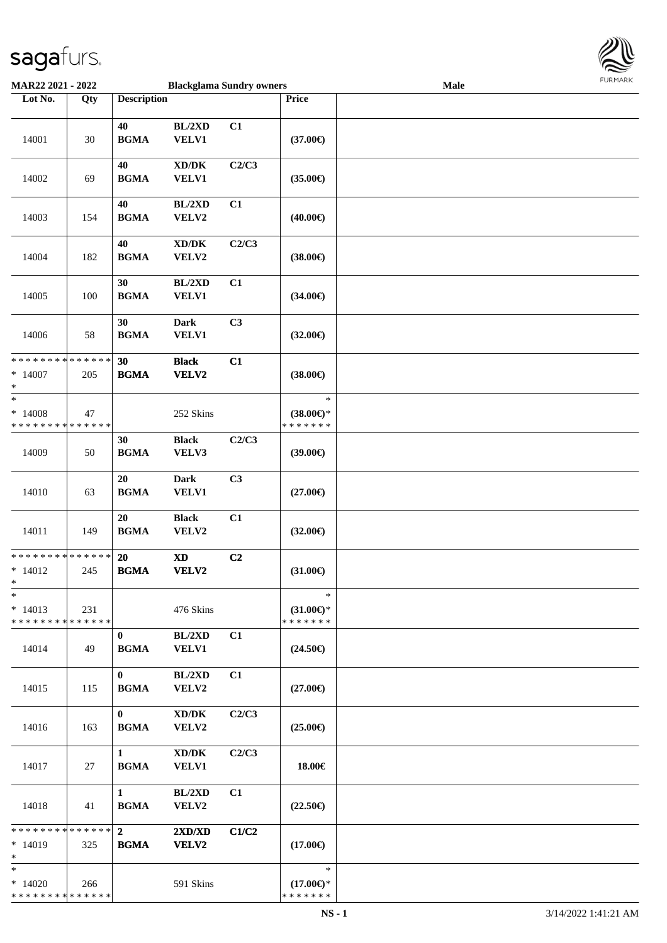

| MAR22 2021 - 2022                                                   |                    |                                                  | <b>Blackglama Sundry owners</b>                     |                |                                                | Male | $1 \times 1$ |
|---------------------------------------------------------------------|--------------------|--------------------------------------------------|-----------------------------------------------------|----------------|------------------------------------------------|------|--------------|
| Lot No.                                                             | Qty                | <b>Description</b>                               |                                                     |                | Price                                          |      |              |
| 14001                                                               | $30\,$             | 40<br><b>BGMA</b>                                | BL/2XD<br><b>VELV1</b>                              | C1             | $(37.00\epsilon)$                              |      |              |
| 14002                                                               | 69                 | 40<br><b>BGMA</b>                                | $\bold{X}\bold{D}/\bold{D}\bold{K}$<br><b>VELV1</b> | C2/C3          | $(35.00\epsilon)$                              |      |              |
| 14003                                                               | 154                | 40<br><b>BGMA</b>                                | BL/2XD<br>VELV2                                     | C1             | $(40.00\epsilon)$                              |      |              |
| 14004                                                               | 182                | 40<br><b>BGMA</b>                                | $\bold{X}\bold{D}/\bold{D}\bold{K}$<br>VELV2        | C2/C3          | $(38.00\epsilon)$                              |      |              |
| 14005                                                               | 100                | 30<br><b>BGMA</b>                                | BL/2XD<br>VELV1                                     | C1             | $(34.00\epsilon)$                              |      |              |
| 14006                                                               | 58                 | 30<br><b>BGMA</b>                                | <b>Dark</b><br>VELV1                                | C <sub>3</sub> | $(32.00\epsilon)$                              |      |              |
| **************<br>$*14007$<br>$\ast$                                | 205                | 30<br><b>BGMA</b>                                | <b>Black</b><br>VELV2                               | C1             | $(38.00\epsilon)$                              |      |              |
| $\overline{\phantom{a}}$<br>$*14008$<br>* * * * * * * * * * * * * * | 47                 |                                                  | 252 Skins                                           |                | $\ast$<br>$(38.00\epsilon)$ *<br>* * * * * * * |      |              |
| 14009                                                               | 50                 | 30<br><b>BGMA</b>                                | <b>Black</b><br>VELV3                               | C2/C3          | (39.00)                                        |      |              |
| 14010                                                               | 63                 | 20<br>$\mathbf{B}\mathbf{G}\mathbf{M}\mathbf{A}$ | <b>Dark</b><br>VELV1                                | C3             | $(27.00\epsilon)$                              |      |              |
| 14011                                                               | 149                | 20<br><b>BGMA</b>                                | <b>Black</b><br>VELV2                               | C1             | $(32.00\epsilon)$                              |      |              |
| ******** <mark>******</mark><br>$* 14012$<br>$*$                    | 245                | 20<br><b>BGMA</b>                                | $\boldsymbol{\mathrm{XD}}$<br>VELV2                 | C <sub>2</sub> | $(31.00\epsilon)$                              |      |              |
| $\ast$<br>$* 14013$<br>* * * * * * * *                              | 231<br>* * * * * * |                                                  | 476 Skins                                           |                | $\ast$<br>$(31.00\epsilon)$ *<br>* * * * * * * |      |              |
| 14014                                                               | 49                 | $\mathbf{0}$<br><b>BGMA</b>                      | BL/2XD<br><b>VELV1</b>                              | C1             | $(24.50\epsilon)$                              |      |              |
| 14015                                                               | 115                | $\mathbf{0}$<br><b>BGMA</b>                      | BL/2XD<br>VELV2                                     | C1             | $(27.00\epsilon)$                              |      |              |
| 14016                                                               | 163                | $\bf{0}$<br><b>BGMA</b>                          | $\bold{X}\bold{D}/\bold{D}\bold{K}$<br>VELV2        | C2/C3          | $(25.00\epsilon)$                              |      |              |
| 14017                                                               | 27                 | $\mathbf{1}$<br><b>BGMA</b>                      | $\bold{X}\bold{D}/\bold{D}\bold{K}$<br><b>VELV1</b> | C2/C3          | 18.00€                                         |      |              |
| 14018                                                               | 41                 | $\mathbf{1}$<br><b>BGMA</b>                      | BL/2XD<br><b>VELV2</b>                              | C1             | $(22.50\epsilon)$                              |      |              |
| * * * * * * * * * * * * * *<br>$*14019$<br>$\ast$                   | 325                | 2 <sup>1</sup><br><b>BGMA</b>                    | 2XD/XD<br>VELV2                                     | C1/C2          | $(17.00\epsilon)$                              |      |              |
| $\ast$<br>$*14020$<br>* * * * * * * * * * * * * *                   | 266                |                                                  | 591 Skins                                           |                | $\ast$<br>$(17.00\epsilon)$ *<br>* * * * * * * |      |              |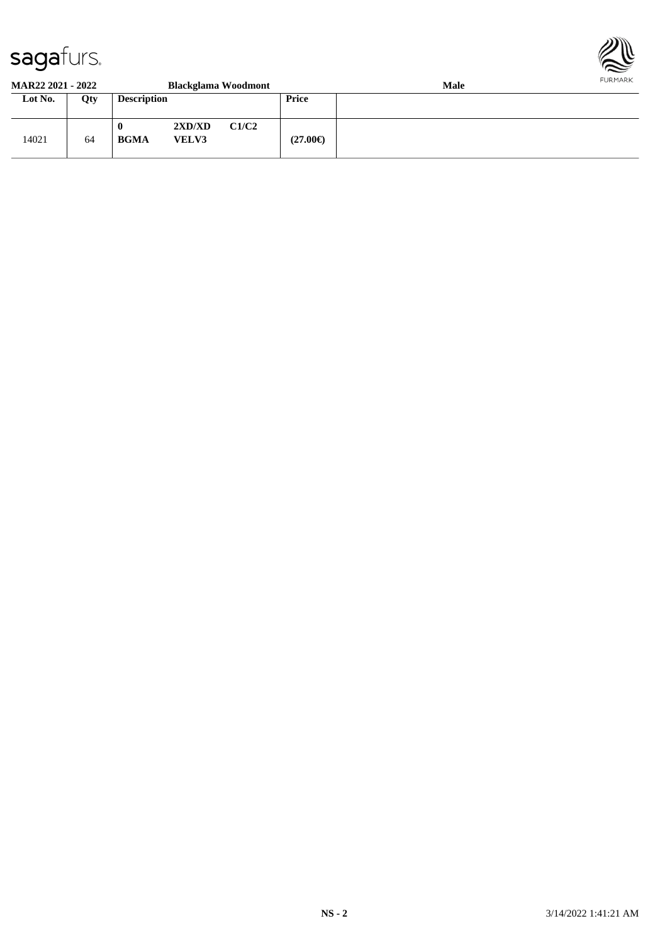

#### **MAR22 2021 - 2022 Blackglama Woodmont Male**

| 171111122 2021 2022 |     |                         | <i>blackgland vvocamont</i> |       |                   | $\cdots$ |
|---------------------|-----|-------------------------|-----------------------------|-------|-------------------|----------|
| Lot No.             | Qty | <b>Description</b>      |                             |       | Price             |          |
| 14021               | 64  | $\bf{0}$<br><b>BGMA</b> | 2XD/XD<br><b>VELV3</b>      | C1/C2 | $(27.00\epsilon)$ |          |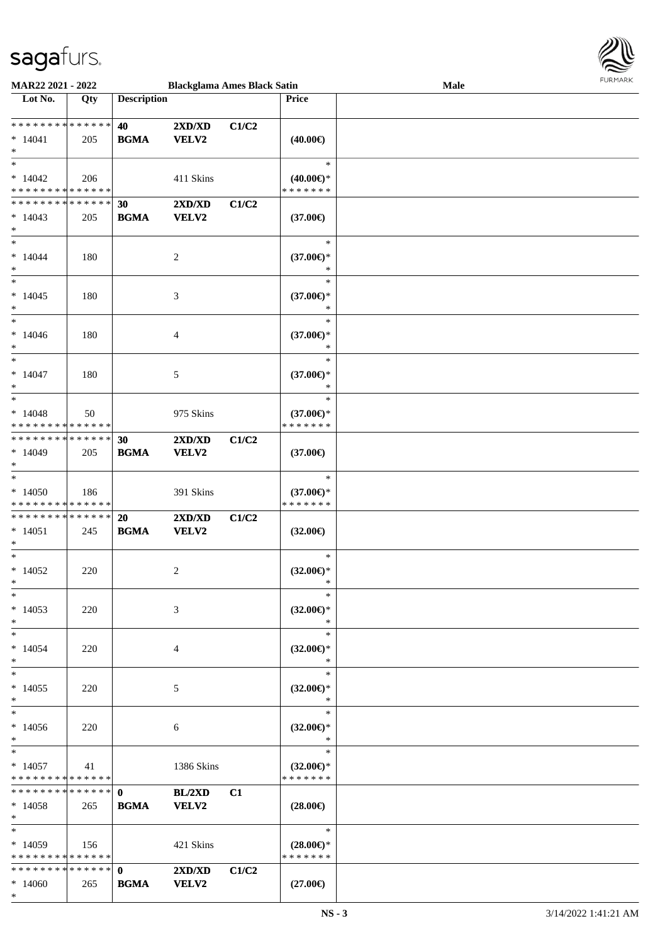

| <b>MAR22 2021 - 2022</b>                   |     |                    | <b>Blackglama Ames Black Satin</b> |       |                     | Male |  |
|--------------------------------------------|-----|--------------------|------------------------------------|-------|---------------------|------|--|
| Lot No.                                    | Qty | <b>Description</b> |                                    |       | Price               |      |  |
|                                            |     |                    |                                    |       |                     |      |  |
| * * * * * * * * <mark>* * * * * * *</mark> |     | 40                 | 2XD/XD                             | C1/C2 |                     |      |  |
| $* 14041$                                  | 205 | <b>BGMA</b>        | VELV2                              |       | $(40.00\epsilon)$   |      |  |
| $\ast$                                     |     |                    |                                    |       |                     |      |  |
| $\ast$                                     |     |                    |                                    |       | $\ast$              |      |  |
| $*14042$                                   | 206 |                    | 411 Skins                          |       | $(40.00€)$ *        |      |  |
| * * * * * * * * <mark>* * * * * *</mark>   |     |                    |                                    |       | * * * * * * *       |      |  |
| * * * * * * * * <mark>* * * * * *</mark>   |     | 30                 | 2XD/XD                             | C1/C2 |                     |      |  |
|                                            |     |                    |                                    |       |                     |      |  |
| $*14043$                                   | 205 | <b>BGMA</b>        | VELV2                              |       | $(37.00\epsilon)$   |      |  |
| $\ast$<br>$\ast$                           |     |                    |                                    |       |                     |      |  |
|                                            |     |                    |                                    |       | $\ast$              |      |  |
| $*14044$                                   | 180 |                    | 2                                  |       | $(37.00\epsilon)$ * |      |  |
| $\ast$                                     |     |                    |                                    |       | $\ast$              |      |  |
| $\ast$                                     |     |                    |                                    |       | $\ast$              |      |  |
| $*14045$                                   | 180 |                    | 3                                  |       | $(37.00\epsilon)$ * |      |  |
| $\ast$                                     |     |                    |                                    |       | $\ast$              |      |  |
| $\ast$                                     |     |                    |                                    |       | $\ast$              |      |  |
| $*14046$                                   | 180 |                    | 4                                  |       | $(37.00\epsilon)$ * |      |  |
| $\ast$                                     |     |                    |                                    |       | $\ast$              |      |  |
| $*$                                        |     |                    |                                    |       | $\ast$              |      |  |
| $* 14047$                                  | 180 |                    | 5                                  |       | $(37.00\epsilon)$ * |      |  |
| $\ast$                                     |     |                    |                                    |       | $\ast$              |      |  |
| $\ast$                                     |     |                    |                                    |       | $\ast$              |      |  |
| $* 14048$                                  | 50  |                    | 975 Skins                          |       | $(37.00\epsilon)$ * |      |  |
| * * * * * * * * <mark>* * * * * * *</mark> |     |                    |                                    |       | * * * * * * *       |      |  |
| * * * * * * * * * * * * * * *              |     | 30                 | 2XD/XD                             | C1/C2 |                     |      |  |
|                                            | 205 | <b>BGMA</b>        | VELV2                              |       |                     |      |  |
| $*14049$<br>$\ast$                         |     |                    |                                    |       | $(37.00\epsilon)$   |      |  |
| $\ast$                                     |     |                    |                                    |       | $\ast$              |      |  |
|                                            |     |                    |                                    |       |                     |      |  |
| $*14050$                                   | 186 |                    | 391 Skins                          |       | $(37.00\epsilon)$ * |      |  |
| * * * * * * * * * * * * * *                |     |                    |                                    |       | * * * * * * *       |      |  |
| * * * * * * * * * * * * * * *              |     | 20                 | 2XD/XD                             | C1/C2 |                     |      |  |
| $* 14051$                                  | 245 | <b>BGMA</b>        | VELV2                              |       | $(32.00\epsilon)$   |      |  |
| $\ast$                                     |     |                    |                                    |       |                     |      |  |
| $*$                                        |     |                    |                                    |       | $\ast$              |      |  |
| $*14052$                                   | 220 |                    | 2                                  |       | $(32.00\epsilon)$ * |      |  |
| $*$                                        |     |                    |                                    |       | $\ast$              |      |  |
| $\ast$                                     |     |                    |                                    |       | $\ast$              |      |  |
| $*14053$                                   | 220 |                    | 3                                  |       | $(32.00\epsilon)$ * |      |  |
| $\ast$                                     |     |                    |                                    |       | $\ast$              |      |  |
| $\ast$                                     |     |                    |                                    |       | $\ast$              |      |  |
| $*14054$                                   | 220 |                    | 4                                  |       | $(32.00\epsilon)$ * |      |  |
| $\ast$                                     |     |                    |                                    |       | $\ast$              |      |  |
| $\ast$                                     |     |                    |                                    |       | $\ast$              |      |  |
| $*14055$                                   | 220 |                    | 5                                  |       | $(32.00\epsilon)$ * |      |  |
| $\ast$                                     |     |                    |                                    |       | $*$                 |      |  |
| $\ast$                                     |     |                    |                                    |       | $\ast$              |      |  |
| $*14056$                                   | 220 |                    | 6                                  |       | $(32.00\epsilon)$ * |      |  |
| $\ast$                                     |     |                    |                                    |       | $\ast$              |      |  |
| $*$ $-$                                    |     |                    |                                    |       | $\ast$              |      |  |
| $*14057$                                   | 41  |                    | 1386 Skins                         |       | $(32.00\epsilon)$ * |      |  |
| * * * * * * * * * * * * * * *              |     |                    |                                    |       | * * * * * * *       |      |  |
| * * * * * * * * * * * * * * <mark>*</mark> |     | $\mathbf{0}$       | BL/2XD                             | C1    |                     |      |  |
|                                            |     |                    |                                    |       |                     |      |  |
| $*14058$<br>$\ast$                         | 265 | <b>BGMA</b>        | <b>VELV2</b>                       |       | $(28.00\epsilon)$   |      |  |
| $\ast$                                     |     |                    |                                    |       |                     |      |  |
|                                            |     |                    |                                    |       | $\ast$              |      |  |
| $*14059$                                   | 156 |                    | 421 Skins                          |       | $(28.00\epsilon)$ * |      |  |
| * * * * * * * * * * * * * * *              |     |                    |                                    |       | * * * * * * *       |      |  |
|                                            |     |                    | 2XD/XD                             | C1/C2 |                     |      |  |
| $*14060$                                   | 265 | <b>BGMA</b>        | <b>VELV2</b>                       |       | $(27.00\epsilon)$   |      |  |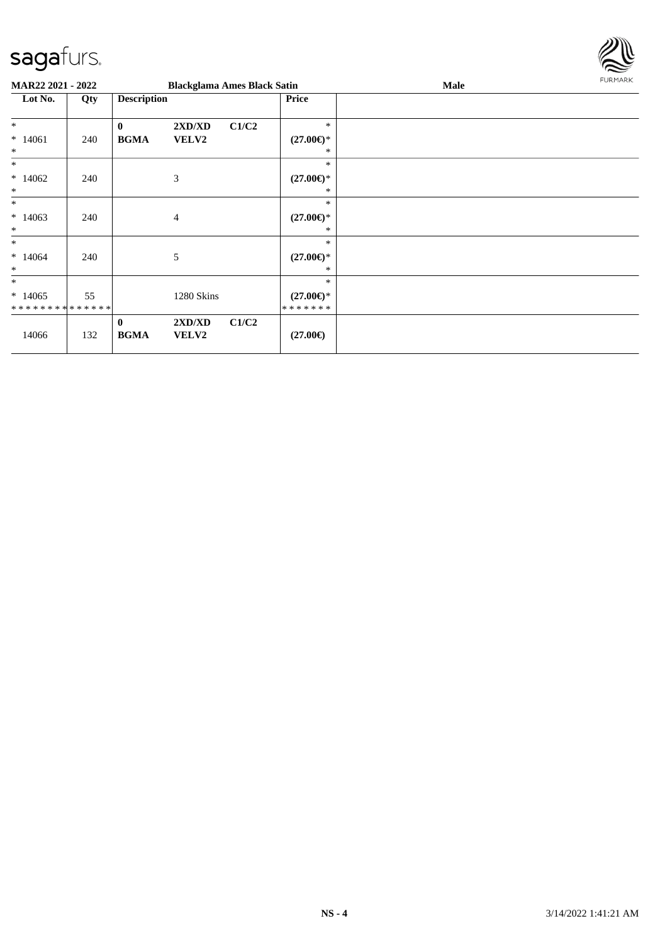

| MAR22 2021 - 2022                    |     |                             | <b>Blackglama Ames Black Satin</b> |       |                                           | Male | FURMARK |
|--------------------------------------|-----|-----------------------------|------------------------------------|-------|-------------------------------------------|------|---------|
| Lot No.                              | Qty | <b>Description</b>          |                                    |       | Price                                     |      |         |
| $\ast$<br>$*14061$<br>$\ast$         | 240 | $\bf{0}$<br><b>BGMA</b>     | 2XD/XD<br>VELV2                    | C1/C2 | $\ast$<br>$(27.00\epsilon)$ *<br>∗        |      |         |
| $*$<br>$*14062$<br>$\ast$            | 240 |                             | $\mathfrak{Z}$                     |       | *<br>$(27.00\epsilon)$ *<br>*             |      |         |
| $\ast$<br>$*14063$<br>$\ast$         | 240 |                             | 4                                  |       | *<br>$(27.00\epsilon)$ *<br>∗             |      |         |
| $\ast$<br>$*14064$<br>$\ast$         | 240 |                             | 5                                  |       | *<br>$(27.00\epsilon)$ *<br>∗             |      |         |
| $\ast$<br>$*14065$<br>************** | 55  |                             | 1280 Skins                         |       | *<br>$(27.00\epsilon)$ *<br>* * * * * * * |      |         |
| 14066                                | 132 | $\mathbf{0}$<br><b>BGMA</b> | 2XD/XD<br>VELV2                    | C1/C2 | $(27.00\epsilon)$                         |      |         |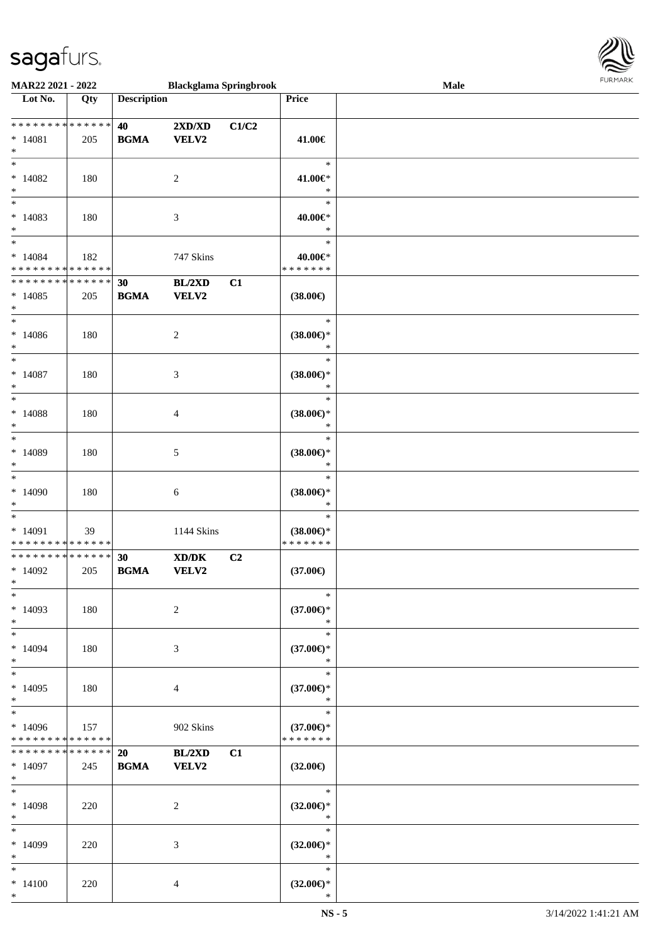

| MAR22 2021 - 2022                                                       |                    |                    | <b>Blackglama Springbrook</b>                                                                                        |       |                                                | Male |  |
|-------------------------------------------------------------------------|--------------------|--------------------|----------------------------------------------------------------------------------------------------------------------|-------|------------------------------------------------|------|--|
| Lot No.                                                                 | Qty                | <b>Description</b> |                                                                                                                      |       | <b>Price</b>                                   |      |  |
| ******** <mark>******</mark><br>$* 14081$                               | 205                | 40<br><b>BGMA</b>  | 2XD/XD<br><b>VELV2</b>                                                                                               | C1/C2 | 41.00€                                         |      |  |
| $\ast$<br>$\overline{\ast}$<br>$*14082$                                 | 180                |                    | $\sqrt{2}$                                                                                                           |       | $\ast$<br>41.00€*                              |      |  |
| $\ast$<br>$\overline{\ast}$<br>$*14083$                                 | 180                |                    |                                                                                                                      |       | $\ast$<br>$\ast$<br>40.00€*                    |      |  |
| $\ast$<br>$\overline{\ast}$                                             |                    |                    | $\mathfrak{Z}$                                                                                                       |       | $\ast$<br>$\ast$                               |      |  |
| $* 14084$<br>* * * * * * * * * * * * * *<br>* * * * * * * * * * * * * * | 182                | 30                 | 747 Skins<br>BL/2XD                                                                                                  | C1    | 40.00€*<br>* * * * * * *                       |      |  |
| $*14085$<br>$\ast$<br>$\ast$                                            | 205                | <b>BGMA</b>        | <b>VELV2</b>                                                                                                         |       | $(38.00\epsilon)$<br>$\ast$                    |      |  |
| $*14086$<br>$\ast$                                                      | 180                |                    | $\sqrt{2}$                                                                                                           |       | $(38.00\epsilon)$ *<br>$\ast$                  |      |  |
| $\ast$<br>$* 14087$<br>$\ast$                                           | 180                |                    | $\ensuremath{\mathfrak{Z}}$                                                                                          |       | $\ast$<br>$(38.00\epsilon)$ *<br>$\ast$        |      |  |
| $\ast$<br>$* 14088$<br>$\ast$                                           | 180                |                    | 4                                                                                                                    |       | $\ast$<br>$(38.00\epsilon)$ *<br>$\ast$        |      |  |
| $\ast$<br>$*14089$<br>$\ast$                                            | 180                |                    | $\mathfrak{S}$                                                                                                       |       | $\ast$<br>$(38.00\in)^\ast$<br>$\ast$          |      |  |
| $\ast$<br>$*14090$<br>$\ast$                                            | 180                |                    | 6                                                                                                                    |       | $\ast$<br>$(38.00\in)^\ast$<br>$\ast$          |      |  |
| $\ast$<br>$* 14091$<br>* * * * * * * * * * * * * *                      | 39                 |                    | 1144 Skins                                                                                                           |       | $\ast$<br>$(38.00\epsilon)$ *<br>* * * * * * * |      |  |
| ******** <mark>******</mark><br>$*14092$<br>$*$                         | 205                | 30<br><b>BGMA</b>  | $\boldsymbol{\text{X}}\boldsymbol{\text{D}}\boldsymbol{/}\boldsymbol{\text{D}}\boldsymbol{\text{K}}$<br><b>VELV2</b> | C2    | $(37.00\epsilon)$                              |      |  |
| $*$<br>$*14093$<br>$\ast$                                               | 180                |                    | $\overline{c}$                                                                                                       |       | $\ast$<br>$(37.00\epsilon)$ *<br>$\ast$        |      |  |
| $\ast$<br>$*14094$<br>$\ast$                                            | 180                |                    | 3                                                                                                                    |       | $\ast$<br>$(37.00\epsilon)$ *<br>$\ast$        |      |  |
| $\ast$<br>$*14095$<br>$\ast$                                            | 180                |                    | 4                                                                                                                    |       | $\ast$<br>$(37.00\epsilon)$ *<br>$\ast$        |      |  |
| $\ast$<br>$*14096$<br>* * * * * * * * * * * * * *                       | 157                |                    | 902 Skins                                                                                                            |       | $\ast$<br>$(37.00\epsilon)$ *<br>* * * * * * * |      |  |
| * * * * * * * *<br>$*14097$<br>$*$                                      | * * * * * *<br>245 | 20<br><b>BGMA</b>  | BL/2XD<br><b>VELV2</b>                                                                                               | C1    | $(32.00\epsilon)$                              |      |  |
| $\ast$<br>$*14098$<br>$\ast$                                            | 220                |                    | 2                                                                                                                    |       | $\ast$<br>$(32.00\epsilon)$ *<br>$\ast$        |      |  |
| $\ast$<br>$*14099$<br>$\ast$                                            | 220                |                    | 3                                                                                                                    |       | $\ast$<br>$(32.00\epsilon)$ *<br>$\ast$        |      |  |
| $\ast$<br>$* 14100$<br>$*$                                              | 220                |                    | $\overline{4}$                                                                                                       |       | $\ast$<br>$(32.00\epsilon)$ *<br>$\ast$        |      |  |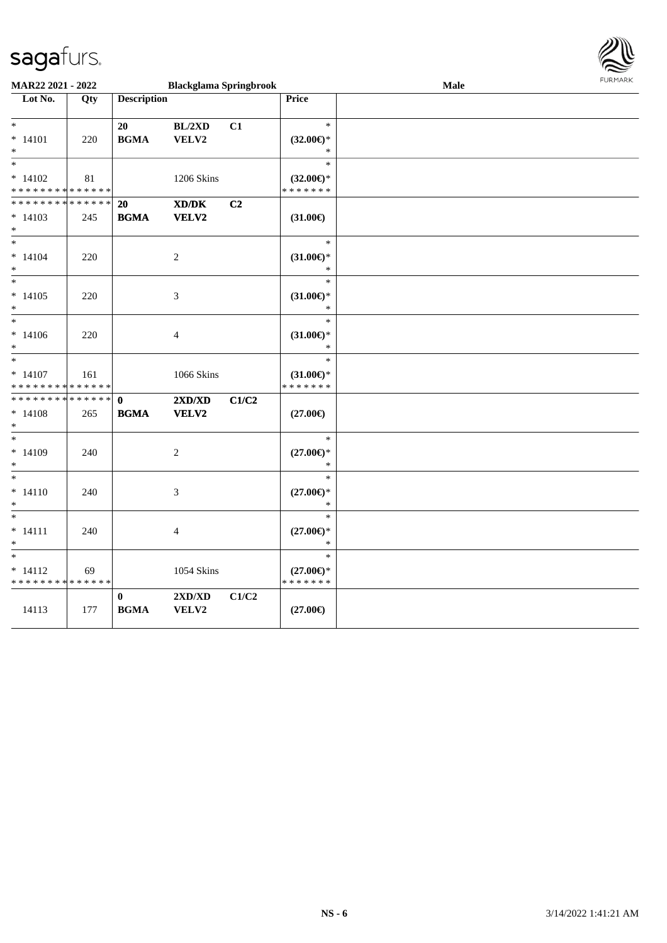

| MAR22 2021 - 2022<br><b>Blackglama Springbrook</b>        |     |                             |                                           |       | Male                                               | FURMARK |  |
|-----------------------------------------------------------|-----|-----------------------------|-------------------------------------------|-------|----------------------------------------------------|---------|--|
| Lot No.                                                   | Qty | <b>Description</b>          |                                           |       | Price                                              |         |  |
| $*$<br>$* 14101$<br>$*$                                   | 220 | 20<br><b>BGMA</b>           | BL/2XD<br>VELV2                           | C1    | $\ast$<br>$(32.00\epsilon)$ *<br>$\ast$            |         |  |
| $\ddot{\ast}$<br>$* 14102$<br>* * * * * * * * * * * * * * | 81  |                             | 1206 Skins                                |       | $\ast$<br>$(32.00\epsilon)$ *<br>* * * * * * *     |         |  |
| * * * * * * * * * * * * * * *<br>$* 14103$<br>$*$         | 245 | <b>20</b><br><b>BGMA</b>    | XD/DK<br>VELV2                            | C2    | $(31.00\epsilon)$                                  |         |  |
| $*$<br>$* 14104$<br>$*$                                   | 220 |                             | 2                                         |       | $\ast$<br>$(31.00\epsilon)$ *<br>$\ast$            |         |  |
| $\overline{\phantom{0}}$<br>$* 14105$<br>$*$              | 220 |                             | 3                                         |       | $\ast$<br>$(31.00\epsilon)$ *<br>$\ast$            |         |  |
| $*$<br>$* 14106$<br>$*$                                   | 220 |                             | 4                                         |       | $\ast$<br>$(31.00\epsilon)$ *<br>$\ast$            |         |  |
| $*$<br>$* 14107$<br>* * * * * * * * * * * * * *           | 161 |                             | 1066 Skins                                |       | $\ast$<br>$(31.00\epsilon)$ *<br>* * * * * * *     |         |  |
| * * * * * * * * * * * * * *<br>$*14108$<br>$\ast$         | 265 | $\mathbf{0}$<br><b>BGMA</b> | 2XD/XD<br>VELV2                           | C1/C2 | $(27.00\epsilon)$                                  |         |  |
| $\overline{\phantom{0}}$<br>$* 14109$<br>$*$              | 240 |                             | 2                                         |       | $\ast$<br>$(27.00\epsilon)$ *<br>$\ast$            |         |  |
| $*$<br>$* 14110$<br>$\ast$                                | 240 |                             | 3                                         |       | $\ast$<br>$(27.00\epsilon)$ *<br>$\ast$            |         |  |
| $*$<br>$* 14111$<br>$*$                                   | 240 |                             | $\overline{4}$                            |       | $\ast$<br>$(27.00\mathnormal{\infty})^*$<br>$\ast$ |         |  |
| $*$<br>$* 14112$<br>* * * * * * * * * * * * * *           | 69  |                             | <b>1054 Skins</b>                         |       | $\ast$<br>$(27.00\epsilon)$ *<br>* * * * * * *     |         |  |
| 14113                                                     | 177 | $\bf{0}$<br><b>BGMA</b>     | $2{\bf X}{\bf D}/{\bf X}{\bf D}$<br>VELV2 | C1/C2 | $(27.00\epsilon)$                                  |         |  |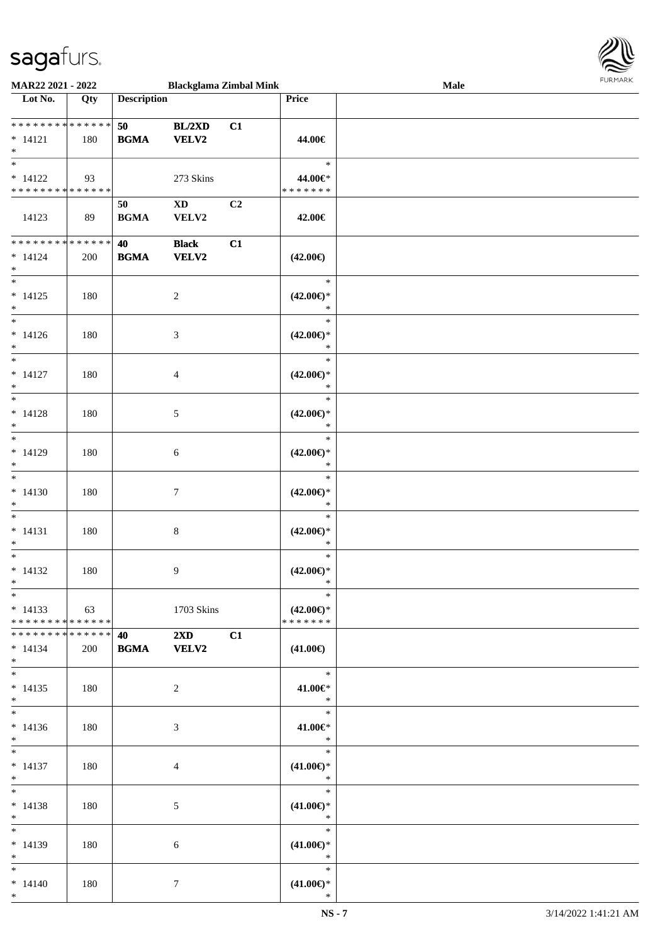

| <b>MAR22 2021 - 2022</b>        |     |                                   | <b>Blackglama Zimbal Mink</b> |                |                               | Male |
|---------------------------------|-----|-----------------------------------|-------------------------------|----------------|-------------------------------|------|
| Lot No.                         | Qty | <b>Description</b>                |                               |                | Price                         |      |
|                                 |     |                                   |                               |                |                               |      |
| **************                  |     | 50                                | BL/2XD                        | C1             |                               |      |
| $* 14121$                       | 180 | <b>BGMA</b>                       | <b>VELV2</b>                  |                | 44.00€                        |      |
| $\ast$                          |     |                                   |                               |                |                               |      |
| $\overline{\phantom{0}}$        |     |                                   |                               |                | $\ast$                        |      |
| $* 14122$                       | 93  |                                   | 273 Skins                     |                | 44.00€*                       |      |
| * * * * * * * * * * * * * *     |     |                                   |                               |                | * * * * * * *                 |      |
|                                 |     | 50                                | $\mathbf{X}\mathbf{D}$        | C <sub>2</sub> |                               |      |
| 14123                           |     |                                   |                               |                |                               |      |
|                                 | 89  | <b>BGMA</b>                       | VELV2                         |                | 42.00€                        |      |
| ******** <mark>******</mark>    |     |                                   |                               |                |                               |      |
|                                 |     | 40                                | <b>Black</b>                  | C1             |                               |      |
| $* 14124$                       | 200 | <b>BGMA</b>                       | VELV2                         |                | $(42.00\epsilon)$             |      |
| $*$<br>$\overline{\phantom{0}}$ |     |                                   |                               |                |                               |      |
|                                 |     |                                   |                               |                | $\ast$                        |      |
| $* 14125$                       | 180 |                                   | $\overline{c}$                |                | $(42.00\epsilon)$ *           |      |
| $\ast$                          |     |                                   |                               |                | $\ast$                        |      |
| $\overline{\phantom{0}}$        |     |                                   |                               |                | $\ast$                        |      |
| $* 14126$                       | 180 |                                   | 3                             |                | $(42.00\epsilon)$ *           |      |
| $\ast$                          |     |                                   |                               |                | $\ast$                        |      |
| $*$                             |     |                                   |                               |                | $\ast$                        |      |
| $* 14127$                       | 180 |                                   | 4                             |                | $(42.00\epsilon)$ *           |      |
| $\ast$                          |     |                                   |                               |                | $\ast$                        |      |
| $*$                             |     |                                   |                               |                | $\ast$                        |      |
| $* 14128$                       | 180 |                                   | 5                             |                | $(42.00\epsilon)$ *           |      |
| $\ast$                          |     |                                   |                               |                | $\ast$                        |      |
| $*$                             |     |                                   |                               |                | $\ast$                        |      |
| $* 14129$                       | 180 |                                   | 6                             |                | $(42.00\epsilon)$ *           |      |
| $*$                             |     |                                   |                               |                | $\ast$                        |      |
| $\overline{\phantom{a}^*}$      |     |                                   |                               |                | $\ast$                        |      |
| $* 14130$                       | 180 |                                   | $\tau$                        |                | $(42.00\epsilon)$ *           |      |
| $*$                             |     |                                   |                               |                | $\ast$                        |      |
| $*$                             |     |                                   |                               |                | $\ast$                        |      |
|                                 |     |                                   |                               |                |                               |      |
| $* 14131$                       | 180 |                                   | 8                             |                | $(42.00\epsilon)$ *           |      |
| $\ast$                          |     |                                   |                               |                | $\ast$                        |      |
| $\ast$                          |     |                                   |                               |                | $\ast$                        |      |
| $* 14132$                       | 180 |                                   | 9                             |                | $(42.00\epsilon)$ *           |      |
| $*$                             |     |                                   |                               |                | $\ast$                        |      |
| $*$                             |     |                                   |                               |                | $\ast$                        |      |
| $* 14133$                       | 63  |                                   | 1703 Skins                    |                | $(42.00\epsilon)$ *           |      |
| * * * * * * * * * * * * * *     |     |                                   |                               |                | * * * * * * *                 |      |
| * * * * * * * * * * * * * * *   |     | <b>40</b> and the set of $\theta$ | $2\mathbf{X}\mathbf{D}$       | C1             |                               |      |
| $* 14134$                       | 200 |                                   | <b>BGMA</b> VELV2             |                | $(41.00\epsilon)$             |      |
| $*$                             |     |                                   |                               |                |                               |      |
| $*$                             |     |                                   |                               |                | $*$                           |      |
| $* 14135$                       | 180 |                                   | 2                             |                | 41.00€*                       |      |
| $*$                             |     |                                   |                               |                | $\ast$                        |      |
|                                 |     |                                   |                               |                | $\ast$                        |      |
| $* 14136$                       | 180 |                                   | 3                             |                | 41.00€*                       |      |
| $*$                             |     |                                   |                               |                | $\ast$                        |      |
| $*$                             |     |                                   |                               |                | $\ast$                        |      |
| $* 14137$                       | 180 |                                   | 4                             |                | $(41.00\epsilon)$ *           |      |
| $*$                             |     |                                   |                               |                | $\ast$                        |      |
| $\ast$                          |     |                                   |                               |                | $\ast$                        |      |
|                                 |     |                                   |                               |                |                               |      |
| $* 14138$                       | 180 |                                   | 5                             |                | $(41.00\epsilon)$ *<br>$\ast$ |      |
| $*$<br>$*$                      |     |                                   |                               |                |                               |      |
|                                 |     |                                   |                               |                | $\ast$                        |      |
| $* 14139$                       | 180 |                                   | 6                             |                | $(41.00\epsilon)$ *           |      |
| $*$                             |     |                                   |                               |                | $\ast$                        |      |
| $*$ and $*$                     |     |                                   |                               |                | $\ast$                        |      |
| $* 14140$                       | 180 |                                   | $\tau$                        |                | $(41.00\epsilon)$ *           |      |
| $*$                             |     |                                   |                               |                | $\ast$                        |      |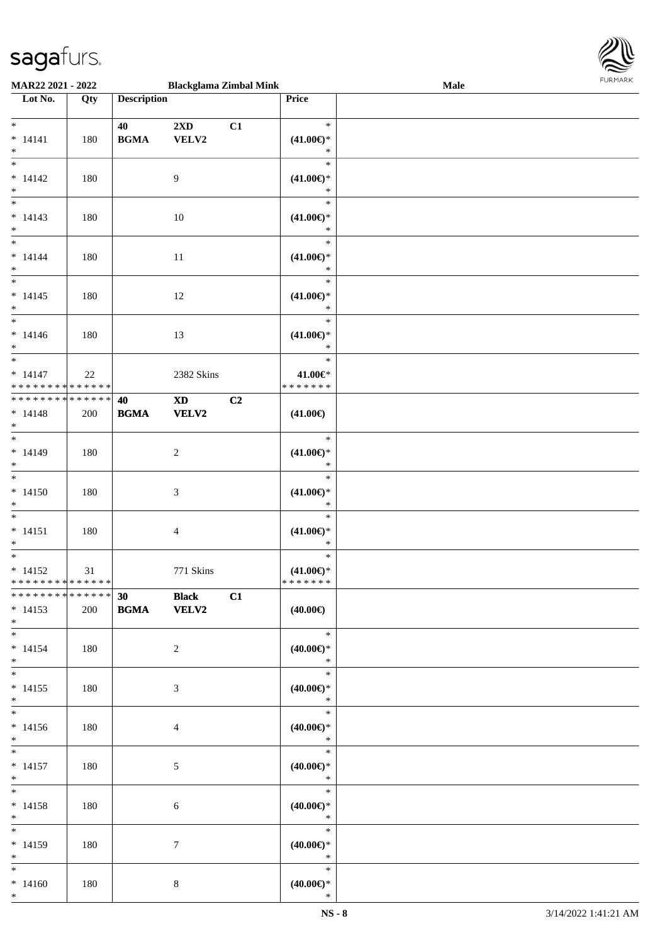

| MAR22 2021 - 2022                        |     |                    | <b>Blackglama Zimbal Mink</b> |    |                                         | Male | <b>FUNITANN</b> |
|------------------------------------------|-----|--------------------|-------------------------------|----|-----------------------------------------|------|-----------------|
| $\overline{\phantom{1}}$ Lot No.         | Qty | <b>Description</b> |                               |    | Price                                   |      |                 |
|                                          |     |                    |                               |    |                                         |      |                 |
| $*$<br>$* 14141$                         | 180 | 40<br><b>BGMA</b>  | 2XD<br>VELV2                  | C1 | $\ast$<br>$(41.00\epsilon)$ *           |      |                 |
| $\ast$<br>$\overline{\phantom{1}}$       |     |                    |                               |    | $\ast$                                  |      |                 |
| $* 14142$<br>$\ast$                      | 180 |                    | 9                             |    | $\ast$<br>$(41.00\epsilon)$ *<br>$\ast$ |      |                 |
| $\overline{\phantom{0}}$                 |     |                    |                               |    | $\ast$                                  |      |                 |
| $* 14143$<br>$\ast$                      | 180 |                    | 10                            |    | $(41.00\epsilon)$ *<br>$\ast$           |      |                 |
| $*$                                      |     |                    |                               |    | $\ast$                                  |      |                 |
| $* 14144$<br>$\ast$                      | 180 |                    | 11                            |    | $(41.00\epsilon)$ *<br>$\ast$           |      |                 |
|                                          |     |                    |                               |    | $\ast$                                  |      |                 |
| $* 14145$<br>$*$                         | 180 |                    | 12                            |    | $(41.00\epsilon)$ *<br>$\ast$           |      |                 |
|                                          |     |                    |                               |    | $\ast$                                  |      |                 |
| $* 14146$<br>$*$                         | 180 |                    | 13                            |    | $(41.00\epsilon)$ *<br>$\ast$           |      |                 |
| $*$                                      |     |                    |                               |    | $\ast$                                  |      |                 |
| $* 14147$<br>* * * * * * * * * * * * * * | 22  |                    | 2382 Skins                    |    | 41.00€*<br>* * * * * * *                |      |                 |
| ******** <mark>******</mark>             |     | 40                 | $\mathbf{X}\mathbf{D}$        | C2 |                                         |      |                 |
| $* 14148$<br>$*$                         | 200 | <b>BGMA</b>        | VELV2                         |    | $(41.00\epsilon)$                       |      |                 |
| $\overline{\ast}$                        |     |                    |                               |    | $\ast$                                  |      |                 |
| $* 14149$<br>$*$                         | 180 |                    | $\overline{c}$                |    | $(41.00\epsilon)$ *<br>$\ast$           |      |                 |
| $*$                                      |     |                    |                               |    | $\ast$                                  |      |                 |
| $* 14150$<br>$\ast$                      | 180 |                    | 3                             |    | $(41.00\epsilon)$ *<br>$\ast$           |      |                 |
| $\overline{\ast}$                        |     |                    |                               |    | $\ast$                                  |      |                 |
| $* 14151$                                | 180 |                    | 4                             |    | $(41.00\epsilon)$ *                     |      |                 |
| $*$<br>$\overline{\ast}$                 |     |                    |                               |    | $\ast$<br>$\ast$                        |      |                 |
| $* 14152$                                |     |                    |                               |    |                                         |      |                 |
| ******** <mark>******</mark>             | 31  |                    | 771 Skins                     |    | $(41.00\epsilon)$ *<br>* * * * * * *    |      |                 |
| * * * * * * * * * * * * * * *            |     | 30                 | <b>Black</b>                  | C1 |                                         |      |                 |
| $* 14153$<br>$*$                         | 200 | <b>BGMA</b> VELV2  |                               |    | $(40.00\epsilon)$                       |      |                 |
| $*$                                      |     |                    |                               |    | $\ast$                                  |      |                 |
| $* 14154$<br>$*$ $-$                     | 180 |                    | 2                             |    | $(40.00\epsilon)$ *<br>$\ast$           |      |                 |
| $*$                                      |     |                    |                               |    | $\ast$                                  |      |                 |
| $* 14155$<br>$*$                         | 180 |                    | 3                             |    | $(40.00\epsilon)$ *<br>$\ast$           |      |                 |
| $*$                                      |     |                    |                               |    | $\ast$                                  |      |                 |
| $* 14156$<br>$*$                         | 180 |                    | 4                             |    | $(40.00\epsilon)$ *<br>$\ast$           |      |                 |
| $*$                                      |     |                    |                               |    | $\ast$                                  |      |                 |
| $* 14157$<br>$*$ $-$                     | 180 |                    | 5                             |    | $(40.00\epsilon)$ *<br>$\ast$           |      |                 |
| $*$                                      |     |                    |                               |    | $\ast$                                  |      |                 |
| $* 14158$<br>$*$                         | 180 |                    | 6                             |    | $(40.00\epsilon)$ *<br>$\ast$           |      |                 |
| $*$                                      |     |                    |                               |    | $\ast$                                  |      |                 |
| $* 14159$<br>$*$ $-$                     | 180 |                    | 7                             |    | $(40.00\epsilon)$ *<br>$\ast$           |      |                 |
| $*$ and $*$                              |     |                    |                               |    | $\ast$                                  |      |                 |
| $*14160$<br>$*$                          | 180 |                    | 8                             |    | $(40.00\epsilon)$ *<br>$\ast$           |      |                 |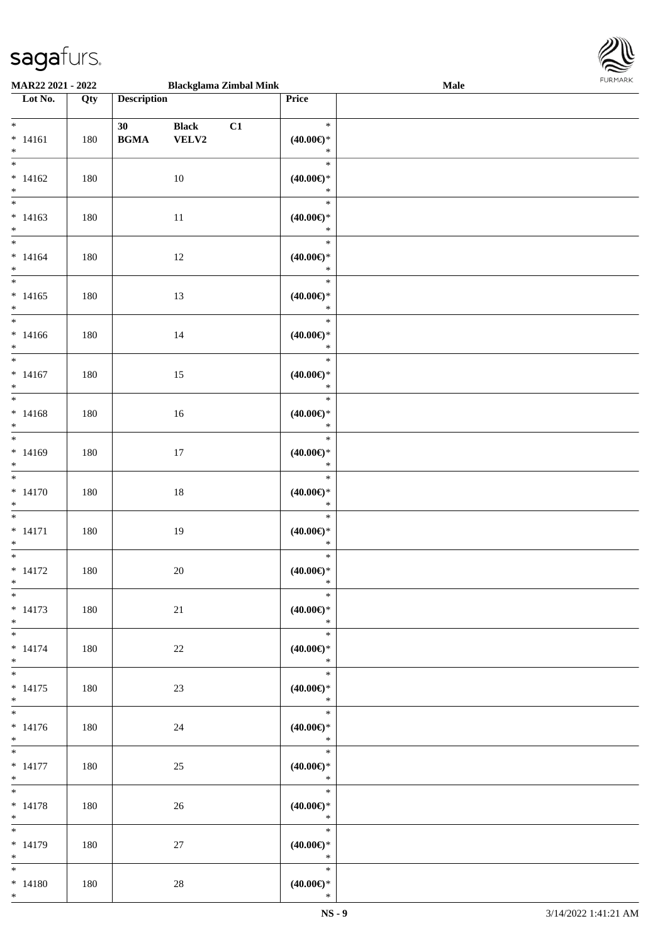

| MAR22 2021 - 2022                                                               |     |                    | <b>Blackglama Zimbal Mink</b> |    |                                         | <b>Male</b> |  |
|---------------------------------------------------------------------------------|-----|--------------------|-------------------------------|----|-----------------------------------------|-------------|--|
| Lot No.                                                                         | Qty | <b>Description</b> |                               |    | Price                                   |             |  |
| $\overline{\ast}$<br>$* 14161$<br>$\ast$                                        | 180 | 30<br><b>BGMA</b>  | <b>Black</b><br>VELV2         | C1 | $\ast$<br>$(40.00\epsilon)$ *<br>$\ast$ |             |  |
| $\overline{\phantom{0}}$<br>$* 14162$<br>$\ast$                                 | 180 |                    | 10                            |    | $\ast$<br>$(40.00\epsilon)$ *<br>$\ast$ |             |  |
| $\overline{\phantom{0}}$<br>$* 14163$<br>$\ast$                                 | 180 |                    | $11\,$                        |    | $\ast$<br>$(40.00\epsilon)$ *<br>$\ast$ |             |  |
| $\overline{\phantom{a}^*}$<br>$* 14164$<br>$\ast$<br>$\overline{\phantom{a}^*}$ | 180 |                    | 12                            |    | $\ast$<br>$(40.00\in)^\ast$<br>$\ast$   |             |  |
| $* 14165$<br>$\ast$<br>$_{\ast}^{-}$                                            | 180 |                    | 13                            |    | $\ast$<br>$(40.00\epsilon)$ *<br>$\ast$ |             |  |
| $* 14166$<br>$\ast$<br>$\overline{\ast}$                                        | 180 |                    | 14                            |    | $\ast$<br>(40.00)<br>$\ast$             |             |  |
| $* 14167$<br>$\ast$<br>$_{\ast}$                                                | 180 |                    | 15                            |    | $\ast$<br>$(40.00\epsilon)$ *<br>$\ast$ |             |  |
| $* 14168$<br>$\ast$<br>$\overline{\phantom{1}}$                                 | 180 |                    | $16\,$                        |    | $\ast$<br>$(40.00\epsilon)$ *<br>$\ast$ |             |  |
| $* 14169$<br>$\ast$<br>$\overline{\phantom{1}}$                                 | 180 |                    | 17                            |    | $\ast$<br>$(40.00\epsilon)$ *<br>$\ast$ |             |  |
| $* 14170$<br>$\ast$                                                             | 180 |                    | $18\,$                        |    | $\ast$<br>$(40.00\in)^\ast$<br>$\ast$   |             |  |
| $\ast$<br>$* 14171$<br>$\ast$                                                   | 180 |                    | 19                            |    | $\ast$<br>$(40.00 \in )^*$<br>$\ast$    |             |  |
| $\ast$<br>$* 14172$<br>$*$                                                      | 180 |                    | $20\,$                        |    | $\ast$<br>$(40.00\epsilon)$ *<br>$\ast$ |             |  |
| $*$<br>$* 14173$<br>$*$<br>$\overline{\ast}$                                    | 180 |                    | 21                            |    | $\ast$<br>$(40.00\epsilon)$ *<br>$*$    |             |  |
| $* 14174$<br>$*$<br>$\overline{\phantom{a}^*}$                                  | 180 |                    | $22\,$                        |    | $\ast$<br>$(40.00\epsilon)$ *<br>$\ast$ |             |  |
| $* 14175$<br>$*$<br>$\overline{\ast}$                                           | 180 |                    | 23                            |    | $\ast$<br>$(40.00\epsilon)$ *<br>$\ast$ |             |  |
| $* 14176$<br>$*$                                                                | 180 |                    | 24                            |    | $\ast$<br>$(40.00\epsilon)$ *<br>$\ast$ |             |  |
| $*$ $*$<br>$* 14177$<br>$*$                                                     | 180 |                    | 25                            |    | $\ast$<br>$(40.00\epsilon)$ *<br>$\ast$ |             |  |
| $\ast$<br>$* 14178$<br>$*$<br>$\overline{\phantom{a}^*}$                        | 180 |                    | 26                            |    | $\ast$<br>$(40.00\epsilon)$ *<br>$\ast$ |             |  |
| $* 14179$<br>$*$                                                                | 180 |                    | 27                            |    | $\ast$<br>$(40.00\epsilon)$ *<br>$\ast$ |             |  |
| $*$<br>$* 14180$<br>$*$                                                         | 180 |                    | $28\,$                        |    | $\ast$<br>$(40.00\epsilon)$ *<br>$\ast$ |             |  |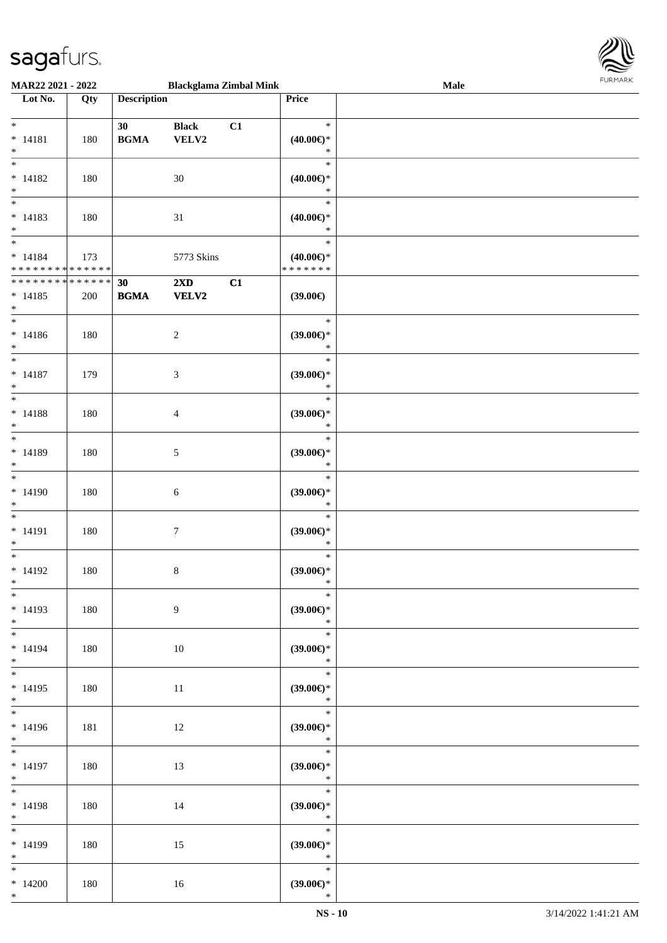

| MAR22 2021 - 2022                |     |                    | <b>Blackglama Zimbal Mink</b> |    |                               | Male | 1.91511111515 |
|----------------------------------|-----|--------------------|-------------------------------|----|-------------------------------|------|---------------|
| $\overline{\phantom{1}}$ Lot No. | Qty | <b>Description</b> |                               |    | Price                         |      |               |
|                                  |     |                    |                               |    |                               |      |               |
| $*$                              |     | 30                 | <b>Black</b>                  | C1 | $\ast$                        |      |               |
| $* 14181$                        | 180 | <b>BGMA</b>        | VELV2                         |    | $(40.00\epsilon)$ *           |      |               |
| $*$                              |     |                    |                               |    | $\ast$                        |      |               |
| $\overline{\phantom{0}}$         |     |                    |                               |    | $\ast$                        |      |               |
| $* 14182$                        | 180 |                    | $30\,$                        |    | $(40.00\epsilon)$ *           |      |               |
| $*$                              |     |                    |                               |    | $\ast$                        |      |               |
| $\overline{\phantom{0}}$         |     |                    |                               |    | $\ast$                        |      |               |
| $* 14183$                        | 180 |                    | 31                            |    | $(40.00\epsilon)$ *           |      |               |
| $*$                              |     |                    |                               |    | $\ast$                        |      |               |
| $*$                              |     |                    |                               |    | $\ast$                        |      |               |
| $* 14184$                        | 173 |                    | 5773 Skins                    |    | $(40.00\epsilon)$ *           |      |               |
| * * * * * * * * * * * * * *      |     |                    |                               |    | * * * * * * *                 |      |               |
| * * * * * * * * * * * * * * *    |     | 30                 | $2\mathbf{X}\mathbf{D}$       | C1 |                               |      |               |
| $* 14185$                        | 200 | <b>BGMA</b>        | VELV2                         |    | (39.00)                       |      |               |
| $\ast$                           |     |                    |                               |    |                               |      |               |
| $*$                              |     |                    |                               |    | $\ast$                        |      |               |
| $* 14186$                        | 180 |                    | $\overline{2}$                |    | $(39.00\epsilon)$ *           |      |               |
| $*$                              |     |                    |                               |    | $\ast$                        |      |               |
| $*$                              |     |                    |                               |    | $\ast$                        |      |               |
| $* 14187$                        | 179 |                    | 3                             |    | $(39.00\epsilon)$ *           |      |               |
| $*$                              |     |                    |                               |    | $\ast$                        |      |               |
| $*$                              |     |                    |                               |    | $\ast$                        |      |               |
| $* 14188$                        | 180 |                    | $\overline{4}$                |    | $(39.00\epsilon)$ *           |      |               |
| $\ast$<br>$\overline{\ast}$      |     |                    |                               |    | $\ast$                        |      |               |
|                                  |     |                    |                               |    | $\ast$                        |      |               |
| $* 14189$                        | 180 |                    | 5                             |    | $(39.00\epsilon)$ *           |      |               |
| $\ast$<br>$\overline{\ast}$      |     |                    |                               |    | $\ast$                        |      |               |
|                                  |     |                    |                               |    | $\ast$                        |      |               |
| $* 14190$                        | 180 |                    | 6                             |    | $(39.00\epsilon)$ *<br>$\ast$ |      |               |
| $\ast$<br>$\ast$                 |     |                    |                               |    | $\ast$                        |      |               |
|                                  |     |                    |                               |    |                               |      |               |
| $* 14191$<br>$*$                 | 180 |                    | $\boldsymbol{7}$              |    | $(39.00\epsilon)$ *<br>$\ast$ |      |               |
| $\ast$                           |     |                    |                               |    | $\ast$                        |      |               |
| $* 14192$                        |     |                    |                               |    | $(39.00\epsilon)$ *           |      |               |
| $*$ $-$                          | 180 |                    | $\,8\,$                       |    | $*$                           |      |               |
| $\ast$                           |     |                    |                               |    | $\ast$                        |      |               |
| $* 14193$                        | 180 |                    | 9                             |    | $(39.00\epsilon)$ *           |      |               |
| $*$                              |     |                    |                               |    | $\ast$                        |      |               |
| $*$                              |     |                    |                               |    | $\ast$                        |      |               |
| $* 14194$                        | 180 |                    | 10                            |    | $(39.00\epsilon)$ *           |      |               |
| $*$                              |     |                    |                               |    | $\ast$                        |      |               |
| $*$                              |     |                    |                               |    | $\ast$                        |      |               |
| $* 14195$                        | 180 |                    | 11                            |    | $(39.00\epsilon)$ *           |      |               |
| $*$                              |     |                    |                               |    | $\ast$                        |      |               |
| $*$                              |     |                    |                               |    | $\ast$                        |      |               |
| $* 14196$                        | 181 |                    | 12                            |    | $(39.00\epsilon)$ *           |      |               |
| $*$                              |     |                    |                               |    | $\ast$                        |      |               |
| $*$                              |     |                    |                               |    | $\ast$                        |      |               |
| $* 14197$                        | 180 |                    | 13                            |    | $(39.00\epsilon)$ *           |      |               |
| $*$ and $*$                      |     |                    |                               |    | $\ast$                        |      |               |
| $*$ $*$                          |     |                    |                               |    | $\ast$                        |      |               |
| $* 14198$                        | 180 |                    | 14                            |    | $(39.00\epsilon)$ *           |      |               |
| $*$                              |     |                    |                               |    | $\ast$                        |      |               |
| $*$                              |     |                    |                               |    | $\ast$                        |      |               |
| $* 14199$                        | 180 |                    | 15                            |    | $(39.00\epsilon)$ *           |      |               |
| $*$                              |     |                    |                               |    | $\ast$                        |      |               |
| $\ast$                           |     |                    |                               |    | $\ast$                        |      |               |
| $*14200$                         | 180 |                    | 16                            |    | $(39.00\epsilon)$ *           |      |               |
| $*$                              |     |                    |                               |    | $\ast$                        |      |               |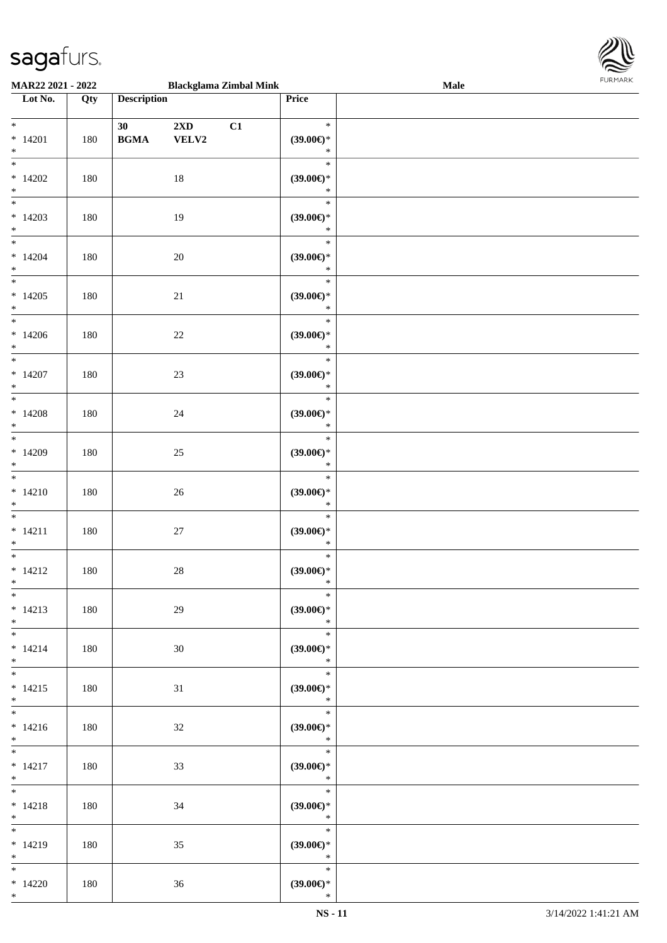

| MAR22 2021 - 2022                                 |     |                                                  |                                  | <b>Blackglama Zimbal Mink</b> |                                               | <b>Male</b> |  |
|---------------------------------------------------|-----|--------------------------------------------------|----------------------------------|-------------------------------|-----------------------------------------------|-------------|--|
| Lot No.                                           | Qty | <b>Description</b>                               |                                  |                               | Price                                         |             |  |
| $*$<br>$* 14201$<br>$\ast$                        | 180 | 30<br>$\mathbf{B}\mathbf{G}\mathbf{M}\mathbf{A}$ | $2\mathbf{X}\mathbf{D}$<br>VELV2 | C1                            | $\ast$<br>(39.00)<br>$\ast$                   |             |  |
| $\overline{\ast}$<br>$*14202$<br>$\ast$           | 180 |                                                  | $18\,$                           |                               | $\ast$<br>(39.00)<br>$\ast$                   |             |  |
| $\overline{\ast}$<br>$*14203$<br>$\ast$           | 180 |                                                  | 19                               |                               | $\ast$<br>(39.00)<br>$\ast$                   |             |  |
| $\overline{\phantom{a}^*}$<br>$*14204$<br>$\ast$  | 180 |                                                  | 20                               |                               | $\ast$<br>$(39.00\epsilon)$ *<br>$\ast$       |             |  |
| $\overline{\ast}$<br>$*14205$<br>$\ast$           | 180 |                                                  | 21                               |                               | $\ast$<br>$(39.00\in)^\ast$<br>$\ast$         |             |  |
| $\ast$<br>$*14206$<br>$\ast$<br>$\overline{\ast}$ | 180 |                                                  | 22                               |                               | $\ast$<br>(39.00)<br>$\ast$                   |             |  |
| $*14207$<br>$\ast$<br>$\overline{\phantom{a}^*}$  | 180 |                                                  | 23                               |                               | $\ast$<br>(39.00)<br>$\ast$                   |             |  |
| $*14208$<br>$\ast$                                | 180 |                                                  | $24\,$                           |                               | $\ast$<br>(39.00)<br>$\ast$                   |             |  |
| $\ast$<br>$*14209$<br>$\ast$<br>$\ast$            | 180 |                                                  | $25\,$                           |                               | $\ast$<br>(39.00)<br>$\ast$                   |             |  |
| $*14210$<br>$\ast$<br>$\overline{\phantom{0}}$    | 180 |                                                  | 26                               |                               | $\ast$<br>(39.00)<br>$\ast$                   |             |  |
| $* 14211$<br>$\ast$<br>$\ast$                     | 180 |                                                  | $27\,$                           |                               | $\ast$<br>$(39.00\in)^\ast$<br>$\ast$         |             |  |
| $* 14212$<br>$*$<br>$*$                           | 180 |                                                  | $28\,$                           |                               | $\ast$<br>(39.00)<br>$\ast$<br>$\ast$         |             |  |
| $* 14213$<br>$*$<br>$\overline{\phantom{0}}$      | 180 |                                                  | 29                               |                               | (39.00)<br>$\ast$<br>$\ast$                   |             |  |
| $* 14214$<br>$*$<br>$*$                           | 180 |                                                  | 30                               |                               | $(39.00\epsilon)$ *<br>$\ast$<br>$\ast$       |             |  |
| $* 14215$<br>$*$<br>$*$                           | 180 |                                                  | 31                               |                               | (39.00)<br>$\ast$<br>$\overline{\phantom{0}}$ |             |  |
| $* 14216$<br>$*$                                  | 180 |                                                  | $32\,$                           |                               | $(39.00\epsilon)$ *<br>$\ast$<br>$\ast$       |             |  |
| $* 14217$<br>$*$<br>$*$ and $*$                   | 180 |                                                  | 33                               |                               | (39.00)<br>$\mathbb{R}^n$<br>$\ast$           |             |  |
| $* 14218$<br>$*$ $-$<br>$*$                       | 180 |                                                  | 34                               |                               | $(39.00\epsilon)$ *<br>$\ast$<br>$\ast$       |             |  |
| $* 14219$<br>$*$<br>$\overline{\phantom{0}}$      | 180 |                                                  | 35                               |                               | $(39.00\epsilon)$ *<br>$\ast$<br>$\ast$       |             |  |
| $*14220$<br>$*$                                   | 180 |                                                  | 36                               |                               | $(39.00\epsilon)$ *<br>$\ast$                 |             |  |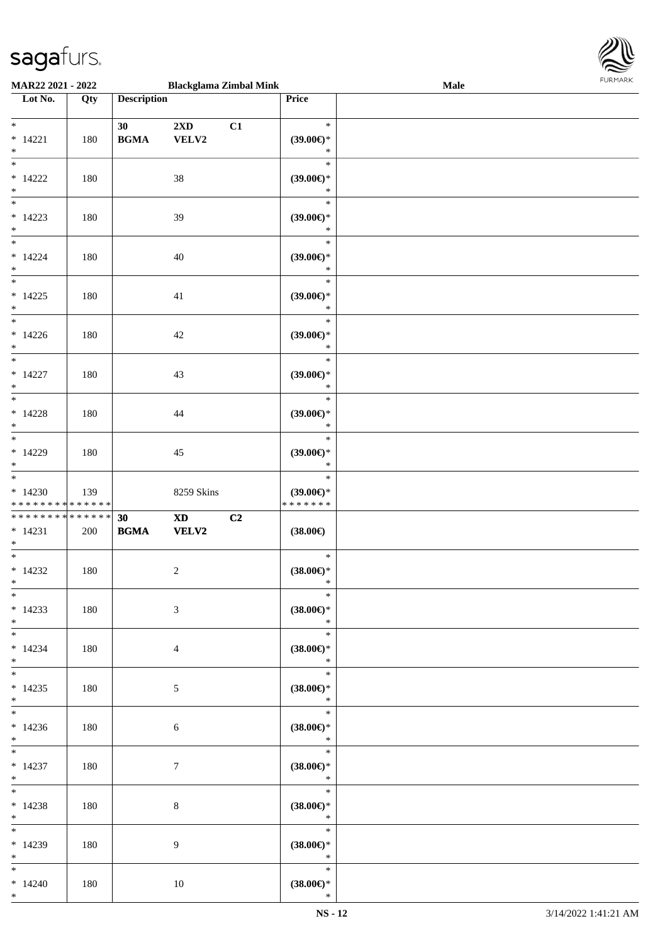

| MAR22 2021 - 2022                                                 |     |                                                  | <b>Blackglama Zimbal Mink</b>                      |                                                | Male | 10111111111 |
|-------------------------------------------------------------------|-----|--------------------------------------------------|----------------------------------------------------|------------------------------------------------|------|-------------|
| Lot No.                                                           | Qty | <b>Description</b>                               |                                                    | Price                                          |      |             |
| $\ast$<br>$* 14221$<br>$\ast$                                     | 180 | 30<br><b>BGMA</b>                                | $2{\bf X}{\bf D}$<br>C1<br>VELV2                   | $\ast$<br>$(39.00\epsilon)$ *<br>$\ast$        |      |             |
| $*$<br>$*14222$<br>$\ast$                                         | 180 |                                                  | $38\,$                                             | $\ast$<br>(39.00)<br>$\ast$                    |      |             |
| $\overline{\phantom{0}}$<br>$* 14223$<br>$\ast$                   | 180 |                                                  | 39                                                 | $\ast$<br>(39.00)<br>$\ast$                    |      |             |
| $*$<br>$* 14224$<br>$\ast$                                        | 180 |                                                  | 40                                                 | $\ast$<br>$(39.00\epsilon)$ *<br>$\ast$        |      |             |
| $\overline{\ast}$<br>$* 14225$<br>$\ast$                          | 180 |                                                  | 41                                                 | $\ast$<br>(39.00)<br>$\ast$                    |      |             |
| $\overline{\phantom{a}^*}$<br>$*14226$<br>$\ast$                  | 180 |                                                  | 42                                                 | $\ast$<br>(39.00)<br>$\ast$                    |      |             |
| $\ast$<br>$* 14227$<br>$\ast$                                     | 180 |                                                  | 43                                                 | $\ast$<br>$(39.00\epsilon)$ *<br>$\ast$        |      |             |
| $\overline{\phantom{a}^*}$<br>$* 14228$<br>$\ast$                 | 180 |                                                  | 44                                                 | $\ast$<br>(39.00)<br>$\ast$                    |      |             |
| $\overline{\phantom{0}}$<br>$*14229$<br>$\ast$                    | 180 |                                                  | 45                                                 | $\ast$<br>$(39.00\epsilon)$ *<br>$\ast$        |      |             |
| $\ast$<br>$*14230$<br>* * * * * * * * * * * * * *                 | 139 |                                                  | 8259 Skins                                         | $\ast$<br>$(39.00\epsilon)$ *<br>* * * * * * * |      |             |
| * * * * * * * * <mark>* * * * * * *</mark><br>$* 14231$<br>$\ast$ | 200 | 30<br>$\mathbf{B}\mathbf{G}\mathbf{M}\mathbf{A}$ | C2<br>$\boldsymbol{\textbf{X}\textbf{D}}$<br>VELV2 | $(38.00\in)$                                   |      |             |
| $*$<br>$*14232$<br>$*$                                            | 180 |                                                  | $\sqrt{2}$                                         | $\ast$<br>$(38.00\epsilon)$ *<br>$\ast$        |      |             |
| $*$<br>$*14233$<br>$*$                                            | 180 |                                                  | $\mathfrak{Z}$                                     | $\ast$<br>$(38.00\epsilon)$ *<br>$\ast$        |      |             |
| $\overline{\phantom{0}}$<br>$* 14234$<br>$\ast$                   | 180 |                                                  | $\overline{4}$                                     | $\ast$<br>$(38.00\epsilon)$ *<br>$\ast$        |      |             |
| $*$<br>$*14235$<br>$*$                                            | 180 |                                                  | 5                                                  | $\ast$<br>$(38.00\epsilon)$ *<br>$\ast$        |      |             |
| $\overline{\phantom{0}}$<br>$*14236$<br>$*$                       | 180 |                                                  | 6                                                  | $\ast$<br>$(38.00\epsilon)$ *<br>$\ast$        |      |             |
| $\ast$<br>$* 14237$<br>$*$ $*$                                    | 180 |                                                  | $\tau$                                             | $\ast$<br>$(38.00\epsilon)$ *<br>$\ast$        |      |             |
| $*$<br>$* 14238$<br>$*$                                           | 180 |                                                  | $\,8\,$                                            | $\ast$<br>$(38.00\epsilon)$ *<br>$\ast$        |      |             |
| $\ast$<br>$*14239$<br>$*$                                         | 180 |                                                  | 9                                                  | $\ast$<br>$(38.00\epsilon)$ *<br>$\ast$        |      |             |
| $\ast$<br>$*14240$<br>$*$                                         | 180 |                                                  | 10                                                 | $\ast$<br>$(38.00\epsilon)$ *<br>$\ast$        |      |             |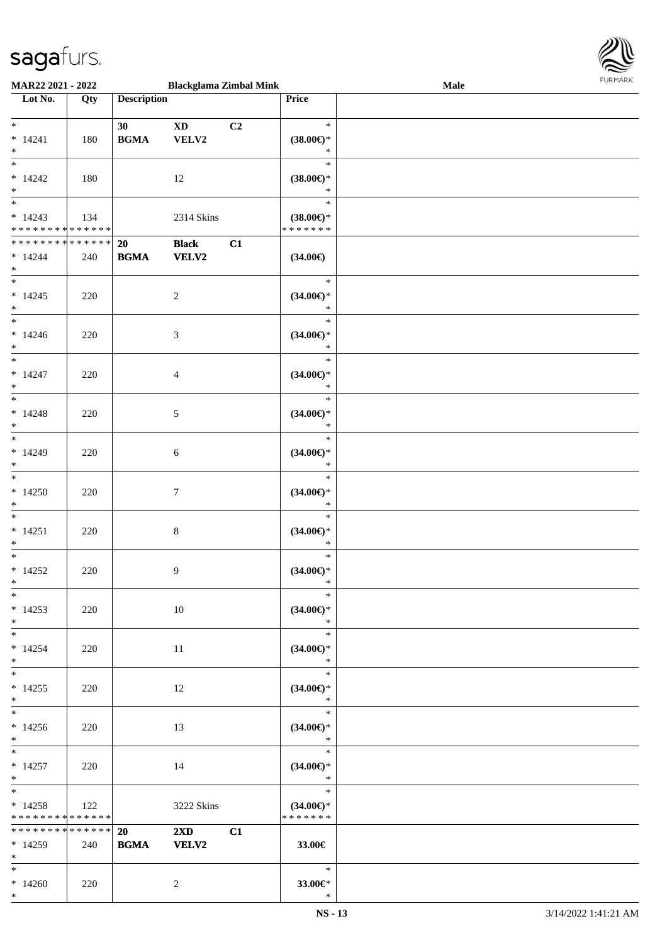

| <b>MAR22 2021 - 2022</b>                   |     |                    | <b>Blackglama Zimbal Mink</b> |                |                          | Male |  |
|--------------------------------------------|-----|--------------------|-------------------------------|----------------|--------------------------|------|--|
| Lot No.                                    | Qty | <b>Description</b> |                               |                | Price                    |      |  |
|                                            |     |                    |                               |                |                          |      |  |
| $*$                                        |     | 30                 | $\mathbf{X}\mathbf{D}$        | C <sub>2</sub> | $\ast$                   |      |  |
| $* 14241$                                  | 180 | <b>BGMA</b>        | VELV2                         |                | $(38.00\epsilon)$ *      |      |  |
| $*$                                        |     |                    |                               |                | $\ast$                   |      |  |
|                                            |     |                    |                               |                | $\ast$                   |      |  |
| $*14242$                                   | 180 |                    | 12                            |                | $(38.00\epsilon)$ *      |      |  |
| $*$                                        |     |                    |                               |                | $\ast$                   |      |  |
| $\overline{\phantom{0}}$                   |     |                    |                               |                | $\ast$                   |      |  |
|                                            |     |                    |                               |                |                          |      |  |
| $* 14243$                                  | 134 |                    | 2314 Skins                    |                | $(38.00\epsilon)$ *      |      |  |
| * * * * * * * * * * * * * * *              |     |                    |                               |                | * * * * * * *            |      |  |
| ******** <mark>******</mark>               |     | 20                 | <b>Black</b>                  | C1             |                          |      |  |
| $* 14244$                                  | 240 | <b>BGMA</b>        | <b>VELV2</b>                  |                | $(34.00\epsilon)$        |      |  |
| $*$                                        |     |                    |                               |                |                          |      |  |
| $*$                                        |     |                    |                               |                | $\ast$                   |      |  |
| $* 14245$                                  | 220 |                    | $\overline{c}$                |                | $(34.00\epsilon)$ *      |      |  |
| $*$                                        |     |                    |                               |                | $\ast$                   |      |  |
| $\overline{\phantom{0}}$                   |     |                    |                               |                | $\ast$                   |      |  |
|                                            |     |                    |                               |                |                          |      |  |
| $*14246$                                   | 220 |                    | 3                             |                | $(34.00\epsilon)$ *      |      |  |
| $*$                                        |     |                    |                               |                | $\ast$                   |      |  |
|                                            |     |                    |                               |                | $\ast$                   |      |  |
| $* 14247$                                  | 220 |                    | $\overline{4}$                |                | $(34.00\epsilon)$ *      |      |  |
| $*$                                        |     |                    |                               |                | $\ast$                   |      |  |
| $*$                                        |     |                    |                               |                | $\ast$                   |      |  |
| $* 14248$                                  | 220 |                    | 5                             |                | $(34.00\epsilon)$ *      |      |  |
| $*$                                        |     |                    |                               |                | $\ast$                   |      |  |
| $\overline{\phantom{0}}$                   |     |                    |                               |                | $\ast$                   |      |  |
|                                            |     |                    |                               |                |                          |      |  |
| $* 14249$                                  | 220 |                    | 6                             |                | $(34.00\epsilon)$ *      |      |  |
| $*$                                        |     |                    |                               |                | $\ast$                   |      |  |
| $*$                                        |     |                    |                               |                | $\ast$                   |      |  |
| $*14250$                                   | 220 |                    | $7\phantom{.0}$               |                | $(34.00\epsilon)$ *      |      |  |
| $*$                                        |     |                    |                               |                | $\ast$                   |      |  |
| $*$                                        |     |                    |                               |                | $\ast$                   |      |  |
| $* 14251$                                  | 220 |                    | $\,8\,$                       |                | $(34.00\epsilon)$ *      |      |  |
| $*$                                        |     |                    |                               |                | $\ast$                   |      |  |
| $*$                                        |     |                    |                               |                | $\ast$                   |      |  |
| $*14252$                                   | 220 |                    | 9                             |                | $(34.00\epsilon)$ *      |      |  |
| $*$                                        |     |                    |                               |                | $\ast$                   |      |  |
| $*$                                        |     |                    |                               |                | $*$                      |      |  |
|                                            |     |                    |                               |                |                          |      |  |
| $*14253$                                   | 220 |                    | 10                            |                | $(34.00\epsilon)$ *      |      |  |
| $*$                                        |     |                    |                               |                | $\ast$                   |      |  |
| $*$                                        |     |                    |                               |                | $\ast$                   |      |  |
| $*14254$                                   | 220 |                    | 11                            |                | $(34.00\epsilon)$ *      |      |  |
| $*$                                        |     |                    |                               |                | $\ast$                   |      |  |
| $*$                                        |     |                    |                               |                | $\ast$                   |      |  |
| $*14255$                                   | 220 |                    | 12                            |                | $(34.00\epsilon)$ *      |      |  |
| $*$                                        |     |                    |                               |                | $\ast$                   |      |  |
|                                            |     |                    |                               |                | $\overline{\phantom{a}}$ |      |  |
| $*14256$                                   |     |                    |                               |                |                          |      |  |
|                                            | 220 |                    | 13                            |                | $(34.00\epsilon)$ *      |      |  |
| $*$<br>$\ast$                              |     |                    |                               |                | $\ast$<br>$-$ *          |      |  |
|                                            |     |                    |                               |                |                          |      |  |
| $*14257$                                   | 220 |                    | 14                            |                | $(34.00\epsilon)$ *      |      |  |
| $*$                                        |     |                    |                               |                | $\ast$                   |      |  |
| $*$ $-$                                    |     |                    |                               |                | $ *$                     |      |  |
| $*14258$                                   | 122 |                    | 3222 Skins                    |                | $(34.00\epsilon)$ *      |      |  |
| * * * * * * * * <mark>* * * * * *</mark> * |     |                    |                               |                | * * * * * * *            |      |  |
| * * * * * * * * <mark>* * * * * * *</mark> |     | 20                 | $2\mathbf{X}\mathbf{D}$       | C1             |                          |      |  |
| $*14259$                                   | 240 | <b>BGMA</b>        | <b>VELV2</b>                  |                | 33.00€                   |      |  |
| $*$ $-$                                    |     |                    |                               |                |                          |      |  |
| $*$                                        |     |                    |                               |                | $\ast$                   |      |  |
| $*14260$                                   | 220 |                    | $\overline{2}$                |                | 33.00€*                  |      |  |
|                                            |     |                    |                               |                |                          |      |  |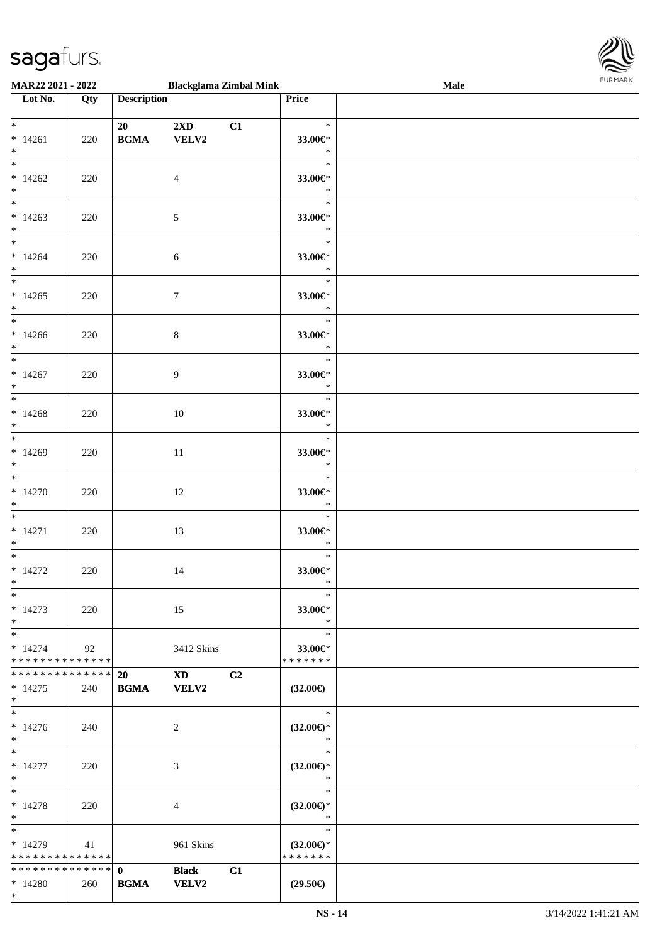

| MAR22 2021 - 2022                                                   |     |                             | <b>Blackglama Zimbal Mink</b>                                    |    |                                                | Male |  |
|---------------------------------------------------------------------|-----|-----------------------------|------------------------------------------------------------------|----|------------------------------------------------|------|--|
| Lot No.                                                             | Qty | <b>Description</b>          |                                                                  |    | Price                                          |      |  |
| $\ddot{x}$                                                          |     | 20                          | $2\mathbf{X}\mathbf{D}$                                          | C1 | $\ast$                                         |      |  |
| $* 14261$<br>$*$                                                    | 220 | <b>BGMA</b>                 | VELV2                                                            |    | 33.00€*<br>$\ast$                              |      |  |
| $\overline{\ast}$<br>$*14262$<br>$\ast$                             | 220 |                             | $\overline{4}$                                                   |    | $\ast$<br>33.00€*<br>$\ast$                    |      |  |
| $*14263$<br>$*$                                                     | 220 |                             | $\sqrt{5}$                                                       |    | $\ast$<br>33.00€*<br>$\ast$                    |      |  |
| $*14264$<br>$*$                                                     | 220 |                             | 6                                                                |    | $\ast$<br>33.00€*<br>$\ast$                    |      |  |
| $*14265$<br>$*$                                                     | 220 |                             | $\tau$                                                           |    | $\ast$<br>33.00€*<br>$\ast$                    |      |  |
| $\overline{\ast}$<br>$*14266$<br>$*$                                | 220 |                             | $\,8\,$                                                          |    | $\ast$<br>33.00€*<br>$\ast$                    |      |  |
| $\overline{\phantom{0}}$<br>$*14267$<br>$*$                         | 220 |                             | 9                                                                |    | $\ast$<br>33.00€*<br>$\ast$                    |      |  |
| $*$<br>$*14268$<br>$\ast$                                           | 220 |                             | 10                                                               |    | $\ast$<br>33.00€*<br>$\ast$                    |      |  |
| $*$<br>$*14269$<br>$*$                                              | 220 |                             | 11                                                               |    | $\ast$<br>33.00€*<br>$\ast$                    |      |  |
| $*$<br>$*14270$<br>$*$                                              | 220 |                             | 12                                                               |    | $\ast$<br>33.00€*<br>$\ast$                    |      |  |
| $*$<br>$* 14271$<br>$\ast$                                          | 220 |                             | 13                                                               |    | $\ast$<br>33.00€*<br>$\ast$                    |      |  |
| $*$<br>$*14272$<br>$*$                                              | 220 |                             | 14                                                               |    | $\ast$<br>33.00€*<br>$\ast$                    |      |  |
| $\ast$<br>$*14273$<br>$*$                                           | 220 |                             | 15                                                               |    | $\ast$<br>33.00€*<br>$\ast$                    |      |  |
| $*$<br>$* 14274$<br>* * * * * * * * * * * * * *                     | 92  |                             | 3412 Skins                                                       |    | $\ast$<br>33.00€*<br>* * * * * * *             |      |  |
| * * * * * * * * * * * * * * *<br>$* 14275$<br>$*$                   | 240 | <b>20</b><br><b>BGMA</b>    | $\boldsymbol{\mathrm{X}}\boldsymbol{\mathrm{D}}$<br><b>VELV2</b> | C2 | $(32.00\epsilon)$                              |      |  |
| $\overline{\phantom{0}}$<br>$* 14276$<br>$*$                        | 240 |                             | 2                                                                |    | $\ast$<br>$(32.00\epsilon)$ *<br>$\ast$        |      |  |
| $*$<br>$* 14277$<br>$*$                                             | 220 |                             | 3                                                                |    | $\ast$<br>$(32.00\epsilon)$ *<br>$\ast$        |      |  |
| $*$<br>$* 14278$<br>$*$                                             | 220 |                             | 4                                                                |    | $\ast$<br>$(32.00\epsilon)$ *<br>$\ast$        |      |  |
| $\overline{\phantom{0}}$<br>$*14279$<br>* * * * * * * * * * * * * * | 41  |                             | 961 Skins                                                        |    | $\ast$<br>$(32.00\epsilon)$ *<br>* * * * * * * |      |  |
| * * * * * * * * * * * * * * *<br>$*14280$<br>$*$                    | 260 | $\mathbf{0}$<br><b>BGMA</b> | <b>Black</b><br><b>VELV2</b>                                     | C1 | $(29.50\epsilon)$                              |      |  |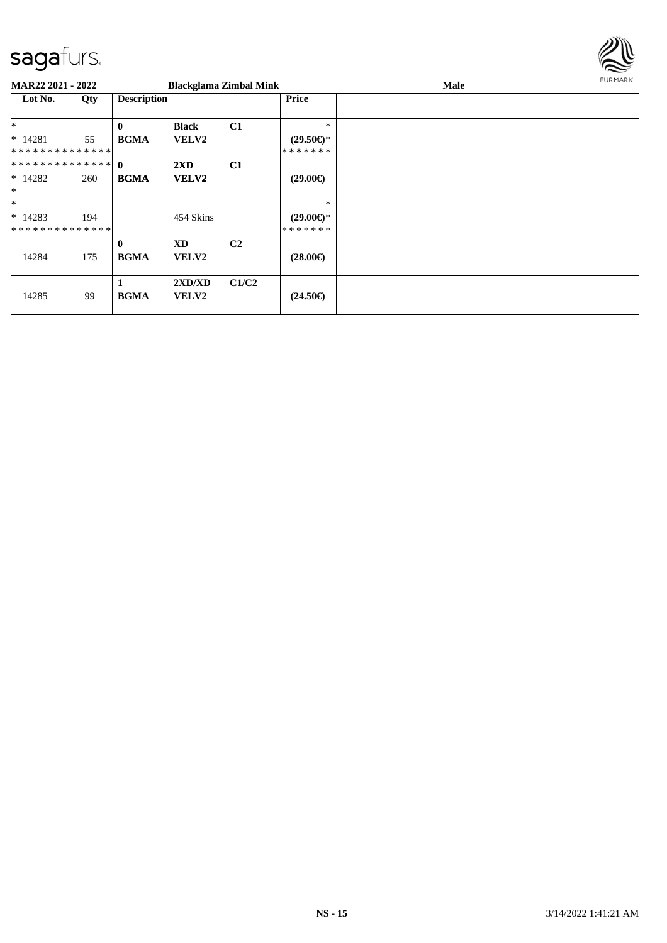

| <b>MAR22 2021 - 2022</b>    |     |                    | <b>Blackglama Zimbal Mink</b> |                |                     | Male | FURMARK |
|-----------------------------|-----|--------------------|-------------------------------|----------------|---------------------|------|---------|
| Lot No.                     | Qty | <b>Description</b> |                               |                | <b>Price</b>        |      |         |
| $\ast$                      |     | $\mathbf{0}$       | <b>Black</b>                  | C <sub>1</sub> | $\ast$              |      |         |
| $* 14281$                   | 55  | <b>BGMA</b>        | <b>VELV2</b>                  |                | $(29.50\epsilon)$ * |      |         |
| **************              |     |                    |                               |                | *******             |      |         |
|                             |     |                    | $2\mathbf{X}\mathbf{D}$       | C1             |                     |      |         |
| $*14282$                    | 260 | <b>BGMA</b>        | <b>VELV2</b>                  |                | $(29.00\epsilon)$   |      |         |
| $\ast$                      |     |                    |                               |                |                     |      |         |
| $\ast$                      |     |                    |                               |                | $\ast$              |      |         |
| $*14283$                    | 194 |                    | 454 Skins                     |                | $(29.00\epsilon)$ * |      |         |
| * * * * * * * * * * * * * * |     |                    |                               |                | *******             |      |         |
|                             |     | $\mathbf{0}$       | <b>XD</b>                     | C <sub>2</sub> |                     |      |         |
| 14284                       | 175 | <b>BGMA</b>        | <b>VELV2</b>                  |                | $(28.00\epsilon)$   |      |         |
|                             |     |                    |                               |                |                     |      |         |
|                             |     | 1                  | 2XD/XD                        | C1/C2          |                     |      |         |
| 14285                       | 99  | <b>BGMA</b>        | <b>VELV2</b>                  |                | $(24.50\epsilon)$   |      |         |
|                             |     |                    |                               |                |                     |      |         |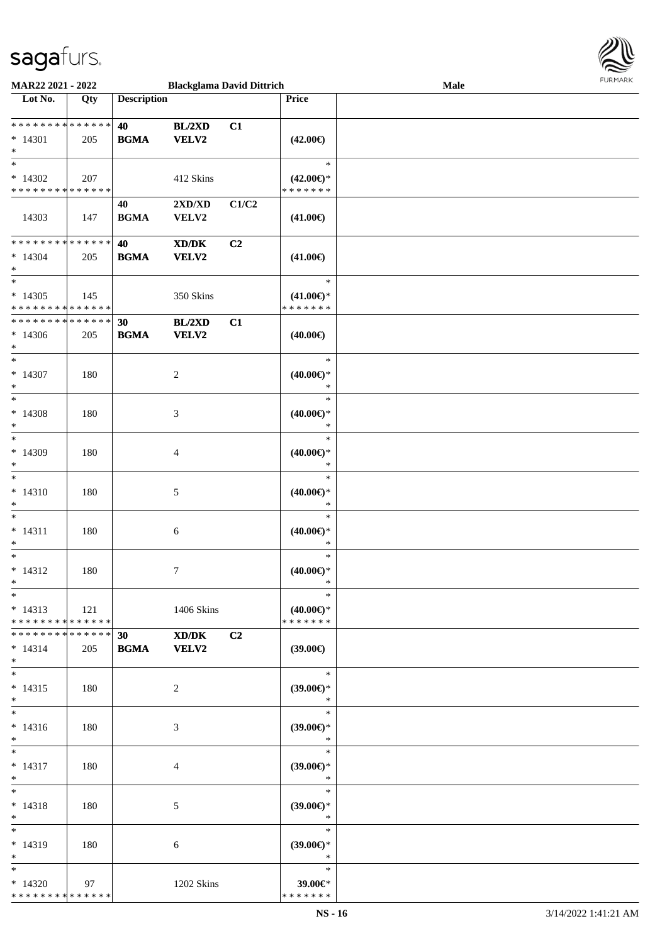

| MAR22 2021 - 2022                                      |                    |                    | <b>Blackglama David Dittrich</b>                                                                                     |       |                                                   | Male |  |
|--------------------------------------------------------|--------------------|--------------------|----------------------------------------------------------------------------------------------------------------------|-------|---------------------------------------------------|------|--|
| Lot No.                                                | Qty                | <b>Description</b> |                                                                                                                      |       | Price                                             |      |  |
| ******** <mark>******</mark><br>$* 14301$<br>$\ast$    | 205                | 40<br><b>BGMA</b>  | BL/2XD<br><b>VELV2</b>                                                                                               | C1    | $(42.00\epsilon)$                                 |      |  |
| $\ast$<br>$*14302$<br>* * * * * * * * * * * * * *      | 207                |                    | 412 Skins                                                                                                            |       | $\ast$<br>$(42.00\epsilon)$ *<br>* * * * * * *    |      |  |
| 14303                                                  | 147                | 40<br><b>BGMA</b>  | 2XD/XD<br>VELV2                                                                                                      | C1/C2 | $(41.00\epsilon)$                                 |      |  |
| ******** <mark>******</mark><br>$* 14304$<br>$\ast$    | 205                | 40<br><b>BGMA</b>  | $\boldsymbol{\text{X}}\boldsymbol{\text{D}}\boldsymbol{/}\boldsymbol{\text{D}}\boldsymbol{\text{K}}$<br><b>VELV2</b> | C2    | $(41.00\epsilon)$                                 |      |  |
| $\ast$<br>$*14305$<br>**************                   | 145                |                    | 350 Skins                                                                                                            |       | $\ast$<br>$(41.00\epsilon)$ *<br>* * * * * * *    |      |  |
| * * * * * * * *<br>$*14306$<br>$\ast$                  | * * * * * *<br>205 | 30<br><b>BGMA</b>  | BL/2XD<br>VELV2                                                                                                      | C1    | $(40.00\epsilon)$                                 |      |  |
| $\overline{\ast}$<br>$* 14307$<br>$\ast$               | 180                |                    | $\boldsymbol{2}$                                                                                                     |       | $\ast$<br>$(40.00\epsilon)$ *<br>$\ast$           |      |  |
| $\ast$<br>$*14308$<br>$\ast$                           | 180                |                    | $\mathfrak{Z}$                                                                                                       |       | $\ast$<br>$(40.00\epsilon)$ *<br>$\ast$           |      |  |
| $\ast$<br>$*14309$<br>$\ast$                           | 180                |                    | 4                                                                                                                    |       | $\ast$<br>$(40.00\epsilon)$ *<br>$\ast$           |      |  |
| $\ast$<br>$* 14310$<br>$\ast$                          | 180                |                    | $\sqrt{5}$                                                                                                           |       | $\ast$<br>(40.00)<br>$\ast$                       |      |  |
| $\ast$<br>$* 14311$<br>$\ast$<br>$\ast$                | 180                |                    | $\sqrt{6}$                                                                                                           |       | $\ast$<br>$(40.00\epsilon)$ *<br>$\ast$<br>$\ast$ |      |  |
| $* 14312$<br>$*$<br>$\ast$                             | 180                |                    | $\tau$                                                                                                               |       | $(40.00\epsilon)$ *<br>$\ast$<br>$\ast$           |      |  |
| $* 14313$<br>* * * * * * * * * * * * * * *             | 121                |                    | 1406 Skins                                                                                                           |       | $(40.00\epsilon)$ *<br>* * * * * * *              |      |  |
| * * * * * * * * * * * * * * *<br>$* 14314$<br>$*$      | 205                | 30<br><b>BGMA</b>  | $\mathbf{X}\mathbf{D}/\mathbf{D}\mathbf{K}$<br><b>VELV2</b>                                                          | C2    | $(39.00\epsilon)$                                 |      |  |
| $\ast$<br>$* 14315$<br>$*$<br>$\overline{\phantom{0}}$ | 180                |                    | 2                                                                                                                    |       | $\ast$<br>$(39.00\epsilon)$ *<br>$\ast$           |      |  |
| $* 14316$<br>$*$                                       | 180                |                    | 3                                                                                                                    |       | $\ast$<br>$(39.00\epsilon)$ *<br>$\ast$           |      |  |
| $\ast$<br>$* 14317$<br>$*$                             | 180                |                    | $\overline{4}$                                                                                                       |       | $\ast$<br>$(39.00\epsilon)$ *<br>$\ast$           |      |  |
| $\ast$<br>$* 14318$<br>$*$                             | 180                |                    | $\mathfrak{S}$                                                                                                       |       | $\ast$<br>$(39.00\epsilon)$ *<br>$\ast$           |      |  |
| $\ast$<br>$* 14319$<br>$*$                             | 180                |                    | 6                                                                                                                    |       | $\ast$<br>$(39.00\epsilon)$ *<br>$\ast$           |      |  |
| $\ast$<br>$*14320$<br>* * * * * * * * * * * * * *      | 97                 |                    | 1202 Skins                                                                                                           |       | $\ast$<br>39.00€*<br>* * * * * * *                |      |  |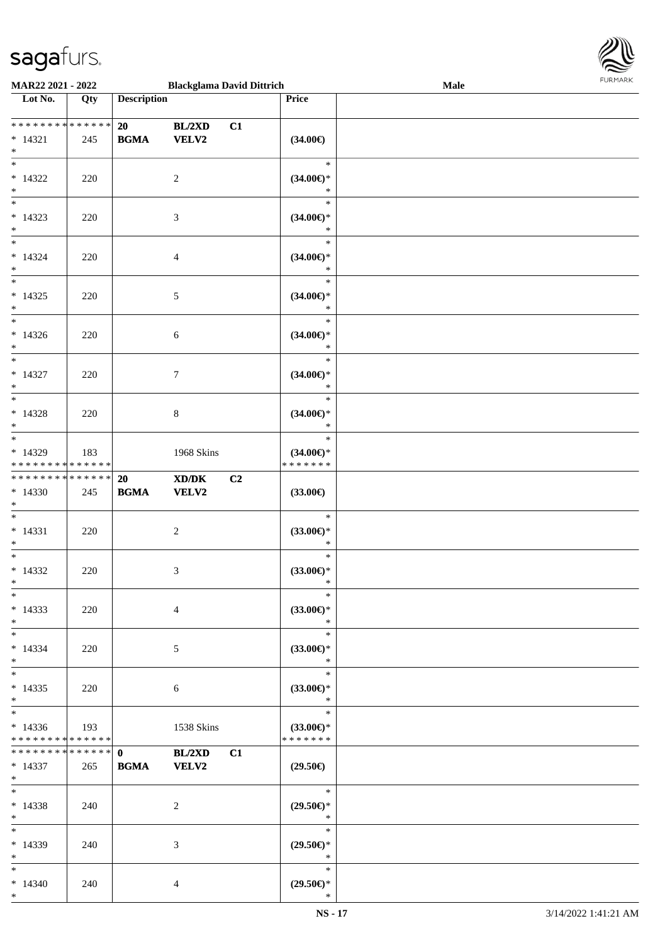

| MAR22 2021 - 2022                    |             |                                            | <b>Blackglama David Dittrich</b>                            |    |                     | Male |
|--------------------------------------|-------------|--------------------------------------------|-------------------------------------------------------------|----|---------------------|------|
| Lot No.                              | Qty         | <b>Description</b>                         |                                                             |    | Price               |      |
|                                      |             |                                            |                                                             |    |                     |      |
|                                      |             | 20                                         | BL/2XD                                                      | C1 |                     |      |
|                                      |             | <b>BGMA</b>                                | VELV2                                                       |    |                     |      |
| $* 14321$                            | 245         |                                            |                                                             |    | $(34.00\epsilon)$   |      |
| $\ast$                               |             |                                            |                                                             |    |                     |      |
| $\overline{\ast}$                    |             |                                            |                                                             |    | $\ast$              |      |
| $* 14322$                            | 220         |                                            | 2                                                           |    | $(34.00\epsilon)$ * |      |
| $\ast$                               |             |                                            |                                                             |    | $\ast$              |      |
| $\overline{\phantom{a}^*}$           |             |                                            |                                                             |    | $\ast$              |      |
|                                      |             |                                            |                                                             |    |                     |      |
| $* 14323$                            | 220         |                                            | 3                                                           |    | $(34.00\epsilon)$ * |      |
| $\ast$                               |             |                                            |                                                             |    | $\ast$              |      |
| $\overline{\ast}$                    |             |                                            |                                                             |    | $\ast$              |      |
| $* 14324$                            | 220         |                                            | 4                                                           |    | $(34.00\epsilon)$ * |      |
| $\ast$                               |             |                                            |                                                             |    | $\ast$              |      |
| $\overline{\ast}$                    |             |                                            |                                                             |    | $\ast$              |      |
| $* 14325$                            | 220         |                                            |                                                             |    | $(34.00\epsilon)$ * |      |
|                                      |             |                                            | 5                                                           |    | $\ast$              |      |
| $\ast$<br>$\overline{\phantom{a}^*}$ |             |                                            |                                                             |    |                     |      |
|                                      |             |                                            |                                                             |    | $\ast$              |      |
| $*14326$                             | 220         |                                            | 6                                                           |    | $(34.00\epsilon)$ * |      |
| $\ast$                               |             |                                            |                                                             |    | $\ast$              |      |
| $\overline{\phantom{a}^*}$           |             |                                            |                                                             |    | $\ast$              |      |
| $* 14327$                            | 220         |                                            | 7                                                           |    | $(34.00\epsilon)$ * |      |
| $\ast$                               |             |                                            |                                                             |    | $\ast$              |      |
| $\overline{\ast}$                    |             |                                            |                                                             |    | $\ast$              |      |
|                                      |             |                                            |                                                             |    |                     |      |
| $* 14328$                            | 220         |                                            | 8                                                           |    | $(34.00\epsilon)$ * |      |
| $\ast$                               |             |                                            |                                                             |    | $\ast$              |      |
| $\overline{\phantom{a}^*}$           |             |                                            |                                                             |    | $\ast$              |      |
| $*14329$                             | 183         |                                            | 1968 Skins                                                  |    | $(34.00\epsilon)$ * |      |
| * * * * * * * *                      | ******      |                                            |                                                             |    | * * * * * * *       |      |
| * * * * * * * *                      | * * * * * * | 20                                         | $\boldsymbol{\text{X} \text{D} \text{/} \text{D} \text{K}}$ | C2 |                     |      |
| $*14330$                             | 245         | $\mathbf{B}\mathbf{G}\mathbf{M}\mathbf{A}$ | <b>VELV2</b>                                                |    | $(33.00\epsilon)$   |      |
| $\ast$                               |             |                                            |                                                             |    |                     |      |
| $\ast$                               |             |                                            |                                                             |    | $\ast$              |      |
|                                      |             |                                            |                                                             |    |                     |      |
| $* 14331$                            | 220         |                                            | $\overline{c}$                                              |    | $(33.00\epsilon)$ * |      |
| $\ast$                               |             |                                            |                                                             |    | $\ast$              |      |
| $\ast$                               |             |                                            |                                                             |    | $\ast$              |      |
| $* 14332$                            | 220         |                                            | 3                                                           |    | $(33.00\epsilon)$ * |      |
| $*$                                  |             |                                            |                                                             |    | $\ast$              |      |
| $*$                                  |             |                                            |                                                             |    | $\ast$              |      |
| $*14333$                             | 220         |                                            | 4                                                           |    | $(33.00\epsilon)$ * |      |
| $\ast$                               |             |                                            |                                                             |    | $\ast$              |      |
| $*$                                  |             |                                            |                                                             |    | $\ast$              |      |
|                                      |             |                                            |                                                             |    |                     |      |
| $* 14334$                            | 220         |                                            | 5                                                           |    | $(33.00\epsilon)$ * |      |
| $*$                                  |             |                                            |                                                             |    | $\ast$              |      |
| $\ast$                               |             |                                            |                                                             |    | $\ast$              |      |
| $*14335$                             | 220         |                                            | 6                                                           |    | $(33.00\epsilon)$ * |      |
| $*$                                  |             |                                            |                                                             |    | $\ast$              |      |
| $\ast$                               |             |                                            |                                                             |    | $\ast$              |      |
| $*14336$                             | 193         |                                            | 1538 Skins                                                  |    | $(33.00\epsilon)$ * |      |
| * * * * * * * *                      | * * * * * * |                                            |                                                             |    | * * * * * * *       |      |
| * * * * * * * *                      | * * * * * * | $\mathbf{0}$                               | <b>BL/2XD</b>                                               | C1 |                     |      |
| $* 14337$                            | 265         | <b>BGMA</b>                                | <b>VELV2</b>                                                |    | $(29.50\epsilon)$   |      |
| $*$ $*$                              |             |                                            |                                                             |    |                     |      |
| $\ast$                               |             |                                            |                                                             |    | —<br>*              |      |
|                                      |             |                                            |                                                             |    |                     |      |
| $* 14338$                            | 240         |                                            | 2                                                           |    | $(29.50\epsilon)$ * |      |
| $*$                                  |             |                                            |                                                             |    | $\ast$              |      |
| $*$                                  |             |                                            |                                                             |    | $\ast$              |      |
| $*14339$                             | 240         |                                            | 3                                                           |    | $(29.50\epsilon)$ * |      |
| $\ast$                               |             |                                            |                                                             |    | $\ast$              |      |
| $*$                                  |             |                                            |                                                             |    | $\ast$              |      |
| $*14340$                             | 240         |                                            | 4                                                           |    | $(29.50\epsilon)$ * |      |
| $*$                                  |             |                                            |                                                             |    | $\ast$              |      |
|                                      |             |                                            |                                                             |    |                     |      |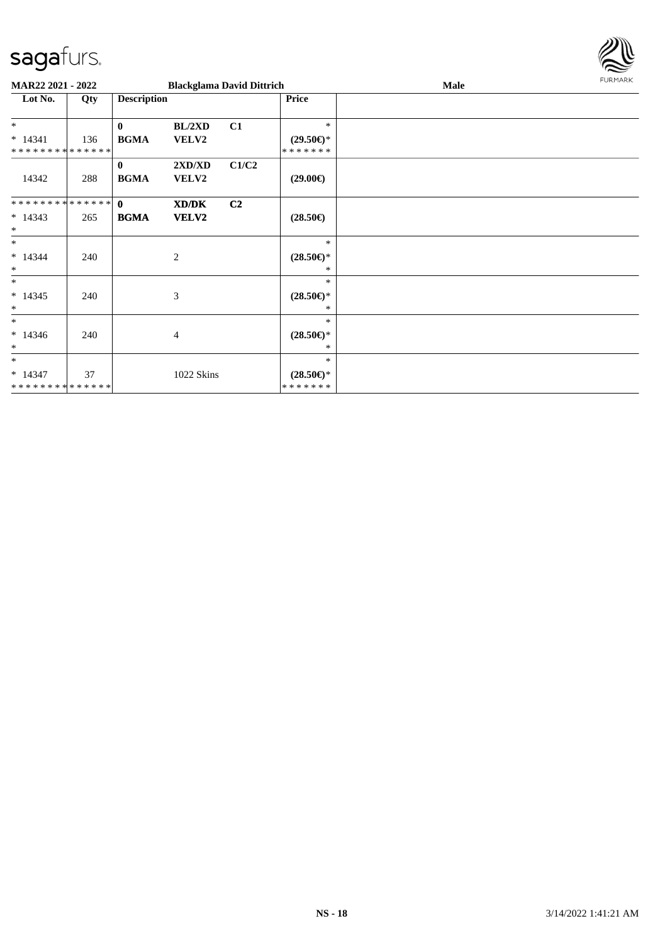

| MAR22 2021 - 2022                       |     |                             | <b>Blackglama David Dittrich</b> |                |                                                | Male | <b>FURMARK</b> |
|-----------------------------------------|-----|-----------------------------|----------------------------------|----------------|------------------------------------------------|------|----------------|
| Lot No.                                 | Qty | <b>Description</b>          |                                  |                | <b>Price</b>                                   |      |                |
| $*$<br>$* 14341$                        | 136 | $\bf{0}$<br><b>BGMA</b>     | BL/2XD<br>VELV2                  | C1             | $\ast$<br>$(29.50\epsilon)$ *                  |      |                |
| **************<br>14342                 | 288 | $\mathbf{0}$<br><b>BGMA</b> | 2XD/XD<br><b>VELV2</b>           | C1/C2          | * * * * * * *<br>$(29.00\epsilon)$             |      |                |
| ************** 0<br>$* 14343$<br>$\ast$ | 265 | <b>BGMA</b>                 | XD/DK<br><b>VELV2</b>            | C <sub>2</sub> | $(28.50\epsilon)$                              |      |                |
| $*$<br>$* 14344$<br>$\ast$              | 240 |                             | 2                                |                | $\ast$<br>$(28.50\epsilon)$ *<br>$\ast$        |      |                |
| $\ast$<br>$* 14345$<br>$\ast$           | 240 |                             | $\mathfrak{Z}$                   |                | $\ast$<br>$(28.50\epsilon)$ *<br>∗             |      |                |
| $\ast$<br>$*14346$<br>$\ast$            | 240 |                             | 4                                |                | $\ast$<br>$(28.50\epsilon)$ *<br>*             |      |                |
| $*$<br>$* 14347$<br>**************      | 37  |                             | 1022 Skins                       |                | $\ast$<br>$(28.50\epsilon)$ *<br>* * * * * * * |      |                |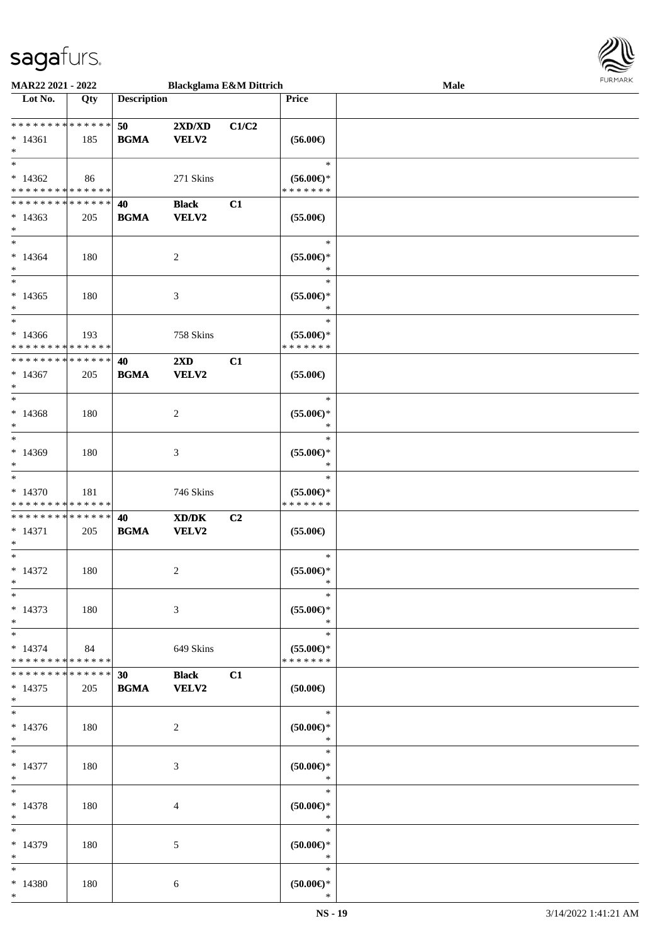

| MAR22 2021 - 2022            |             |                    |                                             | <b>Blackglama E&amp;M Dittrich</b> |                     | Male |  |
|------------------------------|-------------|--------------------|---------------------------------------------|------------------------------------|---------------------|------|--|
| Lot No.                      | Qty         | <b>Description</b> |                                             |                                    | Price               |      |  |
|                              |             |                    |                                             |                                    |                     |      |  |
| ******** <mark>******</mark> |             | 50                 | 2XD/XD                                      | C1/C2                              |                     |      |  |
| $* 14361$                    | 185         | <b>BGMA</b>        | VELV2                                       |                                    | $(56.00\epsilon)$   |      |  |
| $\ast$                       |             |                    |                                             |                                    |                     |      |  |
| $\ast$                       |             |                    |                                             |                                    | $\ast$              |      |  |
| $*14362$                     | 86          |                    | 271 Skins                                   |                                    | $(56.00\epsilon)$ * |      |  |
| * * * * * * * * * * * * * *  |             |                    |                                             |                                    | * * * * * * *       |      |  |
| * * * * * * * * * * * * * *  |             | 40                 | <b>Black</b>                                | C1                                 |                     |      |  |
| $*14363$                     | 205         | <b>BGMA</b>        | <b>VELV2</b>                                |                                    | $(55.00\epsilon)$   |      |  |
| $\ast$                       |             |                    |                                             |                                    |                     |      |  |
| $\overline{\ast}$            |             |                    |                                             |                                    | $\ast$              |      |  |
| $*14364$                     | 180         |                    | $\sqrt{2}$                                  |                                    | $(55.00ε)$ *        |      |  |
| $\ast$                       |             |                    |                                             |                                    | $\ast$              |      |  |
| $\overline{\phantom{a}^*}$   |             |                    |                                             |                                    | $\ast$              |      |  |
| $*14365$                     | 180         |                    | $\mathfrak{Z}$                              |                                    | $(55.00\epsilon)$ * |      |  |
| $\ast$                       |             |                    |                                             |                                    | $\ast$              |      |  |
| $\ast$                       |             |                    |                                             |                                    | $\ast$              |      |  |
| $*14366$                     | 193         |                    | 758 Skins                                   |                                    | $(55.00\epsilon)$ * |      |  |
| * * * * * * * * * * * * * *  |             |                    |                                             |                                    | * * * * * * *       |      |  |
| * * * * * * * * * * * * * *  |             | 40                 | $2\mathbf{X}\mathbf{D}$                     | C1                                 |                     |      |  |
| $*14367$                     | 205         | <b>BGMA</b>        | VELV2                                       |                                    | $(55.00\epsilon)$   |      |  |
| $\ast$                       |             |                    |                                             |                                    |                     |      |  |
| $\ast$                       |             |                    |                                             |                                    | $\ast$              |      |  |
| $*14368$                     | 180         |                    | $\overline{c}$                              |                                    | $(55.00\epsilon)$ * |      |  |
| $\ast$                       |             |                    |                                             |                                    | $\ast$              |      |  |
| $\ast$                       |             |                    |                                             |                                    | $\ast$              |      |  |
| $*14369$                     | 180         |                    | 3                                           |                                    | $(55.00\epsilon)$ * |      |  |
| $\ast$                       |             |                    |                                             |                                    | $\ast$              |      |  |
| $\ast$                       |             |                    |                                             |                                    | $\ast$              |      |  |
| $* 14370$                    | 181         |                    | 746 Skins                                   |                                    | $(55.00\epsilon)$ * |      |  |
| * * * * * * * * * * * * * *  |             |                    |                                             |                                    | * * * * * * *       |      |  |
| ******** <mark>******</mark> |             | 40                 | $\mathbf{X}\mathbf{D}/\mathbf{D}\mathbf{K}$ | C2                                 |                     |      |  |
| $* 14371$                    | 205         | <b>BGMA</b>        | VELV2                                       |                                    | $(55.00\epsilon)$   |      |  |
| $\ast$                       |             |                    |                                             |                                    |                     |      |  |
| $\ast$                       |             |                    |                                             |                                    | $\ast$              |      |  |
| $* 14372$                    | 180         |                    | $\sqrt{2}$                                  |                                    | $(55.00ε)$ *        |      |  |
| $*$                          |             |                    |                                             |                                    | $\ast$              |      |  |
| $\ast$                       |             |                    |                                             |                                    | $\ast$              |      |  |
| $* 14373$                    | 180         |                    | $\mathfrak{Z}$                              |                                    | $(55.00\epsilon)$ * |      |  |
| $\ast$                       |             |                    |                                             |                                    | $\ast$              |      |  |
| $\ast$                       |             |                    |                                             |                                    | $\ast$              |      |  |
| $* 14374$                    | 84          |                    | 649 Skins                                   |                                    | $(55.00\epsilon)$ * |      |  |
| * * * * * * * * * * * * * *  |             |                    |                                             |                                    | * * * * * * *       |      |  |
| * * * * * * * *              | * * * * * * | 30                 | <b>Black</b>                                | C1                                 |                     |      |  |
| $* 14375$                    | 205         | <b>BGMA</b>        | <b>VELV2</b>                                |                                    | $(50.00\in)$        |      |  |
| $*$                          |             |                    |                                             |                                    |                     |      |  |
| $\overline{\phantom{1}}$     |             |                    |                                             |                                    | $\ast$              |      |  |
| $* 14376$                    | 180         |                    | 2                                           |                                    | (50.00)             |      |  |
| $*$                          |             |                    |                                             |                                    | $\ast$              |      |  |
| $\ast$                       |             |                    |                                             |                                    | $\ast$              |      |  |
| $* 14377$                    | 180         |                    | $\mathfrak{Z}$                              |                                    | $(50.00\in)^\ast$   |      |  |
| $\ast$                       |             |                    |                                             |                                    | $\ast$              |      |  |
| $\ast$                       |             |                    |                                             |                                    | $\ast$              |      |  |
| $* 14378$                    | 180         |                    | 4                                           |                                    | $(50.00ε)$ *        |      |  |
| $\ast$                       |             |                    |                                             |                                    | $\ast$              |      |  |
| $\ast$                       |             |                    |                                             |                                    | $\ast$              |      |  |
| $*14379$                     | 180         |                    | 5                                           |                                    | $(50.00ε)$ *        |      |  |
| $*$                          |             |                    |                                             |                                    | $\ast$              |      |  |
| $\ast$                       |             |                    |                                             |                                    | $\ast$              |      |  |
| $*14380$                     | 180         |                    | 6                                           |                                    | $(50.00ε)$ *        |      |  |
| $*$                          |             |                    |                                             |                                    | $\ast$              |      |  |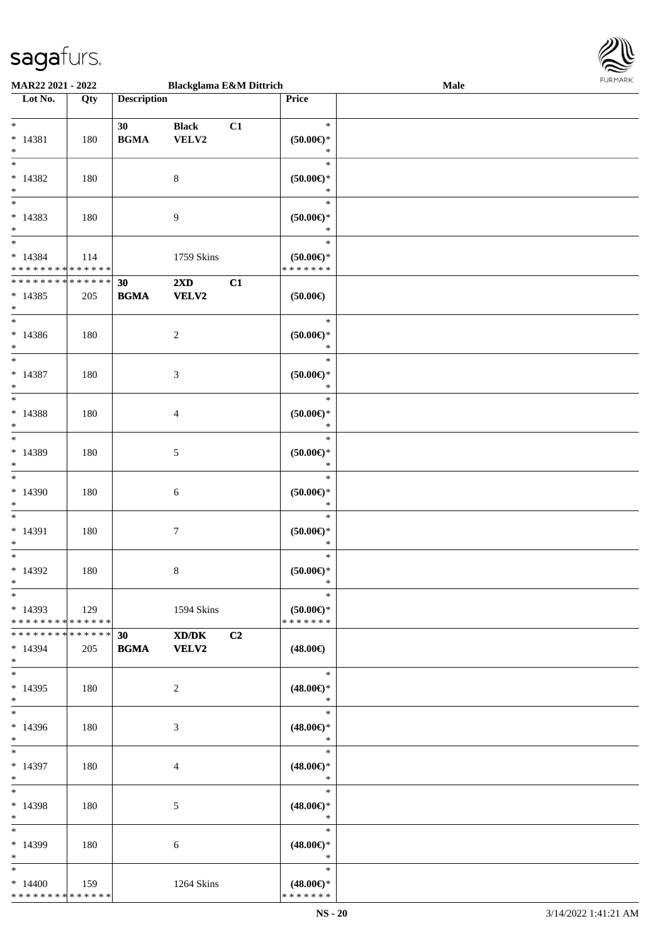

| MAR22 2021 - 2022                                            |     |                    | <b>Blackglama E&amp;M Dittrich</b>      |    |                                                | Male |  |
|--------------------------------------------------------------|-----|--------------------|-----------------------------------------|----|------------------------------------------------|------|--|
| Lot No.                                                      | Qty | <b>Description</b> |                                         |    | Price                                          |      |  |
| $\ast$<br>$* 14381$<br>$\ast$                                | 180 | 30<br><b>BGMA</b>  | <b>Black</b><br>VELV2                   | C1 | $\ast$<br>$(50.00\in)^\ast$<br>$\ast$          |      |  |
| $\overline{\phantom{0}}$<br>$* 14382$<br>$\ast$<br>$_{\ast}$ | 180 |                    | $8\,$                                   |    | $\ast$<br>$(50.00\in)^\ast$<br>$\ast$          |      |  |
| $* 14383$<br>$\ast$<br>$\overline{\phantom{1}}$              | 180 |                    | $\overline{9}$                          |    | $\ast$<br>$(50.00 \in )^*$<br>$\ast$<br>$\ast$ |      |  |
| $* 14384$<br>* * * * * * * * * * * * * *                     | 114 |                    | 1759 Skins                              |    | $(50.00\in)^\ast$<br>* * * * * * *             |      |  |
| * * * * * * * * * * * * * *<br>$* 14385$<br>$\ast$           | 205 | 30<br><b>BGMA</b>  | $2\mathbf{X}\mathbf{D}$<br><b>VELV2</b> | C1 | (50.00)                                        |      |  |
| $\ast$<br>$*14386$<br>$\ast$                                 | 180 |                    | $\sqrt{2}$                              |    | $\ast$<br>$(50.00 \in )^*$<br>$\ast$           |      |  |
| $_{\ast}$<br>$* 14387$<br>$\ast$                             | 180 |                    | $\mathfrak{Z}$                          |    | $\ast$<br>$(50.00ε)$ *<br>$\ast$               |      |  |
| $\ast$<br>$* 14388$<br>$\ast$                                | 180 |                    | $\overline{4}$                          |    | $\ast$<br>$(50.00ε)$ *<br>$\ast$               |      |  |
| $\ast$<br>$* 14389$<br>$\ast$                                | 180 |                    | $5\,$                                   |    | $\ast$<br>$(50.00 \in )^*$<br>$\ast$           |      |  |
| $\overline{\ast}$<br>$*14390$<br>$\ast$                      | 180 |                    | $\sqrt{6}$                              |    | $\ast$<br>$(50.00\in)^\ast$<br>$\ast$          |      |  |
| $\ast$<br>$* 14391$<br>$\ast$                                | 180 |                    | $\tau$                                  |    | $\ast$<br>$(50.00\in)^\ast$<br>$\ast$          |      |  |
| $\ast$<br>$*14392$<br>$*$                                    | 180 |                    | $\,8\,$                                 |    | $\ast$<br>$(50.00 \in )^*$<br>$\ast$           |      |  |
| $*$<br>$*14393$<br>* * * * * * * * * * * * * *               | 129 |                    | 1594 Skins                              |    | $\ast$<br>$(50.00\epsilon)$ *<br>* * * * * * * |      |  |
| * * * * * * * * * * * * * * *<br>$*14394$<br>$*$             | 205 | 30                 | XD/DK<br><b>BGMA</b> VELV2              | C2 | $(48.00\epsilon)$                              |      |  |
| $\ast$<br>$*14395$<br>$*$                                    | 180 |                    | $\overline{2}$                          |    | $\ast$<br>$(48.00\epsilon)$ *<br>$\ast$        |      |  |
| $*$<br>$*14396$<br>$*$                                       | 180 |                    | 3                                       |    | $\ast$<br>$(48.00\epsilon)$ *<br>$\ast$        |      |  |
| $*$<br>* 14397<br>$*$                                        | 180 |                    | $\overline{4}$                          |    | $\ast$<br>$(48.00\epsilon)$ *<br>$\ast$        |      |  |
| $\ast$<br>* 14398<br>$*$                                     | 180 |                    | $\mathfrak{S}$                          |    | $\ast$<br>$(48.00\epsilon)$ *<br>$\ast$        |      |  |
| $\ast$<br>* 14399<br>$\ast$                                  | 180 |                    | 6                                       |    | $\ast$<br>$(48.00\epsilon)$ *<br>$\ast$        |      |  |
| $*$<br>$*14400$<br>* * * * * * * * * * * * * *               | 159 |                    | 1264 Skins                              |    | $\ast$<br>$(48.00\epsilon)$ *<br>* * * * * * * |      |  |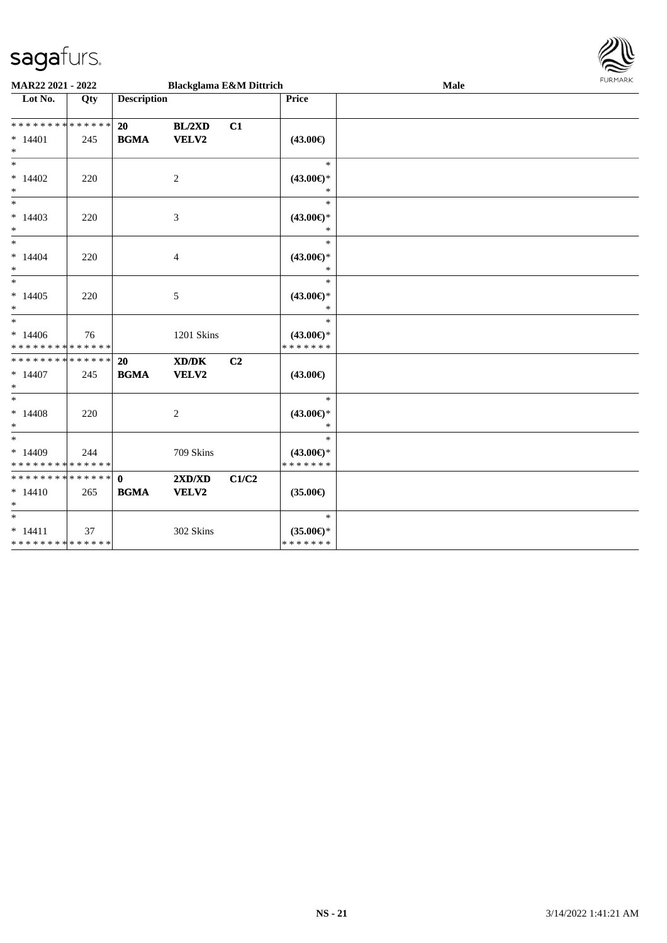

| MAR22 2021 - 2022                                   |     |                             | <b>Blackglama E&amp;M Dittrich</b>           |       |                                                | Male | FURMARK |
|-----------------------------------------------------|-----|-----------------------------|----------------------------------------------|-------|------------------------------------------------|------|---------|
| $\overline{\phantom{1}}$ Lot No.                    | Qty | <b>Description</b>          |                                              |       | <b>Price</b>                                   |      |         |
| * * * * * * * * * * * * * *<br>$* 14401$<br>$*$     | 245 | 20<br><b>BGMA</b>           | BL/2XD<br>VELV2                              | C1    | $(43.00\epsilon)$                              |      |         |
| $\ast$<br>$*14402$<br>$\ast$                        | 220 |                             | $\overline{2}$                               |       | $\ast$<br>$(43.00\epsilon)$ *<br>$\ast$        |      |         |
| $\ast$<br>$*14403$<br>$\ast$                        | 220 |                             | 3                                            |       | $\ast$<br>$(43.00\epsilon)$ *<br>$\ast$        |      |         |
| $\overline{\phantom{0}}$<br>$*14404$<br>$\ast$      | 220 |                             | 4                                            |       | $\ast$<br>$(43.00\epsilon)$ *<br>$\ast$        |      |         |
| $\ast$<br>$*14405$<br>$*$                           | 220 |                             | $\sqrt{5}$                                   |       | $\ast$<br>$(43.00\epsilon)$ *<br>$\ast$        |      |         |
| $\ast$<br>$*14406$<br>* * * * * * * * * * * * * *   | 76  |                             | 1201 Skins                                   |       | $\ast$<br>$(43.00\epsilon)$ *<br>* * * * * * * |      |         |
| * * * * * * * * * * * * * * *<br>$*14407$<br>$\ast$ | 245 | 20<br><b>BGMA</b>           | $\bold{X}\bold{D}/\bold{D}\bold{K}$<br>VELV2 | C2    | $(43.00\epsilon)$                              |      |         |
| $\ast$<br>$*14408$<br>$\ast$                        | 220 |                             | 2                                            |       | $\ast$<br>$(43.00\epsilon)$ *<br>$\ast$        |      |         |
| $*$<br>$*14409$<br>* * * * * * * * * * * * * *      | 244 |                             | 709 Skins                                    |       | $\ast$<br>$(43.00\epsilon)$ *<br>* * * * * * * |      |         |
| * * * * * * * * * * * * * *<br>$* 14410$<br>$\ast$  | 265 | $\mathbf{0}$<br><b>BGMA</b> | 2XD/XD<br>VELV2                              | C1/C2 | $(35.00\epsilon)$                              |      |         |
| $*$<br>$* 14411$<br>* * * * * * * * * * * * * *     | 37  |                             | 302 Skins                                    |       | $\ast$<br>$(35.00\epsilon)$ *<br>* * * * * * * |      |         |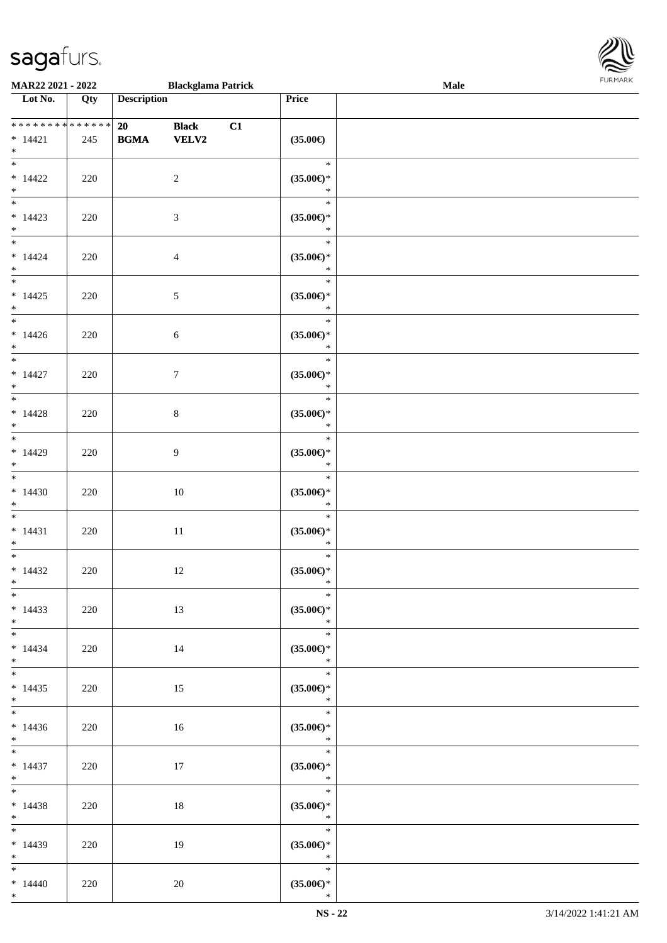

| MAR22 2021 - 2022                                               |     |                                                  | <b>Blackglama Patrick</b>    |    |                                                                       | <b>Male</b> |  |
|-----------------------------------------------------------------|-----|--------------------------------------------------|------------------------------|----|-----------------------------------------------------------------------|-------------|--|
| $\overline{\phantom{1}}$ Lot No.                                | Qty | <b>Description</b>                               |                              |    | Price                                                                 |             |  |
| **************<br>$* 14421$<br>$\ast$                           | 245 | 20<br>$\mathbf{B}\mathbf{G}\mathbf{M}\mathbf{A}$ | <b>Black</b><br><b>VELV2</b> | C1 | $(35.00\epsilon)$                                                     |             |  |
| $\overline{\phantom{a}}$<br>$* 14422$<br>$\ast$                 | 220 |                                                  | $\sqrt{2}$                   |    | $\ast$<br>$(35.00\epsilon)$ *<br>$\ast$                               |             |  |
| $\overline{\phantom{0}}$<br>$* 14423$<br>$\ast$                 | 220 |                                                  | $\mathfrak{Z}$               |    | $\ast$<br>$(35.00\epsilon)$ *<br>$\ast$                               |             |  |
| $\overline{\phantom{0}}$<br>$* 14424$<br>$\ast$                 | 220 |                                                  | $\overline{4}$               |    | $\ast$<br>$(35.00\epsilon)$ *<br>$\ast$                               |             |  |
| $_{\ast}^{-}$<br>$*14425$<br>$\ast$                             | 220 |                                                  | $\sqrt{5}$                   |    | $\ast$<br>$(35.00\epsilon)$ *<br>$\ast$                               |             |  |
| $\overline{\phantom{1}}$<br>$*14426$<br>$\ast$<br>$_{\ast}^{-}$ | 220 |                                                  | $\sqrt{6}$                   |    | $\ast$<br>$(35.00\epsilon)$ *<br>$\ast$                               |             |  |
| $* 14427$<br>$\ast$<br>$\overline{\phantom{a}^*}$               | 220 |                                                  | $\boldsymbol{7}$             |    | $\ast$<br>$(35.00\epsilon)$ *<br>$\ast$                               |             |  |
| $* 14428$<br>$\ast$<br>$\overline{\ast}$                        | 220 |                                                  | $\,8\,$                      |    | $\ast$<br>$(35.00\epsilon)$ *<br>$\ast$                               |             |  |
| $*14429$<br>$\ast$<br>$\overline{\phantom{0}}$                  | 220 |                                                  | 9                            |    | $\ast$<br>$(35.00\epsilon)$ *<br>$\ast$                               |             |  |
| $*14430$<br>$\ast$                                              | 220 |                                                  | $10\,$                       |    | $\ast$<br>$(35.00\epsilon)$ *<br>$\ast$                               |             |  |
| $\ast$<br>$* 14431$<br>$\ast$                                   | 220 |                                                  | $11\,$                       |    | $\ast$<br>$(35.00\in)\!\!^*$<br>$\ast$                                |             |  |
| $\ast$<br>$*14432$<br>$*$                                       | 220 |                                                  | $12\,$                       |    | $\ast$<br>$(35.00\epsilon)$ *<br>$\ast$                               |             |  |
| $*$<br>$*14433$<br>$*$<br>$\overline{\phantom{0}}$              | 220 |                                                  | 13                           |    | $\ast$<br>$(35.00\epsilon)$ *<br>$\ast$                               |             |  |
| $* 14434$<br>$*$<br>$\overline{\ast}$                           | 220 |                                                  | 14                           |    | $\ast$<br>$(35.00\epsilon)$ *<br>$\ast$                               |             |  |
| $*14435$<br>$*$<br>$*$                                          | 220 |                                                  | 15                           |    | $\ast$<br>$(35.00\epsilon)$ *<br>$\ast$<br>$\overline{\phantom{0}}$ * |             |  |
| $*14436$<br>$*$ $*$<br>$\overline{\ast}$                        | 220 |                                                  | 16                           |    | $(35.00\epsilon)$ *<br>$\ast$                                         |             |  |
| $* 14437$<br>$*$ $*$                                            | 220 |                                                  | 17                           |    | $\ast$<br>$(35.00\epsilon)$ *<br>$\ast$<br>$\ast$                     |             |  |
| $*$ and $*$<br>$* 14438$<br>$*$<br>$*$                          | 220 |                                                  | 18                           |    | $(35.00\epsilon)$ *<br>$\ddot{x}$<br>$\ast$                           |             |  |
| $*14439$<br>$*$                                                 | 220 |                                                  | 19                           |    | $(35.00\epsilon)$ *<br>$\ast$                                         |             |  |
| $*$<br>$*14440$<br>$*$                                          | 220 |                                                  | $20\,$                       |    | $\ast$<br>$(35.00\epsilon)$ *<br>$\ast$                               |             |  |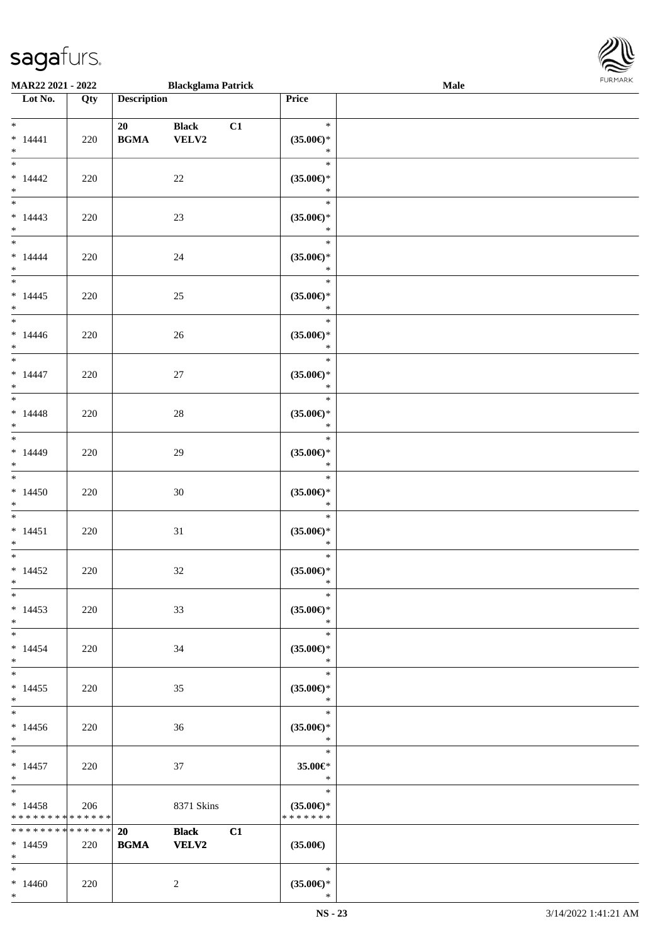| MAR22 2021 - 2022                                 |     |                    | <b>Blackglama Patrick</b>    |    |                                                | FURMARK<br>Male |  |  |
|---------------------------------------------------|-----|--------------------|------------------------------|----|------------------------------------------------|-----------------|--|--|
| $\overline{\phantom{1}}$ Lot No.                  | Qty | <b>Description</b> |                              |    | Price                                          |                 |  |  |
| $\ast$<br>$* 14441$<br>$\ast$                     | 220 | 20<br><b>BGMA</b>  | <b>Black</b><br>VELV2        | C1 | $\ast$<br>$(35.00\epsilon)$ *<br>$\ast$        |                 |  |  |
| $\frac{1}{*}$<br>$*14442$<br>$*$                  | 220 |                    | 22                           |    | $\ast$<br>$(35.00\epsilon)$ *<br>$\ast$        |                 |  |  |
| $\overline{\phantom{a}^*}$<br>$*14443$<br>$*$     | 220 |                    | $23\,$                       |    | $\ast$<br>$(35.00\epsilon)$ *<br>$\ast$        |                 |  |  |
| $\ast$<br>$* 14444$<br>$\ast$                     | 220 |                    | $24\,$                       |    | $\ast$<br>$(35.00\epsilon)$ *<br>$\ast$        |                 |  |  |
| $\overline{\phantom{a}^*}$<br>$*14445$<br>$\ast$  | 220 |                    | $25\,$                       |    | $\ast$<br>$(35.00\epsilon)$ *<br>$\ast$        |                 |  |  |
| $\overline{\phantom{a}^*}$<br>$*14446$<br>$\ast$  | 220 |                    | $26\,$                       |    | $\ast$<br>$(35.00\epsilon)$ *<br>$\ast$        |                 |  |  |
| $\overline{\phantom{a}^*}$<br>$* 14447$<br>$\ast$ | 220 |                    | $27\,$                       |    | $\ast$<br>$(35.00\epsilon)$ *<br>$\ast$        |                 |  |  |
| $\overline{\phantom{0}}$<br>$* 14448$<br>$\ast$   | 220 |                    | $28\,$                       |    | $\ast$<br>$(35.00\epsilon)$ *<br>$\ast$        |                 |  |  |
| $\overline{\phantom{1}}$<br>$*14449$<br>$\ast$    | 220 |                    | $29\,$                       |    | $\ast$<br>$(35.00\epsilon)$ *<br>$\ast$        |                 |  |  |
| $\overline{\ast}$<br>$*14450$<br>$\ast$           | 220 |                    | 30                           |    | $\ast$<br>$(35.00\epsilon)$ *<br>$\ast$        |                 |  |  |
| $\overline{\phantom{a}}$<br>$* 14451$<br>$\ast$   | 220 |                    | 31                           |    | $\ast$<br>$(35.00\epsilon)$ *<br>$\ast$        |                 |  |  |
| $\overline{\phantom{1}}$<br>$*14452$<br>$*$       | 220 |                    | $32\,$                       |    | $\ast$<br>$(35.00\epsilon)$ *<br>$\ast$        |                 |  |  |
| $_{\ast}$<br>$*14453$<br>$*$                      | 220 |                    | 33                           |    | $\ast$<br>$(35.00\epsilon)$ *<br>$\ast$        |                 |  |  |
| $\overline{\phantom{0}}$<br>$* 14454$<br>$*$      | 220 |                    | 34                           |    | $\ast$<br>$(35.00\epsilon)$ *<br>$\ast$        |                 |  |  |
| $_{\ast}$<br>$*14455$<br>$\ast$                   | 220 |                    | 35                           |    | $\ast$<br>$(35.00\epsilon)$ *<br>$\ast$        |                 |  |  |
| $\overline{\ast}$<br>$*14456$<br>$*$              | 220 |                    | 36                           |    | $\ast$<br>$(35.00\epsilon)$ *<br>$\ast$        |                 |  |  |
| $\ast$<br>$* 14457$<br>$*$                        | 220 |                    | 37                           |    | $\ast$<br>35.00€*<br>$\ast$                    |                 |  |  |
| $\ast$<br>$*14458$<br>* * * * * * * * * * * * * * | 206 |                    | 8371 Skins                   |    | $\ast$<br>$(35.00\epsilon)$ *<br>* * * * * * * |                 |  |  |
| **************<br>$*14459$<br>$\ast$              | 220 | 20<br><b>BGMA</b>  | <b>Black</b><br><b>VELV2</b> | C1 | $(35.00\epsilon)$                              |                 |  |  |
| $\ast$<br>$*14460$                                | 220 |                    | 2                            |    | $\ast$<br>$(35.00\epsilon)$ *                  |                 |  |  |

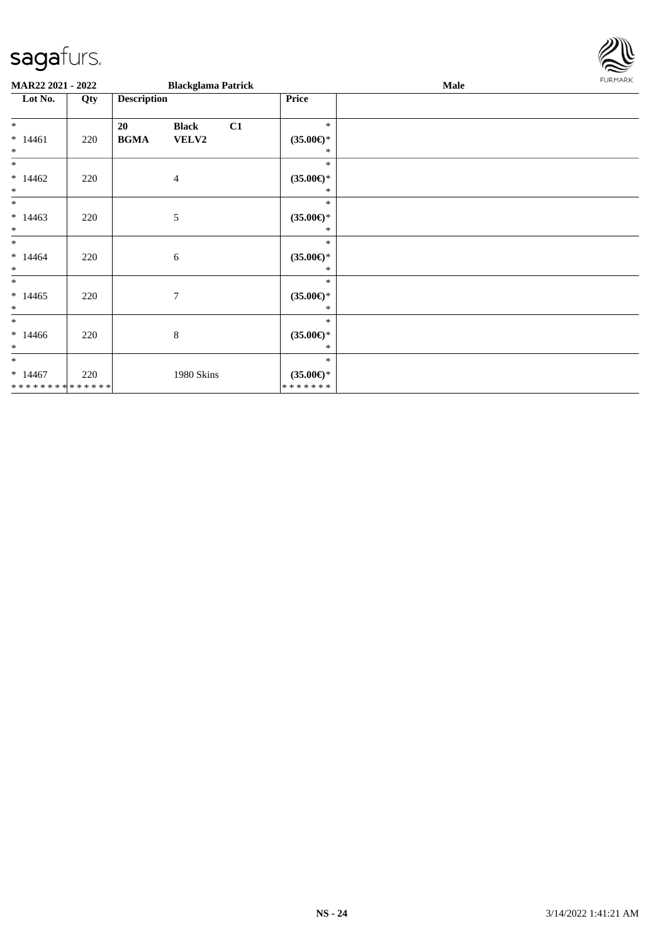

| MAR22 2021 - 2022                                 |     |                    | <b>Blackglama Patrick</b> |    |                                                | Male | <b>FURMARK</b> |
|---------------------------------------------------|-----|--------------------|---------------------------|----|------------------------------------------------|------|----------------|
| Lot No.                                           | Qty | <b>Description</b> |                           |    | Price                                          |      |                |
| $*$                                               |     | 20                 | <b>Black</b>              | C1 | $\ast$                                         |      |                |
| $*14461$<br>$\ast$                                | 220 | <b>BGMA</b>        | VELV2                     |    | $(35.00\epsilon)$ *<br>*                       |      |                |
| $*$                                               |     |                    |                           |    | $\ast$                                         |      |                |
| $*14462$<br>$\ast$                                | 220 |                    | $\overline{4}$            |    | $(35.00\epsilon)$ *<br>*                       |      |                |
| $\ast$                                            |     |                    |                           |    | $\ast$                                         |      |                |
| $*14463$<br>$\ast$                                | 220 |                    | 5                         |    | $(35.00\epsilon)$ *<br>*                       |      |                |
| $\ast$<br>$*14464$<br>$\ast$                      | 220 |                    | 6                         |    | $\ast$<br>$(35.00\epsilon)$ *<br>$*$           |      |                |
| $\ast$<br>$*14465$<br>$\ast$                      | 220 |                    | $\overline{7}$            |    | $\ast$<br>$(35.00\epsilon)$ *<br>*             |      |                |
| $\ast$<br>$*14466$<br>$\ast$                      | 220 |                    | $8\,$                     |    | $\ast$<br>$(35.00\epsilon)$ *<br>*             |      |                |
| $\ast$<br>$*14467$<br>* * * * * * * * * * * * * * | 220 |                    | 1980 Skins                |    | $\ast$<br>$(35.00\epsilon)$ *<br>* * * * * * * |      |                |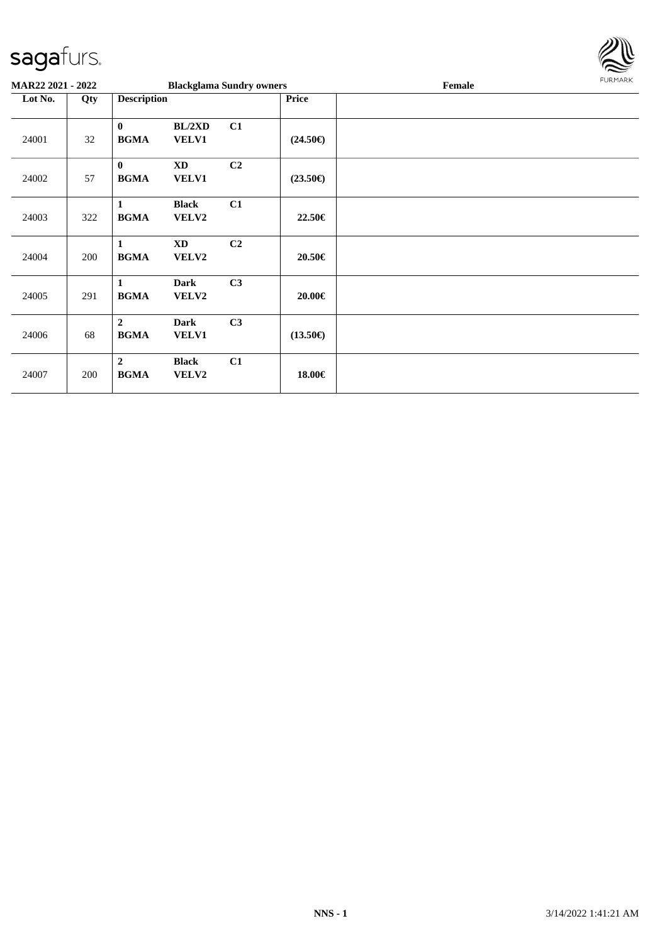

| <b>MAR22 2021 - 2022</b> |     |                               | <b>Blackglama Sundry owners</b> |                |                   | Female | FURMARK |
|--------------------------|-----|-------------------------------|---------------------------------|----------------|-------------------|--------|---------|
| Lot No.                  | Qty | <b>Description</b>            |                                 |                | <b>Price</b>      |        |         |
| 24001                    | 32  | $\bf{0}$<br><b>BGMA</b>       | BL/2XD<br><b>VELV1</b>          | C1             | $(24.50\epsilon)$ |        |         |
| 24002                    | 57  | $\bf{0}$<br><b>BGMA</b>       | <b>XD</b><br><b>VELV1</b>       | C <sub>2</sub> | $(23.50\epsilon)$ |        |         |
| 24003                    | 322 | $\mathbf{1}$<br><b>BGMA</b>   | <b>Black</b><br>VELV2           | C1             | 22.50€            |        |         |
| 24004                    | 200 | $\mathbf{1}$<br><b>BGMA</b>   | <b>XD</b><br>VELV2              | C2             | 20.50€            |        |         |
| 24005                    | 291 | $\mathbf{1}$<br><b>BGMA</b>   | <b>Dark</b><br>VELV2            | C3             | 20.00€            |        |         |
| 24006                    | 68  | $\overline{2}$<br><b>BGMA</b> | <b>Dark</b><br><b>VELV1</b>     | C3             | $(13.50\epsilon)$ |        |         |
| 24007                    | 200 | $\mathbf{2}$<br><b>BGMA</b>   | <b>Black</b><br>VELV2           | C1             | 18.00€            |        |         |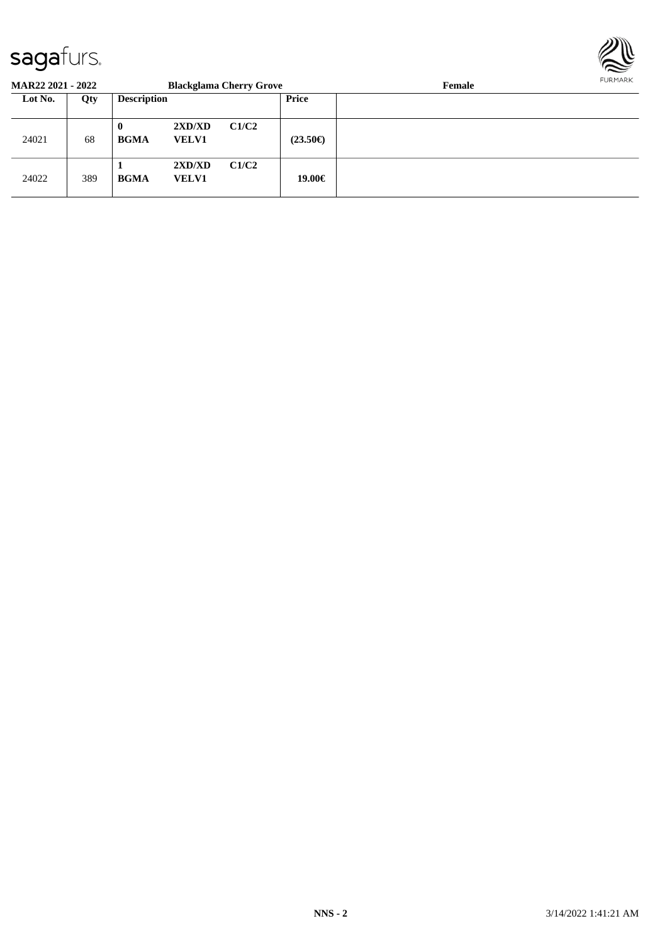

| <b>MAR22 2021 - 2022</b> |     |                         |                        | <b>Blackglama Cherry Grove</b> |                   | Female | <b>FURMARK</b> |
|--------------------------|-----|-------------------------|------------------------|--------------------------------|-------------------|--------|----------------|
| Lot No.                  | Qty | <b>Description</b>      |                        |                                | <b>Price</b>      |        |                |
| 24021                    | 68  | $\bf{0}$<br><b>BGMA</b> | 2XD/XD<br><b>VELV1</b> | C1/C2                          | $(23.50\epsilon)$ |        |                |
| 24022                    | 389 | <b>BGMA</b>             | 2XD/XD<br><b>VELV1</b> | C1/C2                          | 19.00€            |        |                |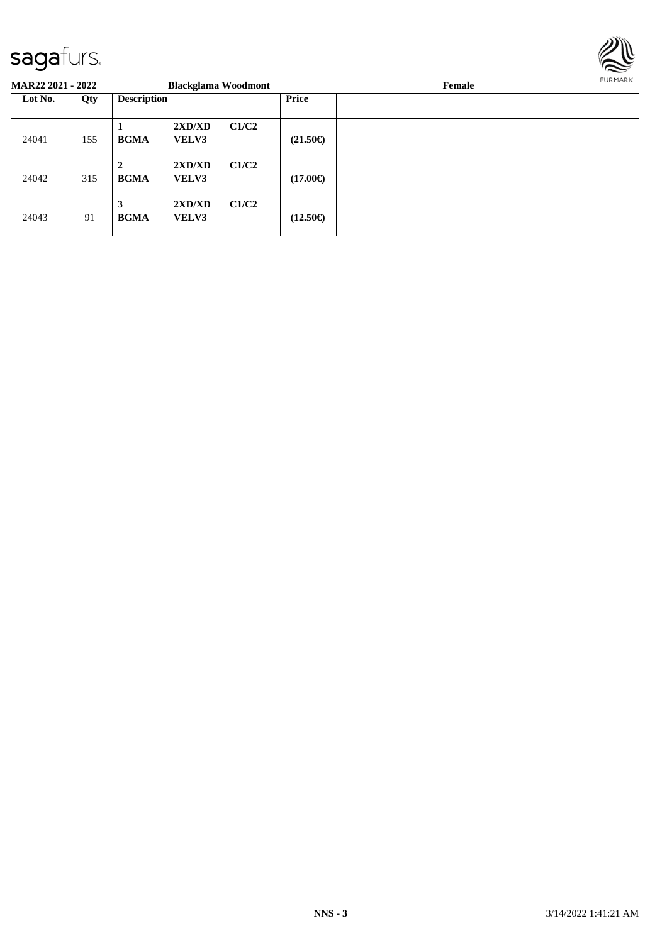

| <b>MAR22 2021 - 2022</b> |     |                             | <b>Blackglama Woodmont</b> |       |                   | Female | FURMARK |
|--------------------------|-----|-----------------------------|----------------------------|-------|-------------------|--------|---------|
| Lot No.                  | Qty | <b>Description</b>          |                            |       | Price             |        |         |
| 24041                    | 155 | <b>BGMA</b>                 | 2XD/XD<br><b>VELV3</b>     | C1/C2 | $(21.50\epsilon)$ |        |         |
| 24042                    | 315 | $\mathbf{2}$<br><b>BGMA</b> | 2XD/XD<br><b>VELV3</b>     | C1/C2 | $(17.00\epsilon)$ |        |         |
| 24043                    | 91  | 3<br><b>BGMA</b>            | 2XD/XD<br><b>VELV3</b>     | C1/C2 | $(12.50\epsilon)$ |        |         |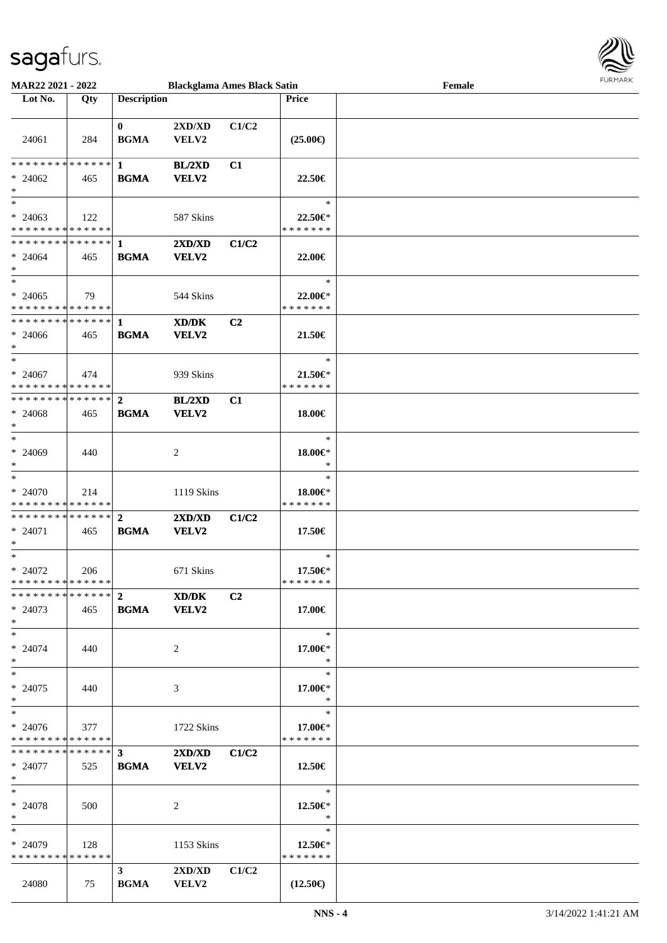

| <b>MAR22 2021 - 2022</b>                   |     |                         | <b>Blackglama Ames Black Satin</b>           |       |                   | Female |  |
|--------------------------------------------|-----|-------------------------|----------------------------------------------|-------|-------------------|--------|--|
| Lot No.                                    | Qty | <b>Description</b>      |                                              |       | Price             |        |  |
|                                            |     |                         |                                              |       |                   |        |  |
|                                            |     | $\mathbf{0}$            | 2XD/XD                                       | C1/C2 |                   |        |  |
| 24061                                      | 284 | <b>BGMA</b>             | VELV2                                        |       | $(25.00\epsilon)$ |        |  |
|                                            |     |                         |                                              |       |                   |        |  |
|                                            |     |                         | <b>BL/2XD</b>                                | C1    |                   |        |  |
|                                            |     |                         |                                              |       |                   |        |  |
| $* 24062$                                  | 465 | <b>BGMA</b>             | VELV2                                        |       | 22.50€            |        |  |
| $\ast$                                     |     |                         |                                              |       |                   |        |  |
| $*$                                        |     |                         |                                              |       | $\ast$            |        |  |
| $* 24063$                                  | 122 |                         | 587 Skins                                    |       | 22.50 $\in$ *     |        |  |
| * * * * * * * * <mark>* * * * * * *</mark> |     |                         |                                              |       | * * * * * * *     |        |  |
|                                            |     |                         | 2XD/XD                                       | C1/C2 |                   |        |  |
| $* 24064$                                  | 465 | <b>BGMA</b>             | VELV2                                        |       | 22.00€            |        |  |
| $\ast$                                     |     |                         |                                              |       |                   |        |  |
| $\ast$                                     |     |                         |                                              |       | $\ast$            |        |  |
| $* 24065$                                  |     |                         |                                              |       |                   |        |  |
|                                            | 79  |                         | 544 Skins                                    |       | 22.00 $\in$ *     |        |  |
| * * * * * * * * * * * * * * *              |     |                         |                                              |       | * * * * * * *     |        |  |
|                                            |     |                         | XD/DK                                        | C2    |                   |        |  |
| $* 24066$                                  | 465 | <b>BGMA</b>             | <b>VELV2</b>                                 |       | 21.50€            |        |  |
| $\ast$                                     |     |                         |                                              |       |                   |        |  |
| $\ast$                                     |     |                         |                                              |       | $\ast$            |        |  |
| $* 24067$                                  | 474 |                         | 939 Skins                                    |       | 21.50 $\in$ *     |        |  |
| * * * * * * * * <mark>* * * * * *</mark>   |     |                         |                                              |       | * * * * * * *     |        |  |
| ************** 2                           |     |                         | BL/2XD                                       | C1    |                   |        |  |
| $* 24068$                                  | 465 | <b>BGMA</b>             | VELV2                                        |       | 18.00€            |        |  |
| $\ast$                                     |     |                         |                                              |       |                   |        |  |
| $\ast$                                     |     |                         |                                              |       | $\ast$            |        |  |
|                                            |     |                         |                                              |       |                   |        |  |
| $* 24069$                                  | 440 |                         | 2                                            |       | $18.00 \in$ *     |        |  |
| $\ast$                                     |     |                         |                                              |       | $\ast$            |        |  |
| $\ast$                                     |     |                         |                                              |       | $\ast$            |        |  |
| $* 24070$                                  | 214 |                         | 1119 Skins                                   |       | 18.00€*           |        |  |
| * * * * * * * * * * * * * *                |     |                         |                                              |       | * * * * * * *     |        |  |
|                                            |     |                         | $2\mathbf{X}\mathbf{D}/\mathbf{X}\mathbf{D}$ | C1/C2 |                   |        |  |
| $* 24071$                                  | 465 | <b>BGMA</b>             | VELV2                                        |       | 17.50€            |        |  |
| $\ast$                                     |     |                         |                                              |       |                   |        |  |
| $\ast$                                     |     |                         |                                              |       | $\ast$            |        |  |
| $* 24072$                                  | 206 |                         | 671 Skins                                    |       | 17.50€*           |        |  |
| * * * * * * * * * * * * * * *              |     |                         |                                              |       | * * * * * * *     |        |  |
| * * * * * * * * * * * * * * <mark>*</mark> |     | $\overline{\mathbf{2}}$ |                                              |       |                   |        |  |
|                                            |     |                         | XD/DK                                        | C2    |                   |        |  |
| $*24073$                                   | 465 | <b>BGMA</b>             | <b>VELV2</b>                                 |       | 17.00€            |        |  |
| $\ast$                                     |     |                         |                                              |       |                   |        |  |
| $\ast$                                     |     |                         |                                              |       | $\ast$            |        |  |
| $* 24074$                                  | 440 |                         | 2                                            |       | 17.00€*           |        |  |
| $\ast$                                     |     |                         |                                              |       | $\ast$            |        |  |
| $\ast$                                     |     |                         |                                              |       | $\ast$            |        |  |
| $* 24075$                                  | 440 |                         | 3                                            |       | 17.00€*           |        |  |
| $\ast$                                     |     |                         |                                              |       | $*$               |        |  |
| $\ast$                                     |     |                         |                                              |       | $\ast$            |        |  |
|                                            |     |                         |                                              |       |                   |        |  |
| $* 24076$                                  | 377 |                         | 1722 Skins                                   |       | 17.00€*           |        |  |
| * * * * * * * * <mark>* * * * * *</mark>   |     |                         |                                              |       | * * * * * * *     |        |  |
|                                            |     |                         | 2XD/XD                                       | C1/C2 |                   |        |  |
| $* 24077$                                  | 525 | <b>BGMA</b>             | VELV2                                        |       | 12.50€            |        |  |
| $\ast$                                     |     |                         |                                              |       |                   |        |  |
| $*$ $*$                                    |     |                         |                                              |       | $\ast$            |        |  |
| $* 24078$                                  | 500 |                         | 2                                            |       | 12.50 $\in$ *     |        |  |
| $\ast$                                     |     |                         |                                              |       | $*$               |        |  |
| $\ast$                                     |     |                         |                                              |       | $\ast$            |        |  |
| $* 24079$                                  | 128 |                         | 1153 Skins                                   |       | 12.50 $\in$ *     |        |  |
| * * * * * * * * * * * * * * *              |     |                         |                                              |       | * * * * * * *     |        |  |
|                                            |     |                         |                                              |       |                   |        |  |
|                                            |     | $3 \quad \text{ }$      | 2XD/XD                                       | C1/C2 |                   |        |  |
| 24080                                      | 75  | <b>BGMA</b>             | <b>VELV2</b>                                 |       | $(12.50\epsilon)$ |        |  |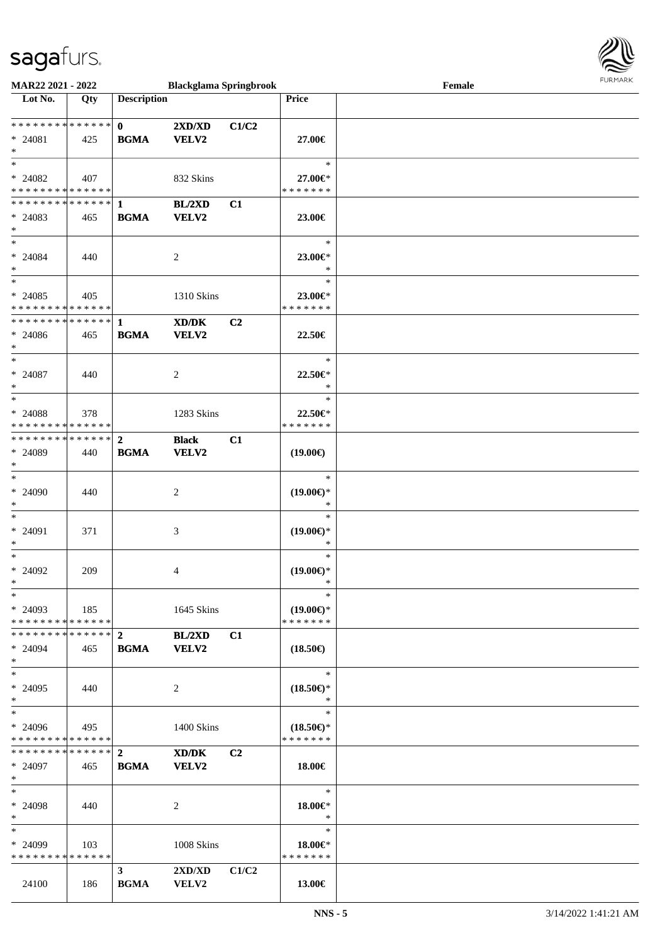

| MAR22 2021 - 2022             |     |                                            | <b>Blackglama Springbrook</b>               |       |                     | Female | <b>FUNITANN</b> |
|-------------------------------|-----|--------------------------------------------|---------------------------------------------|-------|---------------------|--------|-----------------|
| Lot No.                       | Qty | <b>Description</b>                         |                                             |       | Price               |        |                 |
|                               |     |                                            |                                             |       |                     |        |                 |
| * * * * * * * * * * * * * * * |     | $\mathbf{0}$                               | 2XD/XD                                      | C1/C2 |                     |        |                 |
| $* 24081$                     | 425 | $\mathbf{B}\mathbf{G}\mathbf{M}\mathbf{A}$ | <b>VELV2</b>                                |       | 27.00€              |        |                 |
| $\ast$                        |     |                                            |                                             |       |                     |        |                 |
| $\ast$                        |     |                                            |                                             |       | $\ast$              |        |                 |
| $* 24082$                     | 407 |                                            | 832 Skins                                   |       | 27.00€*             |        |                 |
| * * * * * * * * * * * * * *   |     |                                            |                                             |       | * * * * * * *       |        |                 |
|                               |     |                                            | BL/2XD                                      | C1    |                     |        |                 |
| $* 24083$                     | 465 | <b>BGMA</b>                                | <b>VELV2</b>                                |       | 23.00€              |        |                 |
| $\ast$                        |     |                                            |                                             |       |                     |        |                 |
| $*$                           |     |                                            |                                             |       | $\ast$              |        |                 |
|                               |     |                                            |                                             |       |                     |        |                 |
| $* 24084$<br>$\ast$           | 440 |                                            | 2                                           |       | 23.00€*<br>$\ast$   |        |                 |
| $\ast$                        |     |                                            |                                             |       | $\ast$              |        |                 |
|                               |     |                                            |                                             |       |                     |        |                 |
| $* 24085$                     | 405 |                                            | 1310 Skins                                  |       | 23.00€*             |        |                 |
| * * * * * * * * * * * * * *   |     |                                            |                                             |       | * * * * * * *       |        |                 |
| ******** <mark>******</mark>  |     | $\mathbf{1}$                               | $\mathbf{X}\mathbf{D}/\mathbf{D}\mathbf{K}$ | C2    |                     |        |                 |
| $* 24086$                     | 465 | <b>BGMA</b>                                | VELV2                                       |       | 22.50€              |        |                 |
| $\ast$                        |     |                                            |                                             |       |                     |        |                 |
| $\ast$                        |     |                                            |                                             |       | $\ast$              |        |                 |
| $*$ 24087                     | 440 |                                            | $\overline{c}$                              |       | 22.50€*             |        |                 |
| $\ast$                        |     |                                            |                                             |       | $\ast$              |        |                 |
| $\ast$                        |     |                                            |                                             |       | $\ast$              |        |                 |
| * 24088                       | 378 |                                            | 1283 Skins                                  |       | 22.50€*             |        |                 |
| * * * * * * * * * * * * * *   |     |                                            |                                             |       | * * * * * * *       |        |                 |
| * * * * * * * * * * * * * * * |     | $\overline{2}$                             | <b>Black</b>                                | C1    |                     |        |                 |
| * 24089                       | 440 | <b>BGMA</b>                                | <b>VELV2</b>                                |       | $(19.00\epsilon)$   |        |                 |
| $\ast$                        |     |                                            |                                             |       |                     |        |                 |
| $\ast$                        |     |                                            |                                             |       | $\ast$              |        |                 |
| * 24090                       | 440 |                                            | 2                                           |       | $(19.00\epsilon)$ * |        |                 |
| $\ast$                        |     |                                            |                                             |       | $\ast$              |        |                 |
| $\ast$                        |     |                                            |                                             |       | $\ast$              |        |                 |
| * 24091                       | 371 |                                            | 3                                           |       | $(19.00\epsilon)$ * |        |                 |
| $\ast$                        |     |                                            |                                             |       | $\ast$              |        |                 |
| $\ast$                        |     |                                            |                                             |       | $\ast$              |        |                 |
| $* 24092$                     | 209 |                                            | 4                                           |       | $(19.00\epsilon)$ * |        |                 |
| $*$                           |     |                                            |                                             |       |                     |        |                 |
| $\ast$                        |     |                                            |                                             |       | $\ast$              |        |                 |
| $* 24093$                     | 185 |                                            | 1645 Skins                                  |       | $(19.00\epsilon)$ * |        |                 |
| * * * * * * * * * * * * * *   |     |                                            |                                             |       | * * * * * * *       |        |                 |
| * * * * * * * * * * * * * *   |     | $\mathbf{2}$                               | BL/2XD                                      | C1    |                     |        |                 |
| $* 24094$                     | 465 | <b>BGMA</b>                                | VELV2                                       |       | $(18.50\epsilon)$   |        |                 |
| $*$                           |     |                                            |                                             |       |                     |        |                 |
| $\ast$                        |     |                                            |                                             |       | $\ast$              |        |                 |
| $* 24095$                     | 440 |                                            | 2                                           |       | $(18.50\epsilon)$ * |        |                 |
| $*$                           |     |                                            |                                             |       | $\ast$              |        |                 |
| $\ast$                        |     |                                            |                                             |       | $\ast$              |        |                 |
| $* 24096$                     | 495 |                                            | 1400 Skins                                  |       | $(18.50\epsilon)$ * |        |                 |
| * * * * * * * * * * * * * *   |     |                                            |                                             |       | * * * * * * *       |        |                 |
| * * * * * * * * * * * * * * * |     | $\mathbf{2}$                               | XD/DK                                       | C2    |                     |        |                 |
| * 24097                       | 465 | <b>BGMA</b>                                | VELV2                                       |       | 18.00€              |        |                 |
| $*$                           |     |                                            |                                             |       |                     |        |                 |
| $\ast$                        |     |                                            |                                             |       | $\ast$              |        |                 |
| * 24098                       | 440 |                                            | $\overline{c}$                              |       | 18.00€*             |        |                 |
| $*$                           |     |                                            |                                             |       | $\ast$              |        |                 |
| $\ast$                        |     |                                            |                                             |       | $\ast$              |        |                 |
| $* 24099$                     | 103 |                                            | 1008 Skins                                  |       | 18.00€*             |        |                 |
| * * * * * * * * * * * * * *   |     |                                            |                                             |       | * * * * * * *       |        |                 |
|                               |     | 3 <sup>1</sup>                             | $2{\bf X}{\bf D}/{\bf X}{\bf D}$            | C1/C2 |                     |        |                 |
| 24100                         | 186 | <b>BGMA</b>                                | VELV2                                       |       | 13.00€              |        |                 |
|                               |     |                                            |                                             |       |                     |        |                 |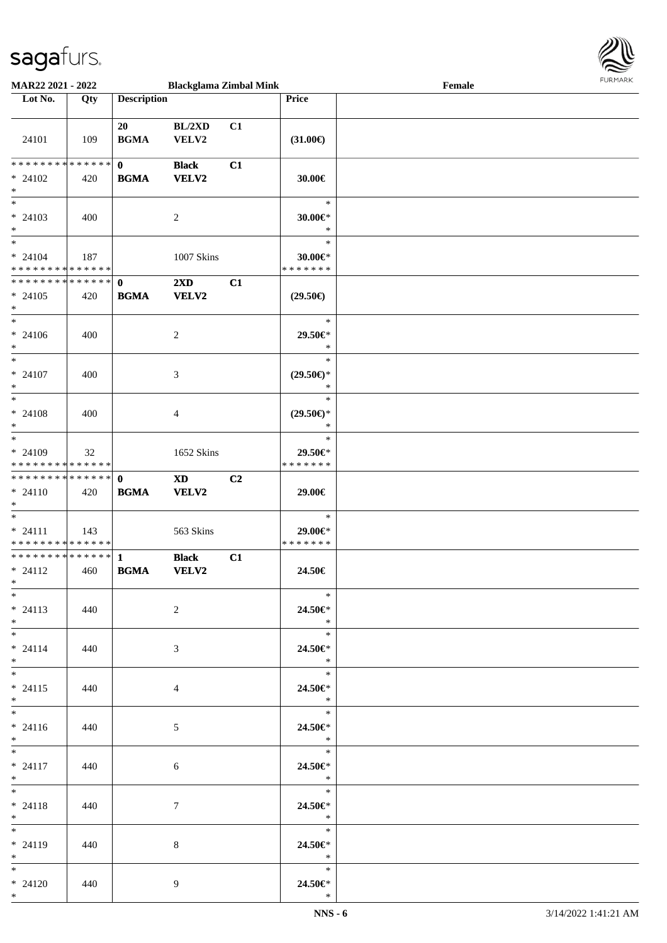

| <b>MAR22 2021 - 2022</b>                   |       |                    | <b>Blackglama Zimbal Mink</b> |                |                          | Female |  |
|--------------------------------------------|-------|--------------------|-------------------------------|----------------|--------------------------|--------|--|
| Lot No.                                    | Qty   | <b>Description</b> |                               |                | <b>Price</b>             |        |  |
|                                            |       |                    |                               |                |                          |        |  |
|                                            |       | 20                 | BL/2XD                        | C1             |                          |        |  |
| 24101                                      | 109   | <b>BGMA</b>        | VELV2                         |                | $(31.00\epsilon)$        |        |  |
|                                            |       |                    |                               |                |                          |        |  |
| ******** <mark>******</mark>               |       | $\mathbf{0}$       | <b>Black</b>                  | C1             |                          |        |  |
|                                            |       |                    |                               |                |                          |        |  |
| $* 24102$                                  | 420   | <b>BGMA</b>        | <b>VELV2</b>                  |                | 30.00€                   |        |  |
| $*$                                        |       |                    |                               |                |                          |        |  |
|                                            |       |                    |                               |                | $\ast$                   |        |  |
| $* 24103$                                  | 400   |                    | 2                             |                | 30.00€*                  |        |  |
| $*$                                        |       |                    |                               |                | $\ast$                   |        |  |
| $*$                                        |       |                    |                               |                | $\ast$                   |        |  |
| $* 24104$                                  | 187   |                    | 1007 Skins                    |                | $30.00 \in$ *            |        |  |
| * * * * * * * * * * * * * *                |       |                    |                               |                | * * * * * * *            |        |  |
| * * * * * * * * <mark>* * * * * * *</mark> |       | $\mathbf 0$        | $2\mathbf{X}\mathbf{D}$       | C1             |                          |        |  |
| $* 24105$                                  | 420   | <b>BGMA</b>        | <b>VELV2</b>                  |                | $(29.50\epsilon)$        |        |  |
| $\ast$                                     |       |                    |                               |                |                          |        |  |
| $*$                                        |       |                    |                               |                | $\ast$                   |        |  |
| $* 24106$                                  | 400   |                    | $\overline{c}$                |                | 29.50€*                  |        |  |
| $*$                                        |       |                    |                               |                | $\ast$                   |        |  |
| $*$                                        |       |                    |                               |                | $\ast$                   |        |  |
|                                            |       |                    |                               |                |                          |        |  |
| $* 24107$                                  | 400   |                    | 3                             |                | $(29.50\epsilon)$ *      |        |  |
| $\ast$                                     |       |                    |                               |                | $\ast$                   |        |  |
| $*$                                        |       |                    |                               |                | $\ast$                   |        |  |
| $* 24108$                                  | 400   |                    | $\overline{4}$                |                | $(29.50\epsilon)$ *      |        |  |
| $*$                                        |       |                    |                               |                | $\ast$                   |        |  |
| $\overline{\phantom{0}}$                   |       |                    |                               |                | $\ast$                   |        |  |
| * 24109                                    | 32    |                    | 1652 Skins                    |                | 29.50€*                  |        |  |
| * * * * * * * * <mark>* * * * * *</mark>   |       |                    |                               |                | * * * * * * *            |        |  |
| * * * * * * * * <mark>* * * * * * *</mark> |       | $\mathbf{0}$       | <b>XD</b>                     | C <sub>2</sub> |                          |        |  |
| $* 24110$                                  | 420   | <b>BGMA</b>        | <b>VELV2</b>                  |                | 29.00€                   |        |  |
| $*$                                        |       |                    |                               |                |                          |        |  |
| $*$                                        |       |                    |                               |                | $\ast$                   |        |  |
| $* 24111$                                  | 143   |                    | 563 Skins                     |                | 29.00€*                  |        |  |
| * * * * * * * * <mark>* * * * * * *</mark> |       |                    |                               |                | * * * * * * *            |        |  |
| ************** 1                           |       |                    | <b>Black</b>                  |                |                          |        |  |
|                                            |       |                    |                               | C1             |                          |        |  |
| $* 24112$                                  | 460   | <b>BGMA</b>        | <b>VELV2</b>                  |                | 24.50€                   |        |  |
| $*$                                        |       |                    |                               |                | $\ast$                   |        |  |
| $*$                                        |       |                    |                               |                |                          |        |  |
| $* 24113$                                  | 440   |                    | 2                             |                | 24.50€*                  |        |  |
| $*$                                        |       |                    |                               |                | $*$                      |        |  |
| $*$                                        |       |                    |                               |                | $\ast$                   |        |  |
| $* 24114$                                  | 440   |                    | 3                             |                | 24.50€*                  |        |  |
| $*$ $-$                                    |       |                    |                               |                | $\ast$                   |        |  |
| $*$ $-$                                    |       |                    |                               |                | $*$                      |        |  |
| $* 24115$                                  | 440   |                    | 4                             |                | 24.50€*                  |        |  |
| $*$                                        |       |                    |                               |                | $\ast$                   |        |  |
| $*$                                        |       |                    |                               |                | $\overline{\phantom{a}}$ |        |  |
| $* 24116$                                  | 440   |                    | 5 <sup>5</sup>                |                | 24.50€*                  |        |  |
| $*$                                        |       |                    |                               |                | $\ast$                   |        |  |
|                                            |       |                    |                               |                | $\overline{\phantom{a}}$ |        |  |
| $* 24117$                                  | 440   |                    |                               |                | 24.50€*                  |        |  |
| $*$                                        |       |                    | 6                             |                | $\ddot{x}$               |        |  |
| $*$ $-$                                    |       |                    |                               |                | $\overline{\phantom{a}}$ |        |  |
|                                            |       |                    |                               |                |                          |        |  |
| $* 24118$                                  | - 440 |                    | $7\phantom{.0}$               |                | 24.50€*                  |        |  |
| $*$ $-$                                    |       |                    |                               |                | $\ast$                   |        |  |
| $*$ and $*$                                |       |                    |                               |                | $\overline{\mathbf{r}}$  |        |  |
| $* 24119$                                  | 440   |                    | 8                             |                | 24.50 $\in$ *            |        |  |
| $*$                                        |       |                    |                               |                | $\ast$                   |        |  |
| $*$                                        |       |                    |                               |                | $\ast$                   |        |  |
| $* 24120$                                  | 440   |                    | 9                             |                | 24.50€*                  |        |  |
| $*$                                        |       |                    |                               |                | $\ast$                   |        |  |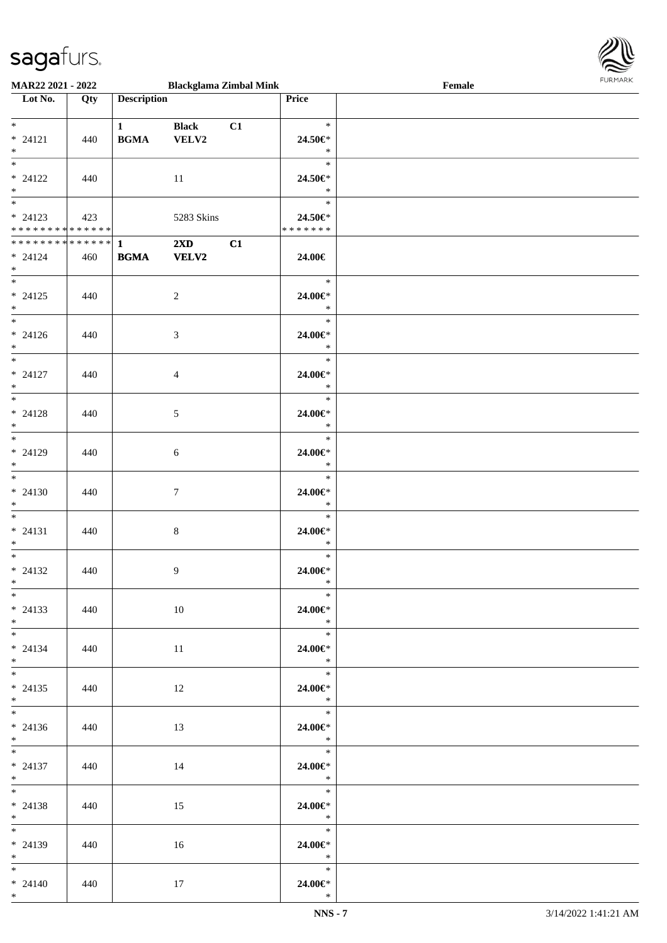

| MAR22 2021 - 2022                          |     |                                            | <b>Blackglama Zimbal Mink</b> |    |                                                                                                                                                                                                                                                                                                                                                                                                                             | Female | <b>FURMARK</b> |
|--------------------------------------------|-----|--------------------------------------------|-------------------------------|----|-----------------------------------------------------------------------------------------------------------------------------------------------------------------------------------------------------------------------------------------------------------------------------------------------------------------------------------------------------------------------------------------------------------------------------|--------|----------------|
| $\overline{\phantom{a}}$ Lot No.           | Qty | <b>Description</b>                         |                               |    | Price                                                                                                                                                                                                                                                                                                                                                                                                                       |        |                |
|                                            |     |                                            |                               |    |                                                                                                                                                                                                                                                                                                                                                                                                                             |        |                |
| $*$                                        |     | $1 \qquad \qquad$                          | <b>Black</b>                  | C1 | $\ast$                                                                                                                                                                                                                                                                                                                                                                                                                      |        |                |
| $* 24121$                                  | 440 | <b>BGMA</b>                                | VELV2                         |    | 24.50€*                                                                                                                                                                                                                                                                                                                                                                                                                     |        |                |
| $*$                                        |     |                                            |                               |    | $\ast$                                                                                                                                                                                                                                                                                                                                                                                                                      |        |                |
| $\overline{\ast}$                          |     |                                            |                               |    | $\ast$                                                                                                                                                                                                                                                                                                                                                                                                                      |        |                |
| $* 24122$                                  | 440 |                                            | 11                            |    | 24.50€*                                                                                                                                                                                                                                                                                                                                                                                                                     |        |                |
| $*$                                        |     |                                            |                               |    | $\ast$                                                                                                                                                                                                                                                                                                                                                                                                                      |        |                |
| $\overline{\ast}$                          |     |                                            |                               |    | $\ast$                                                                                                                                                                                                                                                                                                                                                                                                                      |        |                |
| $* 24123$                                  | 423 |                                            | 5283 Skins                    |    | 24.50€*                                                                                                                                                                                                                                                                                                                                                                                                                     |        |                |
| * * * * * * * * <mark>* * * * * * *</mark> |     |                                            |                               |    | *******                                                                                                                                                                                                                                                                                                                                                                                                                     |        |                |
|                                            |     |                                            | $2\mathbf{X}\mathbf{D}$       | C1 |                                                                                                                                                                                                                                                                                                                                                                                                                             |        |                |
| $* 24124$                                  | 460 | $\mathbf{B}\mathbf{G}\mathbf{M}\mathbf{A}$ | <b>VELV2</b>                  |    | 24.00€                                                                                                                                                                                                                                                                                                                                                                                                                      |        |                |
| $*$ $*$                                    |     |                                            |                               |    |                                                                                                                                                                                                                                                                                                                                                                                                                             |        |                |
| $*$ and $*$                                |     |                                            |                               |    | $\ast$                                                                                                                                                                                                                                                                                                                                                                                                                      |        |                |
| $* 24125$                                  | 440 |                                            | $\overline{2}$                |    | 24.00€*                                                                                                                                                                                                                                                                                                                                                                                                                     |        |                |
| $*$                                        |     |                                            |                               |    | $\ast$                                                                                                                                                                                                                                                                                                                                                                                                                      |        |                |
| $*$ and $*$                                |     |                                            |                               |    | $\ast$                                                                                                                                                                                                                                                                                                                                                                                                                      |        |                |
| $* 24126$                                  | 440 |                                            | 3                             |    | 24.00€*                                                                                                                                                                                                                                                                                                                                                                                                                     |        |                |
| $*$                                        |     |                                            |                               |    | $\ast$                                                                                                                                                                                                                                                                                                                                                                                                                      |        |                |
| $\overline{\mathbf{r}^*}$                  |     |                                            |                               |    | $\ast$                                                                                                                                                                                                                                                                                                                                                                                                                      |        |                |
| $* 24127$                                  | 440 |                                            | $\overline{4}$                |    | 24.00€*                                                                                                                                                                                                                                                                                                                                                                                                                     |        |                |
| $*$                                        |     |                                            |                               |    | $\ast$                                                                                                                                                                                                                                                                                                                                                                                                                      |        |                |
|                                            |     |                                            |                               |    | $\ast$                                                                                                                                                                                                                                                                                                                                                                                                                      |        |                |
| $* 24128$                                  | 440 |                                            | 5                             |    | 24.00€*                                                                                                                                                                                                                                                                                                                                                                                                                     |        |                |
| $*$                                        |     |                                            |                               |    | $\ast$                                                                                                                                                                                                                                                                                                                                                                                                                      |        |                |
| $\overline{\ast}$                          |     |                                            |                               |    | $\ast$                                                                                                                                                                                                                                                                                                                                                                                                                      |        |                |
| $* 24129$                                  | 440 |                                            | 6                             |    | 24.00€*                                                                                                                                                                                                                                                                                                                                                                                                                     |        |                |
| $*$                                        |     |                                            |                               |    | $\ast$                                                                                                                                                                                                                                                                                                                                                                                                                      |        |                |
| $*$                                        |     |                                            |                               |    | $\ast$                                                                                                                                                                                                                                                                                                                                                                                                                      |        |                |
| $* 24130$                                  | 440 |                                            | $\tau$                        |    | 24.00€*                                                                                                                                                                                                                                                                                                                                                                                                                     |        |                |
| $*$                                        |     |                                            |                               |    | $*$                                                                                                                                                                                                                                                                                                                                                                                                                         |        |                |
| $*$                                        |     |                                            |                               |    | $\ast$                                                                                                                                                                                                                                                                                                                                                                                                                      |        |                |
| $* 24131$                                  | 440 |                                            | $\,8\,$                       |    | 24.00€*                                                                                                                                                                                                                                                                                                                                                                                                                     |        |                |
| $*$                                        |     |                                            |                               |    | $*$                                                                                                                                                                                                                                                                                                                                                                                                                         |        |                |
| $*$                                        |     |                                            |                               |    | $\ast$                                                                                                                                                                                                                                                                                                                                                                                                                      |        |                |
| $* 24132$                                  | 440 |                                            | 9                             |    | 24.00€*                                                                                                                                                                                                                                                                                                                                                                                                                     |        |                |
| $*$                                        |     |                                            |                               |    | $*$                                                                                                                                                                                                                                                                                                                                                                                                                         |        |                |
| $*$                                        |     |                                            |                               |    | $\ast$                                                                                                                                                                                                                                                                                                                                                                                                                      |        |                |
| $* 24133$                                  | 440 |                                            | - 10                          |    | 24.00€*                                                                                                                                                                                                                                                                                                                                                                                                                     |        |                |
| $*$                                        |     |                                            |                               |    | $\ast$                                                                                                                                                                                                                                                                                                                                                                                                                      |        |                |
| $*$ $*$                                    |     |                                            |                               |    | $\ast$                                                                                                                                                                                                                                                                                                                                                                                                                      |        |                |
| $* 24134$                                  | 440 |                                            | -11                           |    | 24.00€*                                                                                                                                                                                                                                                                                                                                                                                                                     |        |                |
| $*$                                        |     |                                            |                               |    | $\ast$                                                                                                                                                                                                                                                                                                                                                                                                                      |        |                |
|                                            |     |                                            |                               |    | $\overline{\phantom{a}}$                                                                                                                                                                                                                                                                                                                                                                                                    |        |                |
| $* 24135$                                  | 440 |                                            | 12                            |    | 24.00€*                                                                                                                                                                                                                                                                                                                                                                                                                     |        |                |
| $*$                                        |     |                                            |                               |    | $*$                                                                                                                                                                                                                                                                                                                                                                                                                         |        |                |
|                                            |     |                                            |                               |    | $\frac{1}{1 + \frac{1}{1 + \frac{1}{1 + \frac{1}{1 + \frac{1}{1 + \frac{1}{1 + \frac{1}{1 + \frac{1}{1 + \frac{1}{1 + \frac{1}{1 + \frac{1}{1 + \frac{1}{1 + \frac{1}{1 + \frac{1}{1 + \frac{1}{1 + \frac{1}{1 + \frac{1}{1 + \frac{1}{1 + \frac{1}{1 + \frac{1}{1 + \frac{1}{1 + \frac{1}{1 + \frac{1}{1 + \frac{1}{1 + \frac{1}{1 + \frac{1}{1 + \frac{1}{1 + \frac{1}{1 + \frac{1}{1 + \frac{1}{1 + \frac{1}{1 + \frac{$ |        |                |
| $* 24136$                                  | 440 |                                            | 13                            |    | 24.00€*                                                                                                                                                                                                                                                                                                                                                                                                                     |        |                |
| $*$                                        |     |                                            |                               |    | $\ast$                                                                                                                                                                                                                                                                                                                                                                                                                      |        |                |
| $*$                                        |     |                                            |                               |    | $\ast$                                                                                                                                                                                                                                                                                                                                                                                                                      |        |                |
| $* 24137$                                  | 440 |                                            | 14                            |    | 24.00€*                                                                                                                                                                                                                                                                                                                                                                                                                     |        |                |
| $*$                                        |     |                                            |                               |    | $*$                                                                                                                                                                                                                                                                                                                                                                                                                         |        |                |
| $*$                                        |     |                                            |                               |    | $\ast$                                                                                                                                                                                                                                                                                                                                                                                                                      |        |                |
| $* 24138$                                  | 440 |                                            | 15                            |    | 24.00€*                                                                                                                                                                                                                                                                                                                                                                                                                     |        |                |
| $*$                                        |     |                                            |                               |    | $\ast$                                                                                                                                                                                                                                                                                                                                                                                                                      |        |                |
|                                            |     |                                            |                               |    | $\ast$                                                                                                                                                                                                                                                                                                                                                                                                                      |        |                |
| $* 24139$                                  | 440 |                                            | 16                            |    | 24.00€*                                                                                                                                                                                                                                                                                                                                                                                                                     |        |                |
| $*$                                        |     |                                            |                               |    | $\ast$                                                                                                                                                                                                                                                                                                                                                                                                                      |        |                |
| $*$                                        |     |                                            |                               |    | $\ast$                                                                                                                                                                                                                                                                                                                                                                                                                      |        |                |
| $* 24140$                                  | 440 |                                            | 17                            |    | 24.00€*                                                                                                                                                                                                                                                                                                                                                                                                                     |        |                |
| $*$                                        |     |                                            |                               |    | $\ast$                                                                                                                                                                                                                                                                                                                                                                                                                      |        |                |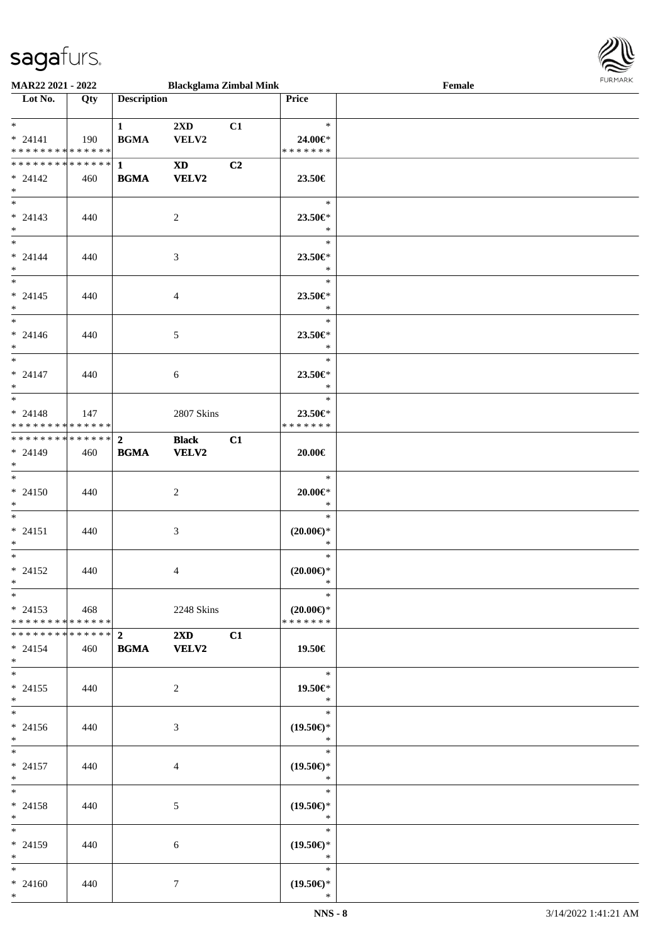

| <b>MAR22 2021 - 2022</b>                   |     |                        | <b>Blackglama Zimbal Mink</b> |    |                     | Female |  |
|--------------------------------------------|-----|------------------------|-------------------------------|----|---------------------|--------|--|
| Lot No.                                    | Qty | <b>Description</b>     |                               |    | Price               |        |  |
|                                            |     |                        |                               |    |                     |        |  |
| $*$                                        |     | $1 \quad \blacksquare$ | $2\mathbf{X}\mathbf{D}$       | C1 | $\rightarrow$       |        |  |
| $* 24141$                                  | 190 | <b>BGMA</b>            | <b>VELV2</b>                  |    | 24.00€*             |        |  |
| * * * * * * * * * * * * * * *              |     |                        |                               |    | * * * * * * *       |        |  |
|                                            |     |                        |                               |    |                     |        |  |
|                                            |     |                        | $\mathbf{X}\mathbf{D}$        | C2 |                     |        |  |
| $* 24142$                                  | 460 | <b>BGMA</b>            | <b>VELV2</b>                  |    | 23.50€              |        |  |
| $*$                                        |     |                        |                               |    |                     |        |  |
| $\overline{\ast}$                          |     |                        |                               |    | $\ast$              |        |  |
| $* 24143$                                  | 440 |                        | 2                             |    | 23.50€*             |        |  |
| $*$                                        |     |                        |                               |    | $\ast$              |        |  |
| $\ddot{x}$                                 |     |                        |                               |    | $\ast$              |        |  |
| $* 24144$                                  | 440 |                        | 3                             |    | 23.50€*             |        |  |
|                                            |     |                        |                               |    | $\ast$              |        |  |
| $*$<br>$\overline{\ast}$                   |     |                        |                               |    |                     |        |  |
|                                            |     |                        |                               |    | $\ast$              |        |  |
| $* 24145$                                  | 440 |                        | $\overline{4}$                |    | 23.50€*             |        |  |
| $*$                                        |     |                        |                               |    | $\ast$              |        |  |
| $\ddot{x}$                                 |     |                        |                               |    | $\ast$              |        |  |
| $* 24146$                                  | 440 |                        | 5                             |    | 23.50€*             |        |  |
| $*$                                        |     |                        |                               |    | $\ast$              |        |  |
| $\overline{\ast}$                          |     |                        |                               |    | $\ast$              |        |  |
|                                            |     |                        |                               |    |                     |        |  |
| $* 24147$                                  | 440 |                        | 6                             |    | 23.50 $\in$ *       |        |  |
| $*$                                        |     |                        |                               |    | $\ast$              |        |  |
| $\overline{\phantom{0}}$                   |     |                        |                               |    | $\ast$              |        |  |
| $* 24148$                                  | 147 |                        | 2807 Skins                    |    | 23.50€*             |        |  |
| * * * * * * * * <mark>* * * * * *</mark>   |     |                        |                               |    | * * * * * * *       |        |  |
|                                            |     |                        | <b>Black</b>                  | C1 |                     |        |  |
| $* 24149$                                  | 460 | <b>BGMA</b>            | <b>VELV2</b>                  |    | 20.00€              |        |  |
| $*$                                        |     |                        |                               |    |                     |        |  |
| $\ast$                                     |     |                        |                               |    | $\ast$              |        |  |
|                                            |     |                        |                               |    |                     |        |  |
| $* 24150$                                  | 440 |                        | 2                             |    | $20.00 \in$ *       |        |  |
| $*$                                        |     |                        |                               |    | $\ast$              |        |  |
| $*$                                        |     |                        |                               |    | $\ast$              |        |  |
| $* 24151$                                  | 440 |                        | 3                             |    | $(20.00\epsilon)$ * |        |  |
| $\ast$                                     |     |                        |                               |    | $\ast$              |        |  |
| $\ast$                                     |     |                        |                               |    | $\ast$              |        |  |
| $* 24152$                                  | 440 |                        | 4                             |    | $(20.00\epsilon)$ * |        |  |
| $*$                                        |     |                        |                               |    | $\ast$              |        |  |
| $\ast$                                     |     |                        |                               |    | —<br>*              |        |  |
|                                            |     |                        |                               |    |                     |        |  |
| $* 24153$ 468                              |     |                        | 2248 Skins                    |    | $(20.00\epsilon)$ * |        |  |
| * * * * * * * * * * * * * * <mark>*</mark> |     |                        |                               |    | * * * * * * *       |        |  |
|                                            |     |                        | $2\mathbf{X}\mathbf{D}$       | C1 |                     |        |  |
| $* 24154$                                  | 460 | <b>BGMA</b> VELV2      |                               |    | 19.50€              |        |  |
| $\ast$                                     |     |                        |                               |    |                     |        |  |
| $*$                                        |     |                        |                               |    | $\ast$              |        |  |
| $* 24155$                                  | 440 |                        | 2                             |    | 19.50€*             |        |  |
| $\ddot{x}$                                 |     |                        |                               |    | $\ast$              |        |  |
| $*$ $*$                                    |     |                        |                               |    | $\ast$              |        |  |
|                                            |     |                        |                               |    |                     |        |  |
| $* 24156$                                  | 440 |                        | 3                             |    | $(19.50\epsilon)$ * |        |  |
| $*$                                        |     |                        |                               |    | $\ast$              |        |  |
| $\ast$                                     |     |                        |                               |    | $\ast$              |        |  |
| $* 24157$                                  | 440 |                        | $\overline{4}$                |    | $(19.50\epsilon)$ * |        |  |
| $*$                                        |     |                        |                               |    | $\ast$              |        |  |
| $*$ $*$                                    |     |                        |                               |    | $*$                 |        |  |
| $* 24158$                                  | 440 |                        | 5                             |    | $(19.50\epsilon)$ * |        |  |
| $*$ $-$                                    |     |                        |                               |    | $\mathbb{R}^n$      |        |  |
|                                            |     |                        |                               |    | $\ddot{x}$          |        |  |
|                                            |     |                        |                               |    |                     |        |  |
| $* 24159$                                  | 440 |                        | 6                             |    | $(19.50\epsilon)$ * |        |  |
| $*$ $-$                                    |     |                        |                               |    | $\ast$              |        |  |
| $*$                                        |     |                        |                               |    | $\ast$              |        |  |
| $* 24160$                                  | 440 |                        | $7\phantom{.0}$               |    | $(19.50\epsilon)$ * |        |  |
| $\ast$                                     |     |                        |                               |    | $\ast$              |        |  |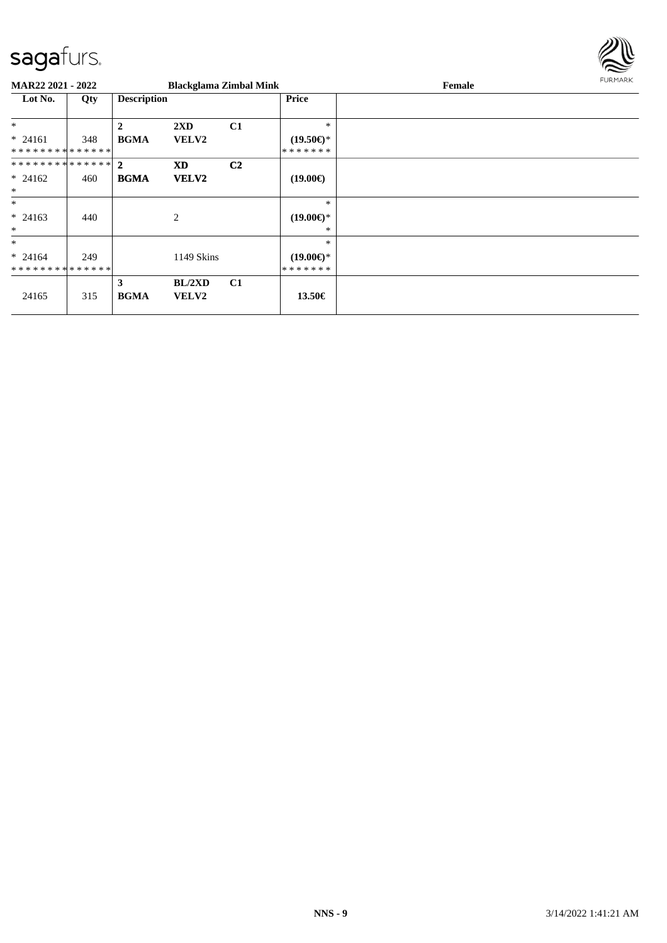

| <b>MAR22 2021 - 2022</b> |     |                    | <b>Blackglama Zimbal Mink</b> |                |                     | Female | FURMARK |
|--------------------------|-----|--------------------|-------------------------------|----------------|---------------------|--------|---------|
| Lot No.                  | Qty | <b>Description</b> |                               |                | Price               |        |         |
| $\ast$                   |     | 2                  | $2\mathbf{X}\mathbf{D}$       | C1             | $*$                 |        |         |
| $* 24161$                | 348 | <b>BGMA</b>        | <b>VELV2</b>                  |                | $(19.50\epsilon)$ * |        |         |
| **************           |     |                    |                               |                | * * * * * * *       |        |         |
| ************** 2         |     |                    | <b>XD</b>                     | C <sub>2</sub> |                     |        |         |
| $* 24162$                | 460 | <b>BGMA</b>        | <b>VELV2</b>                  |                | $(19.00\epsilon)$   |        |         |
| $*$                      |     |                    |                               |                |                     |        |         |
| $\ast$                   |     |                    |                               |                | $\ast$              |        |         |
| $* 24163$                | 440 |                    | $\mathbf{2}$                  |                | $(19.00\epsilon)$ * |        |         |
| $\ast$                   |     |                    |                               |                | *                   |        |         |
| $\ast$                   |     |                    |                               |                | $\ast$              |        |         |
| $* 24164$                | 249 |                    | 1149 Skins                    |                | $(19.00\epsilon)$ * |        |         |
| **************           |     |                    |                               |                | *******             |        |         |
|                          |     | 3                  | BL/2XD                        | C <sub>1</sub> |                     |        |         |
| 24165                    | 315 | <b>BGMA</b>        | <b>VELV2</b>                  |                | 13.50€              |        |         |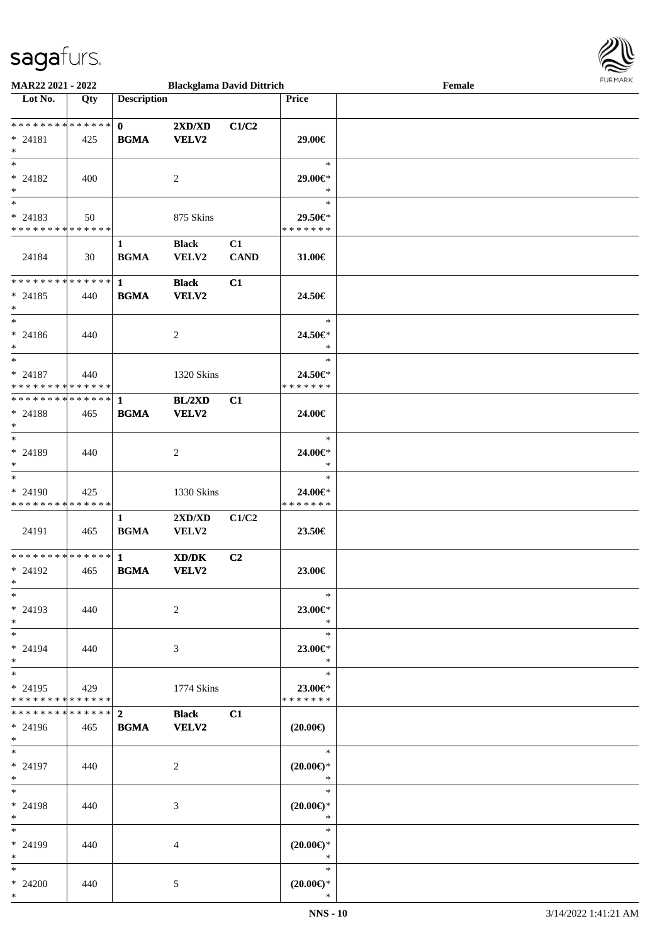

| MAR22 2021 - 2022                                        |       |                             | <b>Blackglama David Dittrich</b> |                   |                                         | Female | <b>FURPIARA</b> |
|----------------------------------------------------------|-------|-----------------------------|----------------------------------|-------------------|-----------------------------------------|--------|-----------------|
| Lot No.                                                  | Qty   | <b>Description</b>          |                                  |                   | <b>Price</b>                            |        |                 |
| * * * * * * * * * * * * * * *<br>$* 24181$<br>$*$        | 425   | $\mathbf{0}$<br><b>BGMA</b> | 2XD/XD<br><b>VELV2</b>           | C1/C2             | 29.00€                                  |        |                 |
| $*$<br>$* 24182$<br>$*$                                  | 400   |                             | 2                                |                   | $\ast$<br>29.00€*<br>$\ast$             |        |                 |
| $*$<br>$* 24183$<br>* * * * * * * * * * * * * * *        | 50    |                             | 875 Skins                        |                   | $\ast$<br>29.50€*<br>* * * * * * *      |        |                 |
| 24184                                                    | 30    | $\mathbf{1}$<br><b>BGMA</b> | <b>Black</b><br>VELV2            | C1<br><b>CAND</b> | 31.00€                                  |        |                 |
| * * * * * * * * * * * * * * *<br>$* 24185$<br>$*$<br>$*$ | 440   | $\mathbf{1}$<br><b>BGMA</b> | <b>Black</b><br><b>VELV2</b>     | C1                | 24.50€<br>$\ast$                        |        |                 |
| $* 24186$<br>$*$<br>$*$                                  | 440   |                             | 2                                |                   | 24.50€*<br>$\ast$<br>$\ast$             |        |                 |
| $* 24187$<br>* * * * * * * * * * * * * *                 | 440   |                             | 1320 Skins                       |                   | 24.50€*<br>* * * * * * *                |        |                 |
| * * * * * * * * * * * * * * *<br>$* 24188$<br>$*$<br>$*$ | 465   | $\mathbf{1}$<br><b>BGMA</b> | BL/2XD<br><b>VELV2</b>           | C1                | 24.00€<br>$\ast$                        |        |                 |
| $* 24189$<br>$*$<br>$*$                                  | 440   |                             | 2                                |                   | 24.00€*<br>$\ast$<br>$\ast$             |        |                 |
| * 24190<br>* * * * * * * * * * * * * *                   | 425   |                             | 1330 Skins                       |                   | 24.00€*<br>* * * * * * *                |        |                 |
| 24191                                                    | 465   | $\mathbf{1}$<br><b>BGMA</b> | 2XD/XD<br>VELV2                  | C1/C2             | 23.50€                                  |        |                 |
| * * * * * * * * * * * * * * *<br>* 24192<br>$x =$<br>$*$ | 465   | $\mathbf{1}$<br><b>BGMA</b> | XD/DK<br><b>VELV2</b>            | C <sub>2</sub>    | 23.00€<br>$\ast$                        |        |                 |
| * 24193<br>$*$<br>$*$                                    | 440   |                             | 2                                |                   | 23.00€*<br>$\ast$<br>$\ast$             |        |                 |
| * 24194<br>$*$ $-$<br>$*$                                | - 440 |                             | 3                                |                   | 23.00€*<br>$*$<br>$\ast$                |        |                 |
| $* 24195$<br>* * * * * * * * * * * * * * *               | 429   |                             | 1774 Skins                       |                   | 23.00€*<br>* * * * * * *                |        |                 |
| ************** 2<br>$* 24196$<br>$*$<br>$*$              | 465   | <b>BGMA</b> VELV2           | <b>Black</b>                     | C1                | $(20.00\epsilon)$<br>$\ast$             |        |                 |
| * 24197<br>$*$<br>$*$                                    | 440   |                             | 2                                |                   | $(20.00\epsilon)$ *<br>$\ast$<br>$\ast$ |        |                 |
| * 24198<br>$*$<br>$*$ $*$                                | 440   |                             | 3                                |                   | $(20.00\epsilon)$ *<br>$\ast$<br>$\ast$ |        |                 |
| * 24199<br>$*$<br>$*$                                    | 440   |                             | 4                                |                   | $(20.00\epsilon)$ *<br>$\ast$<br>$\ast$ |        |                 |
| $* 24200$<br>$*$                                         | 440   |                             | 5                                |                   | $(20.00\epsilon)$ *<br>$\ast$           |        |                 |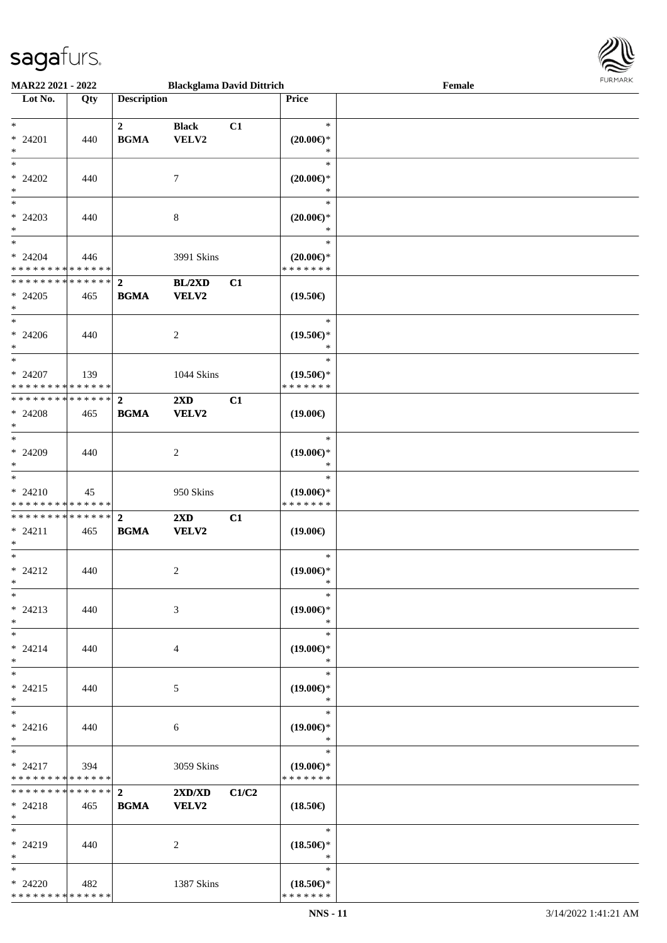

| MAR22 2021 - 2022             |     |                    | <b>Blackglama David Dittrich</b> |       |                     | Female |  |
|-------------------------------|-----|--------------------|----------------------------------|-------|---------------------|--------|--|
| Lot No.                       | Qty | <b>Description</b> |                                  |       | <b>Price</b>        |        |  |
|                               |     |                    |                                  |       |                     |        |  |
| $\ast$                        |     | $\overline{2}$     | <b>Black</b>                     | C1    | $\ast$              |        |  |
| * 24201                       | 440 | <b>BGMA</b>        | VELV2                            |       | $(20.00\epsilon)$ * |        |  |
| $\ast$                        |     |                    |                                  |       | $\ast$              |        |  |
| $\overline{\ast}$             |     |                    |                                  |       | $\ast$              |        |  |
| $* 24202$                     | 440 |                    | 7                                |       | $(20.00\epsilon)$ * |        |  |
| $\ast$                        |     |                    |                                  |       | $\ast$              |        |  |
| $_{\ast}^{-}$                 |     |                    |                                  |       | $\ast$              |        |  |
| $* 24203$                     | 440 |                    | $\,8\,$                          |       | $(20.00\epsilon)$ * |        |  |
| $\ast$                        |     |                    |                                  |       | $\ast$              |        |  |
| $\overline{\phantom{a}^*}$    |     |                    |                                  |       | $\ast$              |        |  |
| $* 24204$                     | 446 |                    | 3991 Skins                       |       | $(20.00\epsilon)$ * |        |  |
| * * * * * * * * * * * * * *   |     |                    |                                  |       | * * * * * * *       |        |  |
| ******** <mark>******</mark>  |     | $\mathbf{2}$       | BL/2XD                           | C1    |                     |        |  |
| $* 24205$                     | 465 | <b>BGMA</b>        | <b>VELV2</b>                     |       | $(19.50\epsilon)$   |        |  |
| $\ast$                        |     |                    |                                  |       |                     |        |  |
| $\ast$                        |     |                    |                                  |       | $\ast$              |        |  |
| $* 24206$                     | 440 |                    | 2                                |       | $(19.50\epsilon)$ * |        |  |
| $\ast$                        |     |                    |                                  |       | *                   |        |  |
| $_{\ast}$                     |     |                    |                                  |       | $\ast$              |        |  |
| $* 24207$                     | 139 |                    | 1044 Skins                       |       | $(19.50\epsilon)$ * |        |  |
| * * * * * * * * * * * * * *   |     |                    |                                  |       | * * * * * * *       |        |  |
| **************                |     | $\overline{2}$     | $2\mathbf{X}\mathbf{D}$          | C1    |                     |        |  |
| $* 24208$                     | 465 | <b>BGMA</b>        | <b>VELV2</b>                     |       | $(19.00\epsilon)$   |        |  |
| $\ast$                        |     |                    |                                  |       |                     |        |  |
| $\overline{\phantom{a}^*}$    |     |                    |                                  |       | $\ast$              |        |  |
| * 24209                       | 440 |                    | $\overline{c}$                   |       | $(19.00\epsilon)$ * |        |  |
| $\ast$                        |     |                    |                                  |       | *                   |        |  |
| $\ast$                        |     |                    |                                  |       | $\ast$              |        |  |
| $* 24210$                     | 45  |                    | 950 Skins                        |       | $(19.00\epsilon)$ * |        |  |
| * * * * * * * * * * * * * *   |     |                    |                                  |       | * * * * * * *       |        |  |
| * * * * * * * * * * * * * * * |     | $\overline{2}$     | 2XD                              | C1    |                     |        |  |
| $* 24211$                     | 465 | <b>BGMA</b>        | VELV2                            |       | $(19.00\epsilon)$   |        |  |
| $\ast$                        |     |                    |                                  |       |                     |        |  |
| $\ast$                        |     |                    |                                  |       | $\ast$              |        |  |
| $* 24212$                     | 440 |                    | $\overline{c}$                   |       | $(19.00\epsilon)$ * |        |  |
| $*$                           |     |                    |                                  |       | $\ast$              |        |  |
| $\ast$                        |     |                    |                                  |       | $\ast$              |        |  |
| $* 24213$                     | 440 |                    | 3                                |       | $(19.00\epsilon)$ * |        |  |
| $\ast$                        |     |                    |                                  |       | $\ast$              |        |  |
| $\ast$                        |     |                    |                                  |       | $\ast$              |        |  |
| $* 24214$                     | 440 |                    | 4                                |       | $(19.00\epsilon)$ * |        |  |
| $\ast$                        |     |                    |                                  |       | $\ast$              |        |  |
| $\ast$                        |     |                    |                                  |       | $\ast$              |        |  |
| $* 24215$                     | 440 |                    | 5                                |       | $(19.00\epsilon)$ * |        |  |
| $*$                           |     |                    |                                  |       | $\ast$              |        |  |
| $\ast$                        |     |                    |                                  |       | $\ast$              |        |  |
| $* 24216$                     | 440 |                    | 6                                |       | $(19.00\epsilon)$ * |        |  |
| $*$                           |     |                    |                                  |       | $\ast$              |        |  |
| $*$                           |     |                    |                                  |       | $\ast$              |        |  |
| $* 24217$                     | 394 |                    | 3059 Skins                       |       | $(19.00\epsilon)$ * |        |  |
| * * * * * * * * * * * * * *   |     |                    |                                  |       | * * * * * * *       |        |  |
| * * * * * * * * * * * * * *   |     | $\overline{2}$     | 2XD/XD                           | C1/C2 |                     |        |  |
| $* 24218$                     | 465 | <b>BGMA</b>        | <b>VELV2</b>                     |       | $(18.50\epsilon)$   |        |  |
| $*$                           |     |                    |                                  |       |                     |        |  |
| $\ast$                        |     |                    |                                  |       | $\ast$              |        |  |
| $* 24219$                     | 440 |                    | 2                                |       | $(18.50\epsilon)$ * |        |  |
| $*$                           |     |                    |                                  |       | $\ast$              |        |  |
| $\ast$                        |     |                    |                                  |       | $\ast$              |        |  |
| $* 24220$                     | 482 |                    | 1387 Skins                       |       | $(18.50\epsilon)$ * |        |  |
| * * * * * * * * * * * * * *   |     |                    |                                  |       | * * * * * * *       |        |  |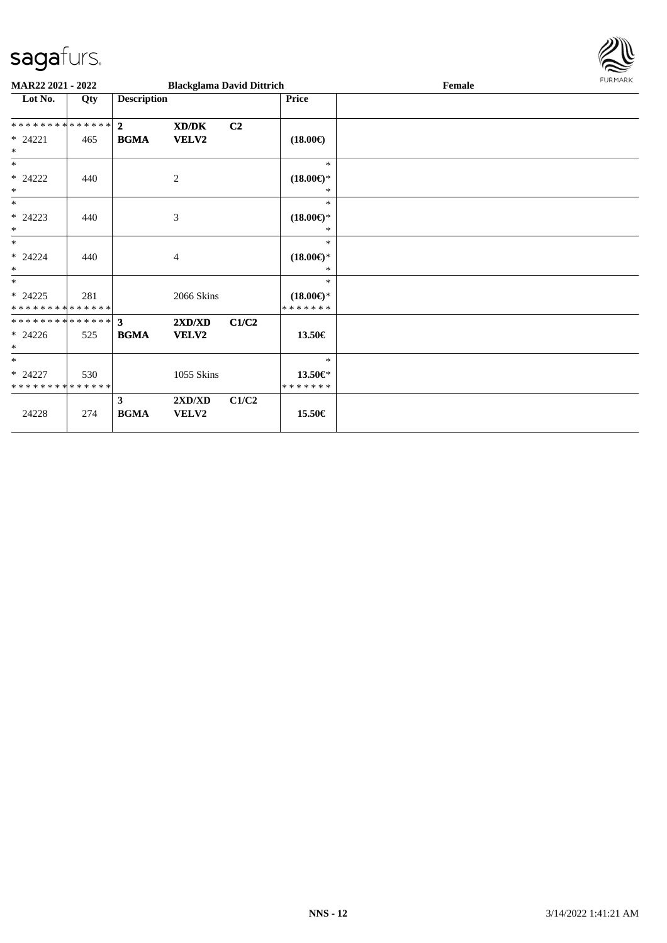

| <b>MAR22 2021 - 2022</b>                 |     |                         | <b>Blackglama David Dittrich</b> |                |                                      | Female | <b>FURMARK</b> |
|------------------------------------------|-----|-------------------------|----------------------------------|----------------|--------------------------------------|--------|----------------|
| Lot No.                                  | Qty | <b>Description</b>      |                                  |                | <b>Price</b>                         |        |                |
| **************                           |     | $\overline{2}$          | XD/DK                            | C <sub>2</sub> |                                      |        |                |
| $* 24221$<br>$\ast$                      | 465 | <b>BGMA</b>             | VELV2                            |                | $(18.00\epsilon)$                    |        |                |
| $\ast$                                   |     |                         |                                  |                | $\ast$                               |        |                |
| $* 24222$<br>$\ast$                      | 440 |                         | $\mathbf{2}$                     |                | $(18.00\epsilon)$ *<br>*             |        |                |
| $\ast$                                   |     |                         |                                  |                | $\ast$                               |        |                |
| $* 24223$<br>$\ast$                      | 440 |                         | $\mathfrak{Z}$                   |                | $(18.00\epsilon)$ *<br>*             |        |                |
| $\ast$                                   |     |                         |                                  |                | $\ast$                               |        |                |
| $* 24224$<br>$\ast$                      | 440 |                         | 4                                |                | $(18.00\epsilon)$ *<br>*             |        |                |
| $\ast$                                   |     |                         |                                  |                | $*$                                  |        |                |
| $* 24225$<br>* * * * * * * * * * * * * * | 281 |                         | 2066 Skins                       |                | $(18.00\epsilon)$ *<br>* * * * * * * |        |                |
| **************                           |     | $\mathbf{3}$            | 2XD/XD                           | C1/C2          |                                      |        |                |
| $* 24226$<br>$\ast$                      | 525 | <b>BGMA</b>             | VELV2                            |                | 13.50€                               |        |                |
| $*$                                      |     |                         |                                  |                | $\ast$                               |        |                |
| $* 24227$<br>* * * * * * * * * * * * * * | 530 |                         | 1055 Skins                       |                | 13.50€*<br>* * * * * * *             |        |                |
|                                          |     | $\overline{\mathbf{3}}$ | 2XD/XD                           | C1/C2          |                                      |        |                |
| 24228                                    | 274 | <b>BGMA</b>             | VELV2                            |                | 15.50€                               |        |                |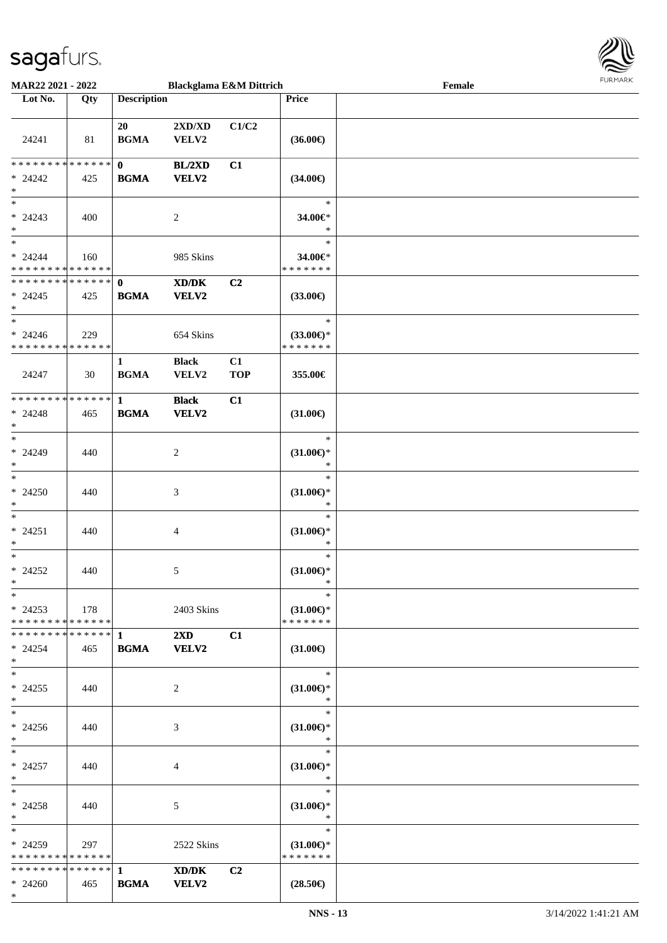

| <b>MAR22 2021 - 2022</b>                                       |     |                             | <b>Blackglama E&amp;M Dittrich</b>                                                                                   |                  |                                                   | Female |  |
|----------------------------------------------------------------|-----|-----------------------------|----------------------------------------------------------------------------------------------------------------------|------------------|---------------------------------------------------|--------|--|
| Lot No.                                                        | Qty | <b>Description</b>          |                                                                                                                      |                  | Price                                             |        |  |
| 24241                                                          | 81  | 20<br><b>BGMA</b>           | $2{\bf X}{\bf D}/{\bf X}{\bf D}$<br>VELV2                                                                            | C1/C2            | $(36.00\epsilon)$                                 |        |  |
| * * * * * * * * <mark>* * * * * * *</mark>                     |     | $\mathbf{0}$                | BL/2XD                                                                                                               | C1               |                                                   |        |  |
| $* 24242$<br>$*$<br>$*$                                        | 425 | <b>BGMA</b>                 | <b>VELV2</b>                                                                                                         |                  | $(34.00\epsilon)$<br>$\ast$                       |        |  |
| $* 24243$<br>$*$<br>$\overline{\phantom{0}}$                   | 400 |                             | 2                                                                                                                    |                  | 34.00€*<br>$\ast$<br>$\ast$                       |        |  |
| $* 24244$<br>* * * * * * * * * * * * * *                       | 160 |                             | 985 Skins                                                                                                            |                  | 34.00€*<br>* * * * * * *                          |        |  |
| * * * * * * * * * * * * * * <mark>*</mark><br>$* 24245$<br>$*$ | 425 | $\mathbf{0}$<br><b>BGMA</b> | $\boldsymbol{\text{X}}\boldsymbol{\text{D}}\boldsymbol{/}\boldsymbol{\text{D}}\boldsymbol{\text{K}}$<br><b>VELV2</b> | C2               | $(33.00\epsilon)$                                 |        |  |
| $*$<br>$* 24246$<br>* * * * * * * * * * * * * *                | 229 |                             | 654 Skins                                                                                                            |                  | $\ast$<br>$(33.00\epsilon)$ *<br>* * * * * * *    |        |  |
| 24247                                                          | 30  | $\mathbf{1}$<br><b>BGMA</b> | <b>Black</b><br>VELV2                                                                                                | C1<br><b>TOP</b> | 355.00€                                           |        |  |
| * * * * * * * * <mark>* * * * * * *</mark><br>$* 24248$<br>$*$ | 465 | $\mathbf{1}$<br><b>BGMA</b> | <b>Black</b><br><b>VELV2</b>                                                                                         | C1               | $(31.00\epsilon)$                                 |        |  |
| $*$<br>$* 24249$<br>$*$<br>$*$                                 | 440 |                             | 2                                                                                                                    |                  | $\ast$<br>$(31.00\epsilon)$ *<br>$\ast$<br>$\ast$ |        |  |
| $* 24250$<br>$\ast$<br>$*$                                     | 440 |                             | 3                                                                                                                    |                  | $(31.00\epsilon)$ *<br>$\ast$<br>$\ast$           |        |  |
| $* 24251$<br>$*$                                               | 440 |                             | 4                                                                                                                    |                  | $(31.00\epsilon)$ *<br>$\ast$<br>$\ast$           |        |  |
| $*$<br>$* 24252$<br>$*$                                        | 440 |                             | 5                                                                                                                    |                  | $(31.00\epsilon)$ *<br>$\ast$                     |        |  |
| $*$<br>$*$ 24253<br>* * * * * * * * * * * * * * <mark>*</mark> | 178 |                             | 2403 Skins                                                                                                           |                  | $\ast$<br>$(31.00 \in )^*$<br>* * * * * * *       |        |  |
| $* 24254$<br>$*$                                               | 465 | <b>BGMA</b>                 | $2\mathbf{X}\mathbf{D}$<br><b>VELV2</b>                                                                              | C1               | $(31.00\epsilon)$                                 |        |  |
| $*$ $-$<br>$* 24255$<br>$*$                                    | 440 |                             | 2                                                                                                                    |                  | $\ast$<br>$(31.00\epsilon)$ *<br>$\ast$           |        |  |
| $*$ $-$<br>$* 24256$<br>$*$                                    | 440 |                             | 3                                                                                                                    |                  | $\ast$<br>$(31.00\epsilon)$ *<br>$\ast$           |        |  |
| $*$<br>$* 24257$<br>$*$                                        | 440 |                             | 4                                                                                                                    |                  | $\ast$<br>$(31.00\mathbb{E})^*$<br>$\ast$         |        |  |
| $*$ $-$<br>$* 24258$<br>$*$ $-$                                | 440 |                             | 5                                                                                                                    |                  | $\ast$<br>$(31.00\epsilon)$ *<br>$\ast$           |        |  |
| $*$ $-$<br>$*24259$<br>* * * * * * * * * * * * * * *           | 297 |                             | 2522 Skins                                                                                                           |                  | $\ast$<br>$(31.00\epsilon)$ *<br>* * * * * * *    |        |  |
|                                                                |     |                             | XD/DK                                                                                                                | C <sub>2</sub>   |                                                   |        |  |
| $* 24260$                                                      | 465 | <b>BGMA</b>                 | <b>VELV2</b>                                                                                                         |                  | $(28.50\epsilon)$                                 |        |  |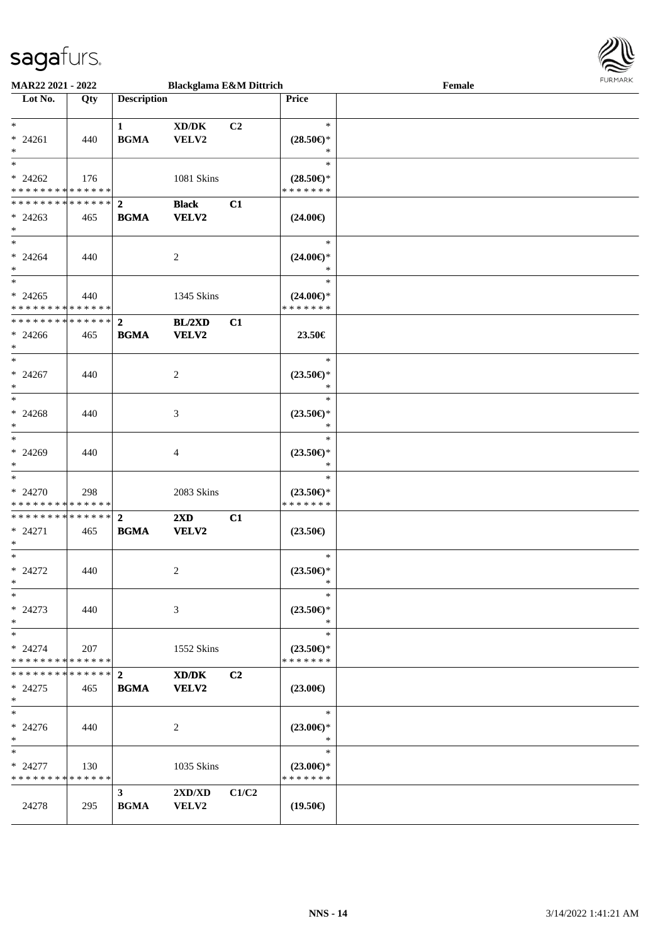

| <b>MAR22 2021 - 2022</b>                                                    |     |                               | <b>Blackglama E&amp;M Dittrich</b>               |                |                                                | Female | 1.911171777 |
|-----------------------------------------------------------------------------|-----|-------------------------------|--------------------------------------------------|----------------|------------------------------------------------|--------|-------------|
| Lot No.                                                                     | Qty | <b>Description</b>            |                                                  |                | Price                                          |        |             |
| $\ast$<br>$* 24261$<br>$\ast$                                               | 440 | $\mathbf{1}$<br><b>BGMA</b>   | XD/DK<br>VELV2                                   | C <sub>2</sub> | $\ast$<br>$(28.50\epsilon)$ *<br>$\ast$        |        |             |
| $\overline{\cdot}$<br>$* 24262$<br>* * * * * * * * <mark>* * * * * *</mark> | 176 |                               | 1081 Skins                                       |                | $\ast$<br>$(28.50\epsilon)$ *<br>* * * * * * * |        |             |
| $* 24263$<br>$\ast$                                                         | 465 | <b>BGMA</b>                   | <b>Black</b><br>VELV2                            | C1             | $(24.00\epsilon)$                              |        |             |
| $*$<br>$* 24264$<br>$\ast$                                                  | 440 |                               | 2                                                |                | $\ast$<br>$(24.00\epsilon)$ *<br>$\ast$        |        |             |
| $\overline{\ast}$<br>$* 24265$<br>* * * * * * * * <mark>* * * * * *</mark>  | 440 |                               | 1345 Skins                                       |                | $\ast$<br>$(24.00\epsilon)$ *<br>* * * * * * * |        |             |
| * * * * * * * * <mark>* * * * * * *</mark><br>$* 24266$<br>$\ast$           | 465 | $\overline{2}$<br><b>BGMA</b> | BL/2XD<br>VELV2                                  | C1             | 23.50€                                         |        |             |
| $\ast$<br>$* 24267$<br>$\ast$                                               | 440 |                               | 2                                                |                | $\ast$<br>$(23.50\epsilon)$ *<br>$\ast$        |        |             |
| $\ast$<br>$* 24268$<br>$*$                                                  | 440 |                               | 3                                                |                | $\ast$<br>$(23.50\epsilon)$ *<br>$\ast$        |        |             |
| $\ddot{x}$<br>$* 24269$<br>$\ast$                                           | 440 |                               | $\overline{4}$                                   |                | $\ast$<br>$(23.50\epsilon)$ *<br>$\ast$        |        |             |
| $* 24270$<br>* * * * * * * * <mark>* * * * * * *</mark>                     | 298 |                               | 2083 Skins                                       |                | $\ast$<br>$(23.50\epsilon)$ *<br>* * * * * * * |        |             |
| * * * * * * * * <mark>* * * * * * *</mark><br>$* 24271$<br>$*$              | 465 | $\overline{2}$<br><b>BGMA</b> | $2\mathbf{X}\mathbf{D}$<br><b>VELV2</b>          | C1             | $(23.50\epsilon)$                              |        |             |
| $*$ $-$<br>$* 24272$<br>$\ddot{\ast}$                                       | 440 |                               | 2                                                |                | $\ast$<br>$(23.50\epsilon)$ *<br>$\ast$        |        |             |
| $\ast$<br>$* 24273$<br>$*$ $-$                                              | 440 |                               | 3                                                |                | $\ast$<br>$(23.50\epsilon)$ *<br>$\ast$        |        |             |
| $\ast$<br>$* 24274$<br>* * * * * * * * * * * * * * <mark>*</mark>           | 207 |                               | 1552 Skins                                       |                | $\ast$<br>$(23.50\epsilon)$ *<br>* * * * * * * |        |             |
| ******** <mark>******</mark> 2<br>$*24275$<br>$\ast$                        | 465 | <b>BGMA</b>                   | XD/DK<br><b>VELV2</b>                            | C2             | $(23.00\epsilon)$                              |        |             |
| $*$<br>$* 24276$<br>$\ast$                                                  | 440 |                               | 2                                                |                | $\ast$<br>$(23.00\epsilon)$ *<br>$\ast$        |        |             |
| $\ast$<br>* 24277<br>* * * * * * * * * * * * * *                            | 130 |                               | 1035 Skins                                       |                | $\ast$<br>$(23.00\epsilon)$ *<br>* * * * * * * |        |             |
| 24278                                                                       | 295 | 3 <sup>1</sup><br><b>BGMA</b> | $2{\bf X}{\bf D}/{\bf X}{\bf D}$<br><b>VELV2</b> | C1/C2          | $(19.50\epsilon)$                              |        |             |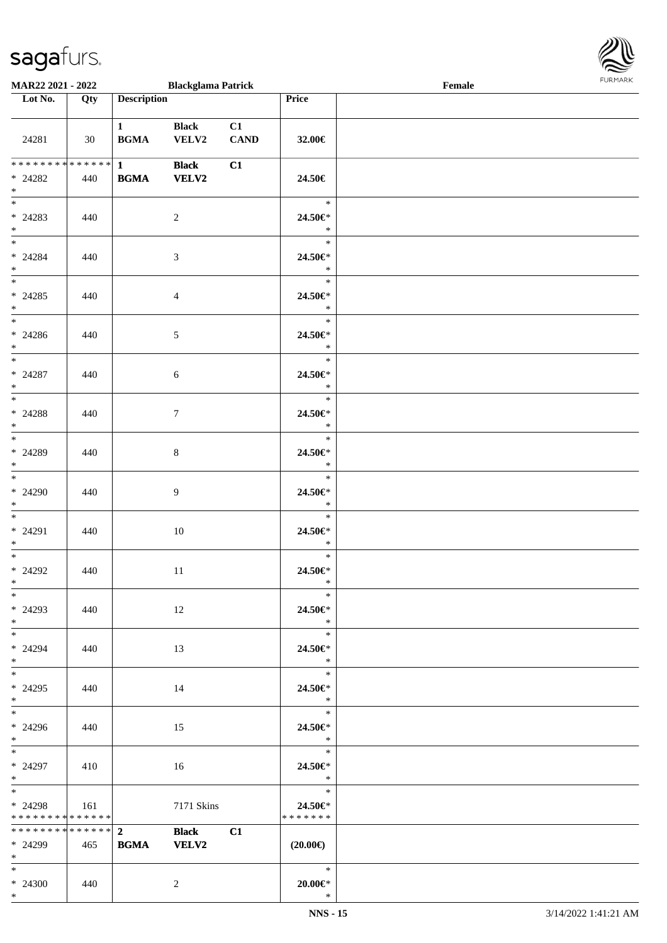

| MAR22 2021 - 2022                                       |     |                                                           | <b>Blackglama Patrick</b>    |                   |                                     | Female | <b>I ORI IMPORT</b> |
|---------------------------------------------------------|-----|-----------------------------------------------------------|------------------------------|-------------------|-------------------------------------|--------|---------------------|
| $\overline{\phantom{1}}$ Lot No.                        | Qty | <b>Description</b>                                        |                              |                   | Price                               |        |                     |
| 24281                                                   | 30  | $1$ and $1$<br>$\mathbf{B}\mathbf{G}\mathbf{M}\mathbf{A}$ | <b>Black</b><br>VELV2        | C1<br><b>CAND</b> | 32.00€                              |        |                     |
| ************** 1<br>$* 24282$<br>$*$                    | 440 | <b>BGMA</b>                                               | <b>Black</b><br><b>VELV2</b> | C1                | 24.50€                              |        |                     |
| $*$<br>$* 24283$<br>$*$                                 | 440 |                                                           | $\overline{c}$               |                   | $\ast$<br>24.50€*<br>$\ast$         |        |                     |
| $*$<br>$* 24284$<br>$*$                                 | 440 |                                                           | 3                            |                   | $\ast$<br>24.50€*<br>$\ast$         |        |                     |
| $* 24285$<br>$*$                                        | 440 |                                                           | $\overline{4}$               |                   | $\ast$<br>24.50€*<br>$\ast$         |        |                     |
| $* 24286$<br>$*$                                        | 440 |                                                           | $\sqrt{5}$                   |                   | $\ast$<br>24.50€*<br>$\ast$         |        |                     |
| $* 24287$<br>$*$                                        | 440 |                                                           | $\sqrt{6}$                   |                   | $\ast$<br>24.50€*<br>$\ast$         |        |                     |
| $* 24288$<br>$*$                                        | 440 |                                                           | 7                            |                   | $\ast$<br>24.50€*<br>$\ast$         |        |                     |
| * 24289<br>$*$                                          | 440 |                                                           | $8\,$                        |                   | $\ast$<br>24.50€*<br>$\ast$         |        |                     |
| $*$<br>* 24290<br>$*$                                   | 440 |                                                           | $\overline{9}$               |                   | $\ast$<br>24.50€*<br>$\ast$         |        |                     |
| $* 24291$<br>$*$ $-$                                    | 440 |                                                           | 10                           |                   | $\ast$<br>24.50€*<br>$\ast$         |        |                     |
| $*$<br>$* 24292$<br>$*$                                 | 440 |                                                           | $11\,$                       |                   | $\ast$<br>24.50€*<br>$\sim$ $\star$ |        |                     |
| $*$<br>$* 24293$<br>$*$                                 | 440 |                                                           | 12                           |                   | $\ast$<br>24.50€*<br>$\ast$         |        |                     |
| $\overline{\phantom{0}}$<br>* 24294<br>$*$              | 440 |                                                           | 13                           |                   | $\ast$<br>24.50€*<br>$\ast$         |        |                     |
| $*$<br>$* 24295$<br>$*$                                 | 440 |                                                           | 14                           |                   | $\ast$<br>24.50€*<br>$\ast$         |        |                     |
| $*$<br>* 24296<br>$*$                                   | 440 |                                                           | 15                           |                   | $\ast$<br>24.50€*<br>$\rightarrow$  |        |                     |
| $*$<br>$* 24297$<br>$*$ $*$                             | 410 |                                                           | 16                           |                   | $\ast$<br>24.50€*<br>$\ast$         |        |                     |
| $*$<br>* 24298<br>* * * * * * * * * * * * * * *         | 161 |                                                           | 7171 Skins                   |                   | $\ast$<br>24.50€*<br>* * * * * * *  |        |                     |
| * * * * * * * * * * * * * * *<br>* 24299<br>$*$ and $*$ | 465 | $\overline{2}$<br><b>BGMA</b>                             | <b>Black</b><br><b>VELV2</b> | C1                | $(20.00\epsilon)$                   |        |                     |
| $*$ and $*$<br>* 24300<br>$*$                           | 440 |                                                           | 2                            |                   | $\ast$<br>$20.00 \in$ *<br>$\ast$   |        |                     |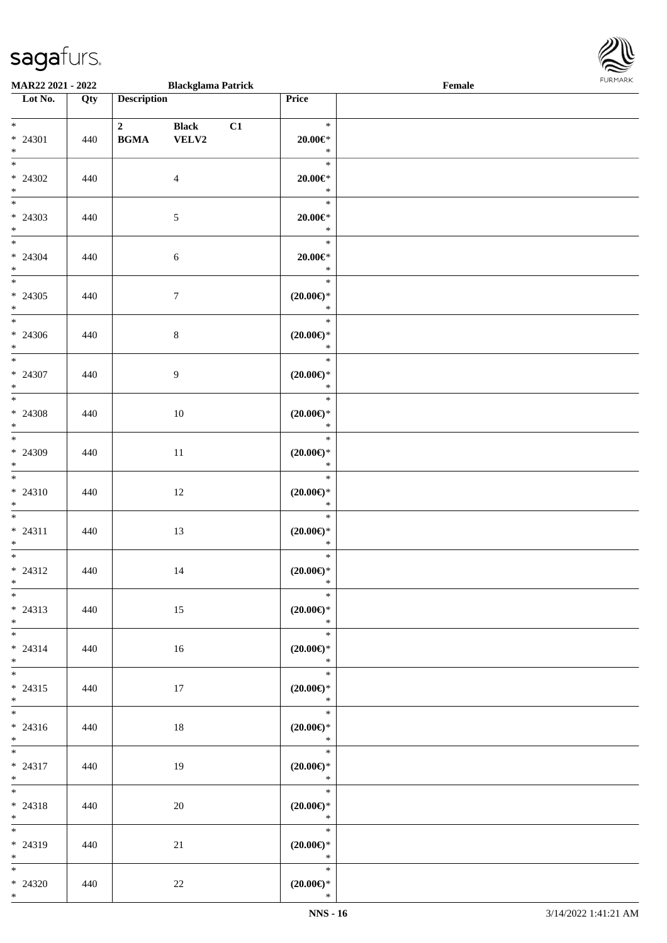

| MAR22 2021 - 2022                            |     |                             | <b>Blackglama Patrick</b>     |    |                                                      | Female |  |
|----------------------------------------------|-----|-----------------------------|-------------------------------|----|------------------------------------------------------|--------|--|
| Lot No.                                      | Qty | <b>Description</b>          |                               |    | Price                                                |        |  |
| $*$<br>* 24301<br>$*$                        | 440 | $\mathbf{2}$<br><b>BGMA</b> | <b>Black</b><br>${\bf VELV2}$ | C1 | $\ast$<br>$20.00 \in$ *<br>$\ast$                    |        |  |
| $* 24302$<br>$*$                             | 440 |                             | $\overline{4}$                |    | $\ast$<br>$20.00 \in$ *<br>$\ast$                    |        |  |
| $* 24303$<br>$*$                             | 440 |                             | $\sqrt{5}$                    |    | $\ast$<br>$20.00 \in$ *<br>$\ast$                    |        |  |
| $*$<br>$* 24304$<br>$*$                      | 440 |                             | 6                             |    | $\ast$<br>$20.00 \in$ *<br>$\ast$                    |        |  |
| $* 24305$<br>$*$<br>$\overline{\phantom{0}}$ | 440 |                             | $\tau$                        |    | $\ast$<br>$(20.00\epsilon)$ *<br>$\ast$              |        |  |
| $* 24306$<br>$*$<br>$*$                      | 440 |                             | 8                             |    | $\ast$<br>$(20.00\epsilon)$ *<br>$\ast$              |        |  |
| $* 24307$<br>$*$                             | 440 |                             | 9                             |    | $\ast$<br>$(20.00\epsilon)$ *<br>$\ast$              |        |  |
| $* 24308$<br>$*$<br>$*$                      | 440 |                             | 10                            |    | $\ast$<br>$(20.00\epsilon)$ *<br>$\ast$              |        |  |
| * 24309<br>$*$<br>$\overline{\phantom{0}}$   | 440 |                             | $11\,$                        |    | $\ast$<br>$(20.00\varepsilon)$ *<br>$\ast$<br>$\ast$ |        |  |
| $* 24310$<br>$*$                             | 440 |                             | 12                            |    | $(20.00\varepsilon)$ *<br>$\ast$                     |        |  |
| $*$<br>$* 24311$<br>$*$                      | 440 |                             | 13                            |    | $\ast$<br>$(20.00\epsilon)$ *<br>$\ast$              |        |  |
| $*$<br>$* 24312$<br>$*$                      | 440 |                             | 14                            |    | $\ast$<br>$(20.00\varepsilon)$ *<br>$\ast$           |        |  |
| $*$<br>$* 24313$<br>$*$                      | 440 |                             | 15                            |    | $\ast$<br>$(20.00\epsilon)$ *<br>$*$                 |        |  |
| $*$<br>$* 24314$<br>$*$<br>$*$               | 440 |                             | 16                            |    | $\ast$<br>$(20.00\epsilon)$ *<br>$\ast$<br>$\ast$    |        |  |
| $* 24315$<br>$*$<br>$*$                      | 440 |                             | 17                            |    | $(20.00\epsilon)$ *<br>$\ast$<br>$\ast$              |        |  |
| * 24316<br>$*$ $-$                           | 440 |                             | 18                            |    | $(20.00\epsilon)$ *<br>$\ast$                        |        |  |
| $*$ $*$<br>* 24317<br>$*$ $-$                | 440 |                             | 19                            |    | $\ast$<br>$(20.00\epsilon)$ *<br>$\ast$              |        |  |
| $*$<br>$* 24318$<br>$*$<br>$*$ $*$           | 440 |                             | 20                            |    | $\ast$<br>$(20.00\epsilon)$ *<br>$\ast$<br>$\ast$    |        |  |
| * 24319<br>$*$                               | 440 |                             | 21                            |    | $(20.00\epsilon)$ *<br>$\ast$                        |        |  |
| $*$ $*$<br>$* 24320$<br>$*$                  | 440 |                             | $22\,$                        |    | $\ast$<br>$(20.00\epsilon)$ *<br>$\ast$              |        |  |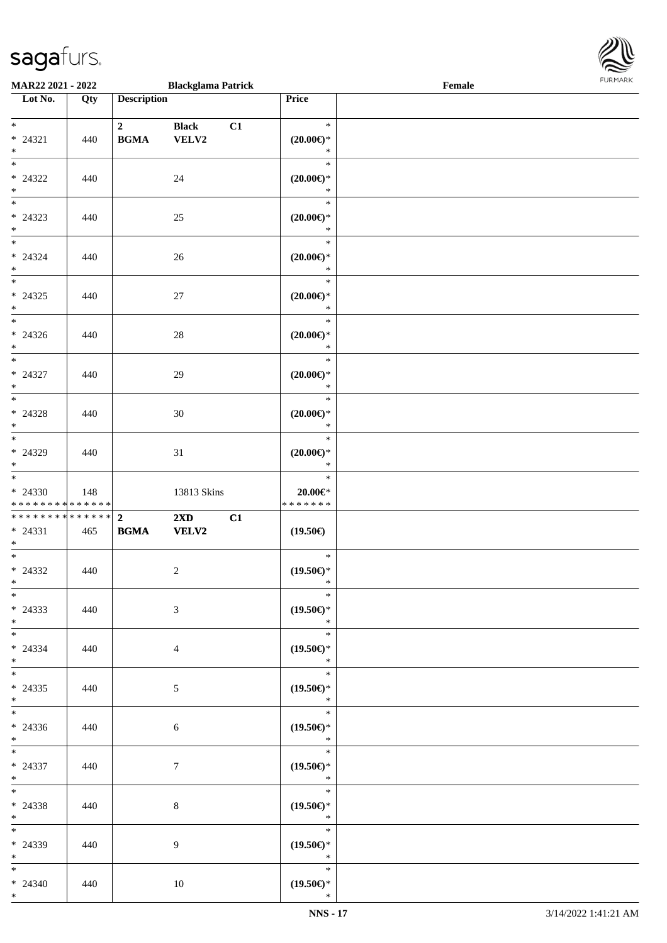\*

\*

\*

\*

\*

\*

\*

\*

\*

\*

\*

\*

\*

\*

\*

\*

\*

\*

\*

\*

\*

\*

\*

\*

\*

\*

\*

\*

\*

\*

\*

\*

\*

\*

\*

\* 24338 440 8

\* 24339 440 9

\* 24340 | 440 | 10

| MAR22 2021 - 2022                                                   |     |                                        | <b>Blackglama Patrick</b>               |                                                            | <b>LOKIJUKK</b><br>Female |  |  |  |
|---------------------------------------------------------------------|-----|----------------------------------------|-----------------------------------------|------------------------------------------------------------|---------------------------|--|--|--|
| Lot No.                                                             | Qty | <b>Description</b>                     |                                         | Price                                                      |                           |  |  |  |
| $\ddot{x}$<br>$* 24321$<br>$\ast$                                   | 440 | $\overline{\mathbf{2}}$<br><b>BGMA</b> | <b>Black</b><br>VELV2                   | $\mathbb{R}$<br>C1<br>$(20.00\epsilon)$ *<br>$\ast$        |                           |  |  |  |
| $\overline{\ast}$<br>$* 24322$<br>$*$                               | 440 |                                        | 24                                      | $\ast$<br>$(20.00\epsilon)$ *<br>$\ast$                    |                           |  |  |  |
| $\overline{\mathbf{r}}$<br>$* 24323$<br>$*$                         | 440 |                                        | 25                                      | $\ast$<br>$(20.00\epsilon)$ *<br>$\ast$                    |                           |  |  |  |
| $\ddot{x}$<br>$* 24324$<br>$\ast$                                   | 440 |                                        | 26                                      | $\ast$<br>$(20.00\epsilon)$ *<br>$\ast$                    |                           |  |  |  |
| $\overline{\ast}$<br>$* 24325$<br>$*$                               | 440 |                                        | 27                                      | $\ast$<br>$(20.00\epsilon)$ *<br>$\ast$                    |                           |  |  |  |
| $*$<br>$* 24326$<br>$*$                                             | 440 |                                        | 28                                      | $\ast$<br>$(20.00\epsilon)$ *<br>$\ast$                    |                           |  |  |  |
| $\ddot{x}$<br>$* 24327$<br>$\ast$<br>$\overline{\phantom{0}}$       | 440 |                                        | 29                                      | $\ast$<br>$(20.00\epsilon)$ *<br>$\ast$                    |                           |  |  |  |
| $* 24328$<br>$*$                                                    | 440 |                                        | 30                                      | $\ast$<br>$(20.00\epsilon)$ *<br>$\ast$                    |                           |  |  |  |
| $* 24329$<br>$*$<br>$*$                                             | 440 |                                        | 31                                      | $\ast$<br>$(20.00\epsilon)$ *<br>$\ast$<br>$\ast$          |                           |  |  |  |
| $* 24330$<br>* * * * * * * * <mark>* * * * * * *</mark>             | 148 |                                        | 13813 Skins                             | $20.00 \in$ *<br>* * * * * * *                             |                           |  |  |  |
| ******** <mark>******</mark> 2<br>$* 24331$<br>$\ddot{x}$<br>$\ast$ | 465 | <b>BGMA</b>                            | $2\mathbf{X}\mathbf{D}$<br><b>VELV2</b> | C1<br>$(19.50\epsilon)$<br>$*$                             |                           |  |  |  |
| $* 24332$<br>$*$ $-$                                                | 440 |                                        | $\overline{2}$                          | $(19.50\epsilon)$ *<br>$\mathbf{r}$ $\mathbf{r}$<br>$\ast$ |                           |  |  |  |
| $\ast$<br>$* 24333$<br>$*$<br>$\overline{\mathbf{r}}$               | 440 |                                        | $\mathfrak{Z}$                          | $(19.50\epsilon)$ *<br>$\ast$<br>$\ddot{x}$                |                           |  |  |  |
| $* 24334$<br>$*$<br>$\ddot{x}$                                      | 440 |                                        | $\overline{4}$                          | $(19.50\epsilon)$ *<br>$\ast$<br>$\ast$                    |                           |  |  |  |
| $* 24335$<br>$\ast$<br>$*$ $-$                                      | 440 |                                        | 5                                       | $(19.50\epsilon)$ *<br>$\ast$<br>$*$                       |                           |  |  |  |
| $* 24336$<br>$\ast$<br>$*$                                          | 440 |                                        | 6                                       | $(19.50\epsilon)$ *<br>$\ast$<br>$\ast$                    |                           |  |  |  |
| $* 24337$                                                           | 440 |                                        | $7\overline{ }$                         | $(19.50\epsilon)$ *                                        |                           |  |  |  |

\*

\*

\*

\*

\* **(19.50€)** \*

\* **(19.50€)** \*

\* **(19.50€)**\*